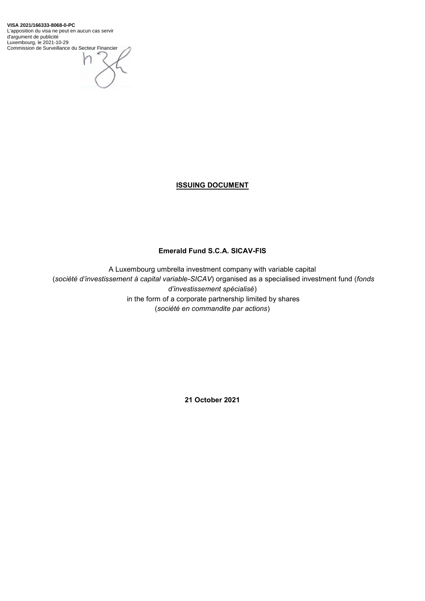**VISA 2021/166333-8068-0-PC** L'apposition du visa ne peut en aucun cas servir d'argument de publicité Luxembourg, le 2021-10-29 Commission de Surveillance du Secteur Financier

# **ISSUING DOCUMENT**

# **Emerald Fund S.C.A. SICAV-FIS**

A Luxembourg umbrella investment company with variable capital (*société d'investissement à capital variable-SICAV*) organised as a specialised investment fund (*fonds d'investissement spécialisé*) in the form of a corporate partnership limited by shares (*société en commandite par actions*)

**21 October 2021**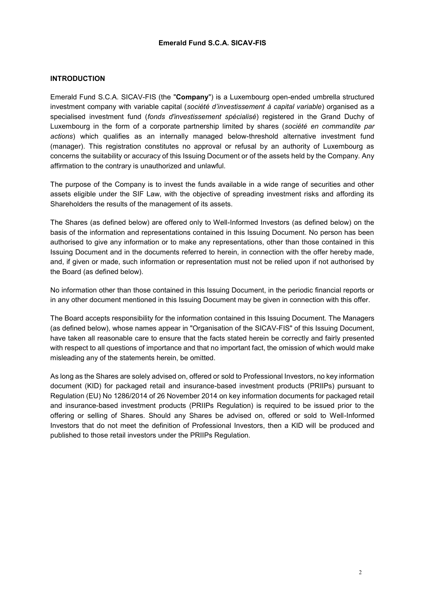### **INTRODUCTION**

Emerald Fund S.C.A. SICAV-FIS (the "**Company**") is a Luxembourg open-ended umbrella structured investment company with variable capital (*société d'investissement à capital variable*) organised as a specialised investment fund (*fonds d'investissement spécialisé*) registered in the Grand Duchy of Luxembourg in the form of a corporate partnership limited by shares (*société en commandite par actions*) which qualifies as an internally managed below-threshold alternative investment fund (manager). This registration constitutes no approval or refusal by an authority of Luxembourg as concerns the suitability or accuracy of this Issuing Document or of the assets held by the Company. Any affirmation to the contrary is unauthorized and unlawful.

The purpose of the Company is to invest the funds available in a wide range of securities and other assets eligible under the SIF Law, with the objective of spreading investment risks and affording its Shareholders the results of the management of its assets.

The Shares (as defined below) are offered only to Well-Informed Investors (as defined below) on the basis of the information and representations contained in this Issuing Document. No person has been authorised to give any information or to make any representations, other than those contained in this Issuing Document and in the documents referred to herein, in connection with the offer hereby made, and, if given or made, such information or representation must not be relied upon if not authorised by the Board (as defined below).

No information other than those contained in this Issuing Document, in the periodic financial reports or in any other document mentioned in this Issuing Document may be given in connection with this offer.

The Board accepts responsibility for the information contained in this Issuing Document. The Managers (as defined below), whose names appear in "Organisation of the SICAV-FIS" of this Issuing Document, have taken all reasonable care to ensure that the facts stated herein be correctly and fairly presented with respect to all questions of importance and that no important fact, the omission of which would make misleading any of the statements herein, be omitted.

As long as the Shares are solely advised on, offered or sold to Professional Investors, no key information document (KID) for packaged retail and insurance-based investment products (PRIIPs) pursuant to Regulation (EU) No 1286/2014 of 26 November 2014 on key information documents for packaged retail and insurance-based investment products (PRIIPs Regulation) is required to be issued prior to the offering or selling of Shares. Should any Shares be advised on, offered or sold to Well-Informed Investors that do not meet the definition of Professional Investors, then a KID will be produced and published to those retail investors under the PRIIPs Regulation.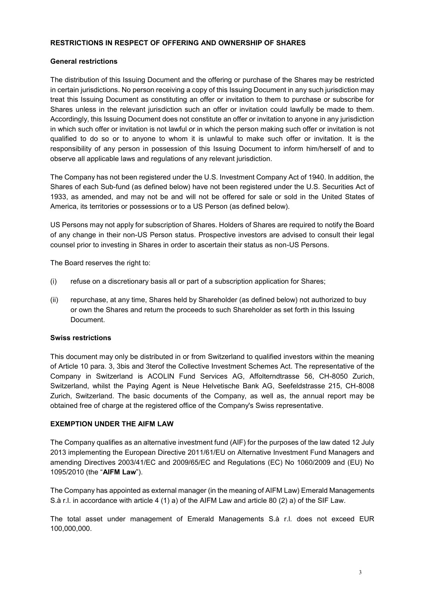### **RESTRICTIONS IN RESPECT OF OFFERING AND OWNERSHIP OF SHARES**

### **General restrictions**

The distribution of this Issuing Document and the offering or purchase of the Shares may be restricted in certain jurisdictions. No person receiving a copy of this Issuing Document in any such jurisdiction may treat this Issuing Document as constituting an offer or invitation to them to purchase or subscribe for Shares unless in the relevant jurisdiction such an offer or invitation could lawfully be made to them. Accordingly, this Issuing Document does not constitute an offer or invitation to anyone in any jurisdiction in which such offer or invitation is not lawful or in which the person making such offer or invitation is not qualified to do so or to anyone to whom it is unlawful to make such offer or invitation. It is the responsibility of any person in possession of this Issuing Document to inform him/herself of and to observe all applicable laws and regulations of any relevant jurisdiction.

The Company has not been registered under the U.S. Investment Company Act of 1940. In addition, the Shares of each Sub-fund (as defined below) have not been registered under the U.S. Securities Act of 1933, as amended, and may not be and will not be offered for sale or sold in the United States of America, its territories or possessions or to a US Person (as defined below).

US Persons may not apply for subscription of Shares. Holders of Shares are required to notify the Board of any change in their non-US Person status. Prospective investors are advised to consult their legal counsel prior to investing in Shares in order to ascertain their status as non-US Persons.

The Board reserves the right to:

- (i) refuse on a discretionary basis all or part of a subscription application for Shares;
- (ii) repurchase, at any time, Shares held by Shareholder (as defined below) not authorized to buy or own the Shares and return the proceeds to such Shareholder as set forth in this Issuing Document.

#### **Swiss restrictions**

This document may only be distributed in or from Switzerland to qualified investors within the meaning of Article 10 para. 3, 3bis and 3terof the Collective Investment Schemes Act. The representative of the Company in Switzerland is ACOLIN Fund Services AG, Affolterndtrasse 56, CH-8050 Zurich, Switzerland, whilst the Paying Agent is Neue Helvetische Bank AG, Seefeldstrasse 215, CH-8008 Zurich, Switzerland. The basic documents of the Company, as well as, the annual report may be obtained free of charge at the registered office of the Company's Swiss representative.

### **EXEMPTION UNDER THE AIFM LAW**

The Company qualifies as an alternative investment fund (AIF) for the purposes of the law dated 12 July 2013 implementing the European Directive 2011/61/EU on Alternative Investment Fund Managers and amending Directives 2003/41/EC and 2009/65/EC and Regulations (EC) No 1060/2009 and (EU) No 1095/2010 (the "**AIFM Law**").

The Company has appointed as external manager (in the meaning of AIFM Law) Emerald Managements S.à r.l. in accordance with article 4 (1) a) of the AIFM Law and article 80 (2) a) of the SIF Law.

The total asset under management of Emerald Managements S.à r.l. does not exceed EUR 100,000,000.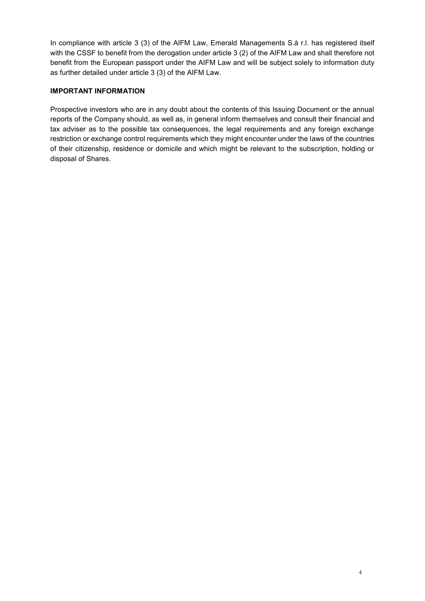In compliance with article 3 (3) of the AIFM Law, Emerald Managements S.à r.l. has registered itself with the CSSF to benefit from the derogation under article 3 (2) of the AIFM Law and shall therefore not benefit from the European passport under the AIFM Law and will be subject solely to information duty as further detailed under article 3 (3) of the AIFM Law.

# **IMPORTANT INFORMATION**

Prospective investors who are in any doubt about the contents of this Issuing Document or the annual reports of the Company should, as well as, in general inform themselves and consult their financial and tax adviser as to the possible tax consequences, the legal requirements and any foreign exchange restriction or exchange control requirements which they might encounter under the laws of the countries of their citizenship, residence or domicile and which might be relevant to the subscription, holding or disposal of Shares.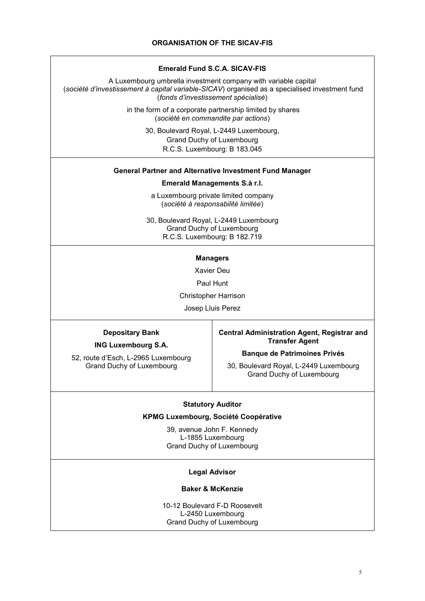#### **Emerald Fund S.C.A. SICAV-FIS**

A Luxembourg umbrella investment company with variable capital (*société d'investissement à capital variable-SICAV*) organised as a specialised investment fund (*fonds d'investissement spécialisé*)

> in the form of a corporate partnership limited by shares (*société en commandite par actions*)

> > 30, Boulevard Royal, L-2449 Luxembourg, Grand Duchy of Luxembourg R.C.S. Luxembourg: B 183.045

### **General Partner and Alternative Investment Fund Manager**

#### **Emerald Managements S.à r.l.**

a Luxembourg private limited company (*société à responsabilité limitée*)

30, Boulevard Royal, L-2449 Luxembourg Grand Duchy of Luxembourg R.C.S. Luxembourg: B 182.719

#### **Managers**

Xavier Deu

Paul Hunt

Christopher Harrison

Josep Lluis Perez

#### **Depositary Bank**

**ING Luxembourg S.A.**

52, route d'Esch, L-2965 Luxembourg Grand Duchy of Luxembourg

#### **Central Administration Agent, Registrar and Transfer Agent**

#### **Banque de Patrimoines Privés**

30, Boulevard Royal, L-2449 Luxembourg Grand Duchy of Luxembourg

#### **Statutory Auditor**

#### **KPMG Luxembourg, Société Coopérative**

39, avenue John F. Kennedy L-1855 Luxembourg Grand Duchy of Luxembourg

#### **Legal Advisor**

#### **Baker & McKenzie**

10-12 Boulevard F-D Roosevelt L-2450 Luxembourg Grand Duchy of Luxembourg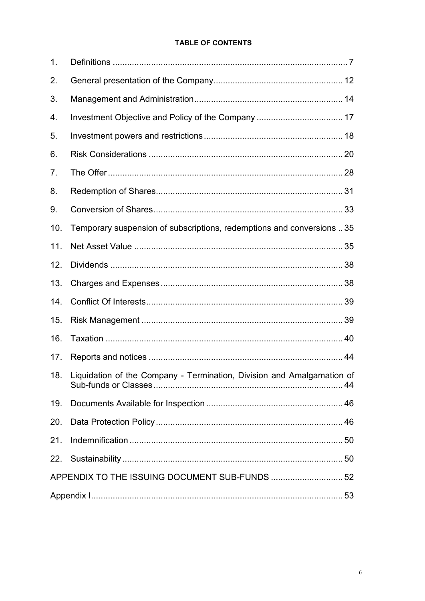# **TABLE OF CONTENTS**

| 1.  |                                                                        |  |
|-----|------------------------------------------------------------------------|--|
| 2.  |                                                                        |  |
| 3.  |                                                                        |  |
| 4.  | Investment Objective and Policy of the Company  17                     |  |
| 5.  |                                                                        |  |
| 6.  |                                                                        |  |
| 7.  |                                                                        |  |
| 8.  |                                                                        |  |
| 9.  |                                                                        |  |
| 10. | Temporary suspension of subscriptions, redemptions and conversions 35  |  |
| 11. |                                                                        |  |
| 12. |                                                                        |  |
| 13. |                                                                        |  |
| 14. |                                                                        |  |
| 15. |                                                                        |  |
| 16. |                                                                        |  |
| 17. |                                                                        |  |
| 18. | Liquidation of the Company - Termination, Division and Amalgamation of |  |
| 19. |                                                                        |  |
| 20. |                                                                        |  |
| 21. |                                                                        |  |
|     |                                                                        |  |
|     | APPENDIX TO THE ISSUING DOCUMENT SUB-FUNDS 52                          |  |
|     |                                                                        |  |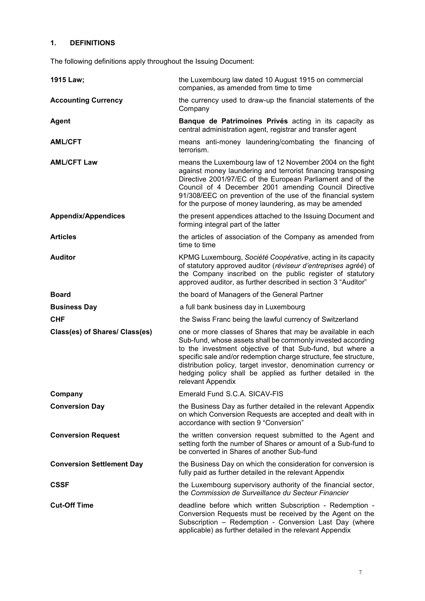# <span id="page-6-0"></span>**1. DEFINITIONS**

The following definitions apply throughout the Issuing Document:

| 1915 Law;                        | the Luxembourg law dated 10 August 1915 on commercial<br>companies, as amended from time to time                                                                                                                                                                                                                                                                                                                 |
|----------------------------------|------------------------------------------------------------------------------------------------------------------------------------------------------------------------------------------------------------------------------------------------------------------------------------------------------------------------------------------------------------------------------------------------------------------|
| <b>Accounting Currency</b>       | the currency used to draw-up the financial statements of the<br>Company                                                                                                                                                                                                                                                                                                                                          |
| <b>Agent</b>                     | Banque de Patrimoines Privés acting in its capacity as<br>central administration agent, registrar and transfer agent                                                                                                                                                                                                                                                                                             |
| <b>AML/CFT</b>                   | means anti-money laundering/combating the financing of<br>terrorism.                                                                                                                                                                                                                                                                                                                                             |
| <b>AML/CFT Law</b>               | means the Luxembourg law of 12 November 2004 on the fight<br>against money laundering and terrorist financing transposing<br>Directive 2001/97/EC of the European Parliament and of the<br>Council of 4 December 2001 amending Council Directive<br>91/308/EEC on prevention of the use of the financial system<br>for the purpose of money laundering, as may be amended                                        |
| <b>Appendix/Appendices</b>       | the present appendices attached to the Issuing Document and<br>forming integral part of the latter                                                                                                                                                                                                                                                                                                               |
| <b>Articles</b>                  | the articles of association of the Company as amended from<br>time to time                                                                                                                                                                                                                                                                                                                                       |
| <b>Auditor</b>                   | KPMG Luxembourg, Société Coopérative, acting in its capacity<br>of statutory approved auditor (réviseur d'entreprises agréé) of<br>the Company inscribed on the public register of statutory<br>approved auditor, as further described in section 3 "Auditor"                                                                                                                                                    |
| <b>Board</b>                     | the board of Managers of the General Partner                                                                                                                                                                                                                                                                                                                                                                     |
| <b>Business Day</b>              | a full bank business day in Luxembourg                                                                                                                                                                                                                                                                                                                                                                           |
| <b>CHF</b>                       | the Swiss Franc being the lawful currency of Switzerland                                                                                                                                                                                                                                                                                                                                                         |
| Class(es) of Shares/ Class(es)   | one or more classes of Shares that may be available in each<br>Sub-fund, whose assets shall be commonly invested according<br>to the investment objective of that Sub-fund, but where a<br>specific sale and/or redemption charge structure, fee structure,<br>distribution policy, target investor, denomination currency or<br>hedging policy shall be applied as further detailed in the<br>relevant Appendix |
| Company                          | Emerald Fund S.C.A. SICAV-FIS                                                                                                                                                                                                                                                                                                                                                                                    |
| <b>Conversion Day</b>            | the Business Day as further detailed in the relevant Appendix<br>on which Conversion Requests are accepted and dealt with in<br>accordance with section 9 "Conversion"                                                                                                                                                                                                                                           |
| <b>Conversion Request</b>        | the written conversion request submitted to the Agent and<br>setting forth the number of Shares or amount of a Sub-fund to<br>be converted in Shares of another Sub-fund                                                                                                                                                                                                                                         |
| <b>Conversion Settlement Day</b> | the Business Day on which the consideration for conversion is<br>fully paid as further detailed in the relevant Appendix                                                                                                                                                                                                                                                                                         |
| <b>CSSF</b>                      | the Luxembourg supervisory authority of the financial sector,<br>the Commission de Surveillance du Secteur Financier                                                                                                                                                                                                                                                                                             |
| <b>Cut-Off Time</b>              | deadline before which written Subscription - Redemption -<br>Conversion Requests must be received by the Agent on the<br>Subscription - Redemption - Conversion Last Day (where<br>applicable) as further detailed in the relevant Appendix                                                                                                                                                                      |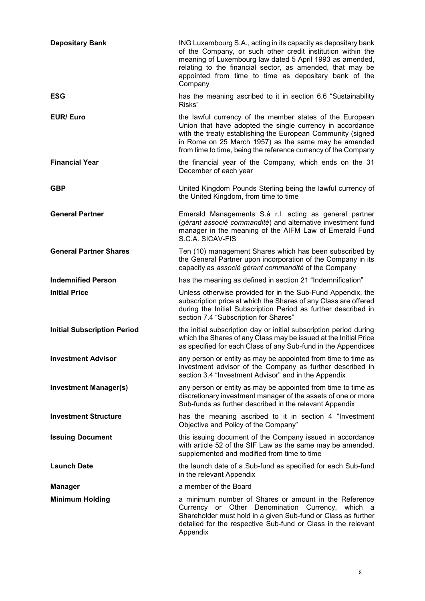| <b>Depositary Bank</b>             | ING Luxembourg S.A., acting in its capacity as depositary bank<br>of the Company, or such other credit institution within the<br>meaning of Luxembourg law dated 5 April 1993 as amended,<br>relating to the financial sector, as amended, that may be<br>appointed from time to time as depositary bank of the<br>Company |
|------------------------------------|----------------------------------------------------------------------------------------------------------------------------------------------------------------------------------------------------------------------------------------------------------------------------------------------------------------------------|
| <b>ESG</b>                         | has the meaning ascribed to it in section 6.6 "Sustainability<br>Risks"                                                                                                                                                                                                                                                    |
| <b>EUR/Euro</b>                    | the lawful currency of the member states of the European<br>Union that have adopted the single currency in accordance<br>with the treaty establishing the European Community (signed<br>in Rome on 25 March 1957) as the same may be amended<br>from time to time, being the reference currency of the Company             |
| <b>Financial Year</b>              | the financial year of the Company, which ends on the 31<br>December of each year                                                                                                                                                                                                                                           |
| <b>GBP</b>                         | United Kingdom Pounds Sterling being the lawful currency of<br>the United Kingdom, from time to time                                                                                                                                                                                                                       |
| <b>General Partner</b>             | Emerald Managements S.à r.l. acting as general partner<br>(gérant associé commandité) and alternative investment fund<br>manager in the meaning of the AIFM Law of Emerald Fund<br>S.C.A. SICAV-FIS                                                                                                                        |
| <b>General Partner Shares</b>      | Ten (10) management Shares which has been subscribed by<br>the General Partner upon incorporation of the Company in its<br>capacity as associé gérant commandité of the Company                                                                                                                                            |
| <b>Indemnified Person</b>          | has the meaning as defined in section 21 "Indemnification"                                                                                                                                                                                                                                                                 |
| <b>Initial Price</b>               | Unless otherwise provided for in the Sub-Fund Appendix, the<br>subscription price at which the Shares of any Class are offered<br>during the Initial Subscription Period as further described in<br>section 7.4 "Subscription for Shares"                                                                                  |
| <b>Initial Subscription Period</b> | the initial subscription day or initial subscription period during<br>which the Shares of any Class may be issued at the Initial Price<br>as specified for each Class of any Sub-fund in the Appendices                                                                                                                    |
| <b>Investment Advisor</b>          | any person or entity as may be appointed from time to time as<br>investment advisor of the Company as further described in<br>section 3.4 "Investment Advisor" and in the Appendix                                                                                                                                         |
| <b>Investment Manager(s)</b>       | any person or entity as may be appointed from time to time as<br>discretionary investment manager of the assets of one or more<br>Sub-funds as further described in the relevant Appendix                                                                                                                                  |
| <b>Investment Structure</b>        | has the meaning ascribed to it in section 4 "Investment<br>Objective and Policy of the Company"                                                                                                                                                                                                                            |
| <b>Issuing Document</b>            | this issuing document of the Company issued in accordance<br>with article 52 of the SIF Law as the same may be amended,<br>supplemented and modified from time to time                                                                                                                                                     |
| <b>Launch Date</b>                 | the launch date of a Sub-fund as specified for each Sub-fund<br>in the relevant Appendix                                                                                                                                                                                                                                   |
| <b>Manager</b>                     | a member of the Board                                                                                                                                                                                                                                                                                                      |
| <b>Minimum Holding</b>             | a minimum number of Shares or amount in the Reference<br>Currency or Other Denomination Currency, which a<br>Shareholder must hold in a given Sub-fund or Class as further<br>detailed for the respective Sub-fund or Class in the relevant<br>Appendix                                                                    |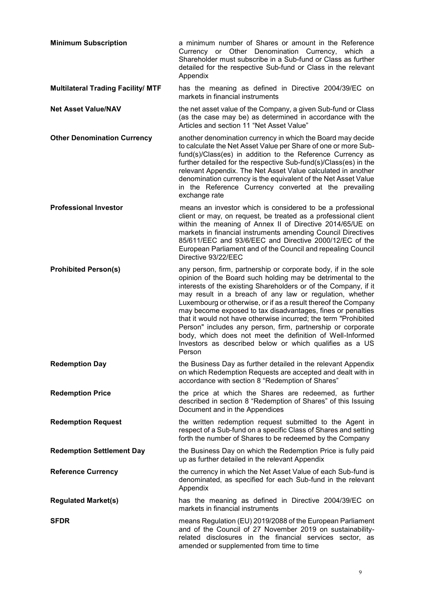| <b>Minimum Subscription</b>               | a minimum number of Shares or amount in the Reference<br>Currency or Other Denomination Currency, which a<br>Shareholder must subscribe in a Sub-fund or Class as further<br>detailed for the respective Sub-fund or Class in the relevant<br>Appendix                                                                                                                                                                                                                                                                                                                                                                                                             |
|-------------------------------------------|--------------------------------------------------------------------------------------------------------------------------------------------------------------------------------------------------------------------------------------------------------------------------------------------------------------------------------------------------------------------------------------------------------------------------------------------------------------------------------------------------------------------------------------------------------------------------------------------------------------------------------------------------------------------|
| <b>Multilateral Trading Facility/ MTF</b> | has the meaning as defined in Directive 2004/39/EC on<br>markets in financial instruments                                                                                                                                                                                                                                                                                                                                                                                                                                                                                                                                                                          |
| <b>Net Asset Value/NAV</b>                | the net asset value of the Company, a given Sub-fund or Class<br>(as the case may be) as determined in accordance with the<br>Articles and section 11 "Net Asset Value"                                                                                                                                                                                                                                                                                                                                                                                                                                                                                            |
| <b>Other Denomination Currency</b>        | another denomination currency in which the Board may decide<br>to calculate the Net Asset Value per Share of one or more Sub-<br>fund(s)/Class(es) in addition to the Reference Currency as<br>further detailed for the respective Sub-fund(s)/Class(es) in the<br>relevant Appendix. The Net Asset Value calculated in another<br>denomination currency is the equivalent of the Net Asset Value<br>in the Reference Currency converted at the prevailing<br>exchange rate                                                                                                                                                                                        |
| <b>Professional Investor</b>              | means an investor which is considered to be a professional<br>client or may, on request, be treated as a professional client<br>within the meaning of Annex II of Directive 2014/65/UE on<br>markets in financial instruments amending Council Directives<br>85/611/EEC and 93/6/EEC and Directive 2000/12/EC of the<br>European Parliament and of the Council and repealing Council<br>Directive 93/22/EEC                                                                                                                                                                                                                                                        |
| <b>Prohibited Person(s)</b>               | any person, firm, partnership or corporate body, if in the sole<br>opinion of the Board such holding may be detrimental to the<br>interests of the existing Shareholders or of the Company, if it<br>may result in a breach of any law or regulation, whether<br>Luxembourg or otherwise, or if as a result thereof the Company<br>may become exposed to tax disadvantages, fines or penalties<br>that it would not have otherwise incurred; the term "Prohibited<br>Person" includes any person, firm, partnership or corporate<br>body, which does not meet the definition of Well-Informed<br>Investors as described below or which qualifies as a US<br>Person |
| <b>Redemption Day</b>                     | the Business Day as further detailed in the relevant Appendix<br>on which Redemption Requests are accepted and dealt with in<br>accordance with section 8 "Redemption of Shares"                                                                                                                                                                                                                                                                                                                                                                                                                                                                                   |
| <b>Redemption Price</b>                   | the price at which the Shares are redeemed, as further<br>described in section 8 "Redemption of Shares" of this Issuing<br>Document and in the Appendices                                                                                                                                                                                                                                                                                                                                                                                                                                                                                                          |
| <b>Redemption Request</b>                 | the written redemption request submitted to the Agent in<br>respect of a Sub-fund on a specific Class of Shares and setting<br>forth the number of Shares to be redeemed by the Company                                                                                                                                                                                                                                                                                                                                                                                                                                                                            |
| <b>Redemption Settlement Day</b>          | the Business Day on which the Redemption Price is fully paid<br>up as further detailed in the relevant Appendix                                                                                                                                                                                                                                                                                                                                                                                                                                                                                                                                                    |
| <b>Reference Currency</b>                 | the currency in which the Net Asset Value of each Sub-fund is<br>denominated, as specified for each Sub-fund in the relevant<br>Appendix                                                                                                                                                                                                                                                                                                                                                                                                                                                                                                                           |
| <b>Regulated Market(s)</b>                | has the meaning as defined in Directive 2004/39/EC on<br>markets in financial instruments                                                                                                                                                                                                                                                                                                                                                                                                                                                                                                                                                                          |
| <b>SFDR</b>                               | means Regulation (EU) 2019/2088 of the European Parliament<br>and of the Council of 27 November 2019 on sustainability-<br>related disclosures in the financial services sector, as<br>amended or supplemented from time to time                                                                                                                                                                                                                                                                                                                                                                                                                                   |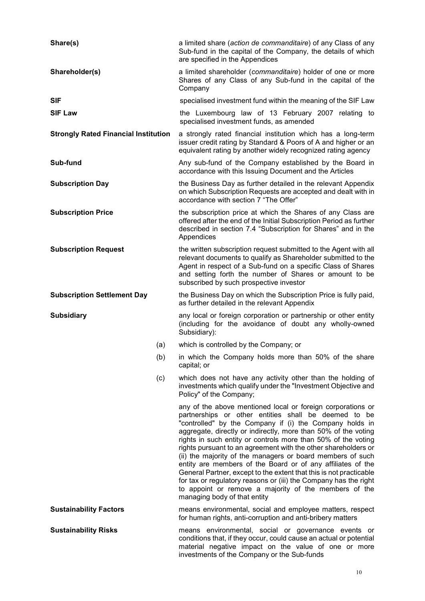| Share(s)                                    |     | a limited share (action de commanditaire) of any Class of any<br>Sub-fund in the capital of the Company, the details of which<br>are specified in the Appendices                                                                                                                                                                                                                                                                                                                                                                                                                                                                                                                                                                                    |  |  |  |
|---------------------------------------------|-----|-----------------------------------------------------------------------------------------------------------------------------------------------------------------------------------------------------------------------------------------------------------------------------------------------------------------------------------------------------------------------------------------------------------------------------------------------------------------------------------------------------------------------------------------------------------------------------------------------------------------------------------------------------------------------------------------------------------------------------------------------------|--|--|--|
| Shareholder(s)                              |     | a limited shareholder (commanditaire) holder of one or more<br>Shares of any Class of any Sub-fund in the capital of the<br>Company                                                                                                                                                                                                                                                                                                                                                                                                                                                                                                                                                                                                                 |  |  |  |
| <b>SIF</b>                                  |     | specialised investment fund within the meaning of the SIF Law                                                                                                                                                                                                                                                                                                                                                                                                                                                                                                                                                                                                                                                                                       |  |  |  |
| <b>SIF Law</b>                              |     | the Luxembourg law of 13 February 2007 relating to<br>specialised investment funds, as amended                                                                                                                                                                                                                                                                                                                                                                                                                                                                                                                                                                                                                                                      |  |  |  |
| <b>Strongly Rated Financial Institution</b> |     | a strongly rated financial institution which has a long-term<br>issuer credit rating by Standard & Poors of A and higher or an<br>equivalent rating by another widely recognized rating agency                                                                                                                                                                                                                                                                                                                                                                                                                                                                                                                                                      |  |  |  |
| Sub-fund                                    |     | Any sub-fund of the Company established by the Board in<br>accordance with this Issuing Document and the Articles                                                                                                                                                                                                                                                                                                                                                                                                                                                                                                                                                                                                                                   |  |  |  |
| <b>Subscription Day</b>                     |     | the Business Day as further detailed in the relevant Appendix<br>on which Subscription Requests are accepted and dealt with in<br>accordance with section 7 "The Offer"                                                                                                                                                                                                                                                                                                                                                                                                                                                                                                                                                                             |  |  |  |
| <b>Subscription Price</b>                   |     | the subscription price at which the Shares of any Class are<br>offered after the end of the Initial Subscription Period as further<br>described in section 7.4 "Subscription for Shares" and in the<br>Appendices<br>the written subscription request submitted to the Agent with all<br>relevant documents to qualify as Shareholder submitted to the<br>Agent in respect of a Sub-fund on a specific Class of Shares<br>and setting forth the number of Shares or amount to be                                                                                                                                                                                                                                                                    |  |  |  |
| <b>Subscription Request</b>                 |     | subscribed by such prospective investor                                                                                                                                                                                                                                                                                                                                                                                                                                                                                                                                                                                                                                                                                                             |  |  |  |
| <b>Subscription Settlement Day</b>          |     | the Business Day on which the Subscription Price is fully paid,<br>as further detailed in the relevant Appendix                                                                                                                                                                                                                                                                                                                                                                                                                                                                                                                                                                                                                                     |  |  |  |
| <b>Subsidiary</b>                           |     | any local or foreign corporation or partnership or other entity<br>(including for the avoidance of doubt any wholly-owned<br>Subsidiary):                                                                                                                                                                                                                                                                                                                                                                                                                                                                                                                                                                                                           |  |  |  |
|                                             | (a) | which is controlled by the Company; or                                                                                                                                                                                                                                                                                                                                                                                                                                                                                                                                                                                                                                                                                                              |  |  |  |
|                                             | (b) | in which the Company holds more than 50% of the share<br>capital; or                                                                                                                                                                                                                                                                                                                                                                                                                                                                                                                                                                                                                                                                                |  |  |  |
|                                             | (c) | which does not have any activity other than the holding of<br>investments which qualify under the "Investment Objective and<br>Policy" of the Company;                                                                                                                                                                                                                                                                                                                                                                                                                                                                                                                                                                                              |  |  |  |
|                                             |     | any of the above mentioned local or foreign corporations or<br>partnerships or other entities shall be deemed to be<br>"controlled" by the Company if (i) the Company holds in<br>aggregate, directly or indirectly, more than 50% of the voting<br>rights in such entity or controls more than 50% of the voting<br>rights pursuant to an agreement with the other shareholders or<br>(ii) the majority of the managers or board members of such<br>entity are members of the Board or of any affiliates of the<br>General Partner, except to the extent that this is not practicable<br>for tax or regulatory reasons or (iii) the Company has the right<br>to appoint or remove a majority of the members of the<br>managing body of that entity |  |  |  |
| <b>Sustainability Factors</b>               |     | means environmental, social and employee matters, respect<br>for human rights, anti-corruption and anti-bribery matters                                                                                                                                                                                                                                                                                                                                                                                                                                                                                                                                                                                                                             |  |  |  |
| <b>Sustainability Risks</b>                 |     | means environmental, social or governance events or<br>conditions that, if they occur, could cause an actual or potential<br>material negative impact on the value of one or more<br>investments of the Company or the Sub-funds                                                                                                                                                                                                                                                                                                                                                                                                                                                                                                                    |  |  |  |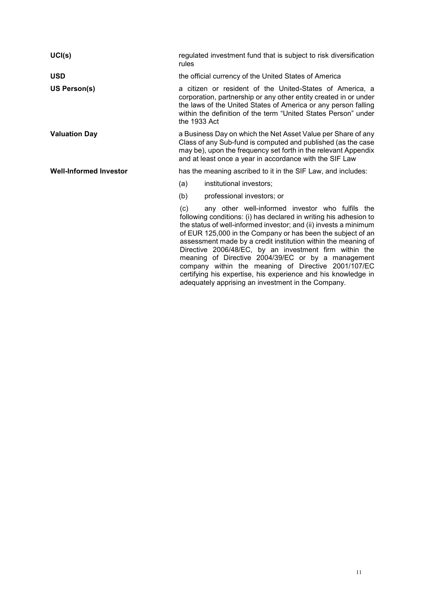| UCI(s)                        | regulated investment fund that is subject to risk diversification<br>rules                                                                                                                                                                                                                                                                                                                                                                                                                                                                                               |  |  |  |  |
|-------------------------------|--------------------------------------------------------------------------------------------------------------------------------------------------------------------------------------------------------------------------------------------------------------------------------------------------------------------------------------------------------------------------------------------------------------------------------------------------------------------------------------------------------------------------------------------------------------------------|--|--|--|--|
| <b>USD</b>                    | the official currency of the United States of America                                                                                                                                                                                                                                                                                                                                                                                                                                                                                                                    |  |  |  |  |
| US Person(s)                  | a citizen or resident of the United-States of America, a<br>corporation, partnership or any other entity created in or under<br>the laws of the United States of America or any person falling<br>within the definition of the term "United States Person" under<br>the $1933$ Act                                                                                                                                                                                                                                                                                       |  |  |  |  |
| <b>Valuation Day</b>          | a Business Day on which the Net Asset Value per Share of any<br>Class of any Sub-fund is computed and published (as the case<br>may be), upon the frequency set forth in the relevant Appendix<br>and at least once a year in accordance with the SIF Law                                                                                                                                                                                                                                                                                                                |  |  |  |  |
| <b>Well-Informed Investor</b> | has the meaning ascribed to it in the SIF Law, and includes:                                                                                                                                                                                                                                                                                                                                                                                                                                                                                                             |  |  |  |  |
|                               | (a)<br>institutional investors;                                                                                                                                                                                                                                                                                                                                                                                                                                                                                                                                          |  |  |  |  |
|                               | professional investors; or<br>(b)                                                                                                                                                                                                                                                                                                                                                                                                                                                                                                                                        |  |  |  |  |
|                               | any other well-informed investor who fulfils the<br>(c)<br>following conditions: (i) has declared in writing his adhesion to<br>the status of well-informed investor; and (ii) invests a minimum<br>of EUR 125,000 in the Company or has been the subject of an<br>assessment made by a credit institution within the meaning of<br>Directive 2006/48/EC, by an investment firm within the<br>meaning of Directive 2004/39/EC or by a management<br>company within the meaning of Directive 2001/107/EC<br>certifying his expertise, his experience and his knowledge in |  |  |  |  |

adequately apprising an investment in the Company.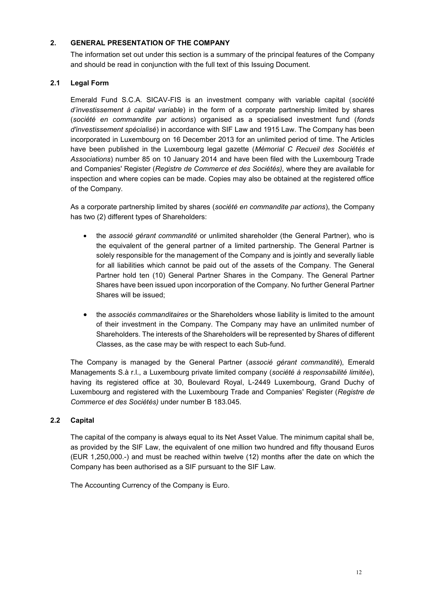# <span id="page-11-0"></span>**2. GENERAL PRESENTATION OF THE COMPANY**

The information set out under this section is a summary of the principal features of the Company and should be read in conjunction with the full text of this Issuing Document.

# **2.1 Legal Form**

Emerald Fund S.C.A. SICAV-FIS is an investment company with variable capital (*société d'investissement à capital variable*) in the form of a corporate partnership limited by shares (*société en commandite par actions*) organised as a specialised investment fund (*fonds d'investissement spécialisé*) in accordance with SIF Law and 1915 Law. The Company has been incorporated in Luxembourg on 16 December 2013 for an unlimited period of time. The Articles have been published in the Luxembourg legal gazette (*Mémorial C Recueil des Sociétés et Associations*) number 85 on 10 January 2014 and have been filed with the Luxembourg Trade and Companies' Register (*Registre de Commerce et des Sociétés),* where they are available for inspection and where copies can be made. Copies may also be obtained at the registered office of the Company.

As a corporate partnership limited by shares (*société en commandite par actions*), the Company has two (2) different types of Shareholders:

- the *associé gérant commandité* or unlimited shareholder (the General Partner), who is the equivalent of the general partner of a limited partnership. The General Partner is solely responsible for the management of the Company and is jointly and severally liable for all liabilities which cannot be paid out of the assets of the Company. The General Partner hold ten (10) General Partner Shares in the Company. The General Partner Shares have been issued upon incorporation of the Company. No further General Partner Shares will be issued;
- the *associés commanditaires* or the Shareholders whose liability is limited to the amount of their investment in the Company. The Company may have an unlimited number of Shareholders. The interests of the Shareholders will be represented by Shares of different Classes, as the case may be with respect to each Sub-fund.

The Company is managed by the General Partner (*associé gérant commandité*), Emerald Managements S.à r.l., a Luxembourg private limited company (*société à responsabilité limitée*), having its registered office at 30, Boulevard Royal, L-2449 Luxembourg, Grand Duchy of Luxembourg and registered with the Luxembourg Trade and Companies' Register (*Registre de Commerce et des Sociétés)* under number B 183.045.

# **2.2 Capital**

The capital of the company is always equal to its Net Asset Value. The minimum capital shall be, as provided by the SIF Law, the equivalent of one million two hundred and fifty thousand Euros (EUR 1,250,000.-) and must be reached within twelve (12) months after the date on which the Company has been authorised as a SIF pursuant to the SIF Law.

The Accounting Currency of the Company is Euro.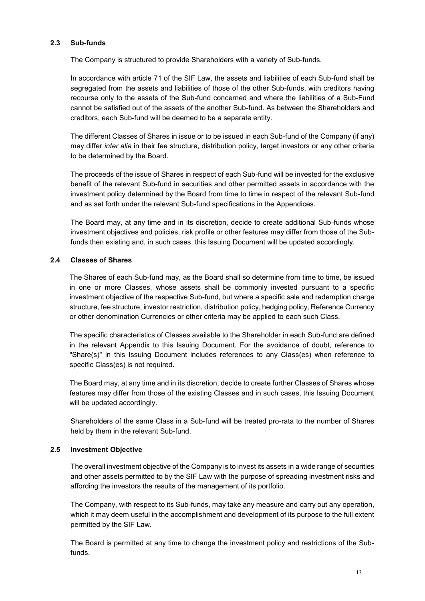### **2.3 Sub-funds**

The Company is structured to provide Shareholders with a variety of Sub-funds.

In accordance with article 71 of the SIF Law, the assets and liabilities of each Sub-fund shall be segregated from the assets and liabilities of those of the other Sub-funds, with creditors having recourse only to the assets of the Sub-fund concerned and where the liabilities of a Sub-Fund cannot be satisfied out of the assets of the another Sub-fund. As between the Shareholders and creditors, each Sub-fund will be deemed to be a separate entity.

The different Classes of Shares in issue or to be issued in each Sub-fund of the Company (if any) may differ *inter alia* in their fee structure, distribution policy, target investors or any other criteria to be determined by the Board.

The proceeds of the issue of Shares in respect of each Sub-fund will be invested for the exclusive benefit of the relevant Sub-fund in securities and other permitted assets in accordance with the investment policy determined by the Board from time to time in respect of the relevant Sub-fund and as set forth under the relevant Sub-fund specifications in the Appendices.

The Board may, at any time and in its discretion, decide to create additional Sub-funds whose investment objectives and policies, risk profile or other features may differ from those of the Subfunds then existing and, in such cases, this Issuing Document will be updated accordingly.

### **2.4 Classes of Shares**

The Shares of each Sub-fund may, as the Board shall so determine from time to time, be issued in one or more Classes, whose assets shall be commonly invested pursuant to a specific investment objective of the respective Sub-fund, but where a specific sale and redemption charge structure, fee structure, investor restriction, distribution policy, hedging policy, Reference Currency or other denomination Currencies or other criteria may be applied to each such Class.

The specific characteristics of Classes available to the Shareholder in each Sub-fund are defined in the relevant Appendix to this Issuing Document. For the avoidance of doubt, reference to "Share(s)" in this Issuing Document includes references to any Class(es) when reference to specific Class(es) is not required.

The Board may, at any time and in its discretion, decide to create further Classes of Shares whose features may differ from those of the existing Classes and in such cases, this Issuing Document will be updated accordingly.

Shareholders of the same Class in a Sub-fund will be treated pro-rata to the number of Shares held by them in the relevant Sub-fund.

# **2.5 Investment Objective**

The overall investment objective of the Company is to invest its assets in a wide range of securities and other assets permitted to by the SIF Law with the purpose of spreading investment risks and affording the investors the results of the management of its portfolio.

The Company, with respect to its Sub-funds, may take any measure and carry out any operation, which it may deem useful in the accomplishment and development of its purpose to the full extent permitted by the SIF Law.

The Board is permitted at any time to change the investment policy and restrictions of the Subfunds.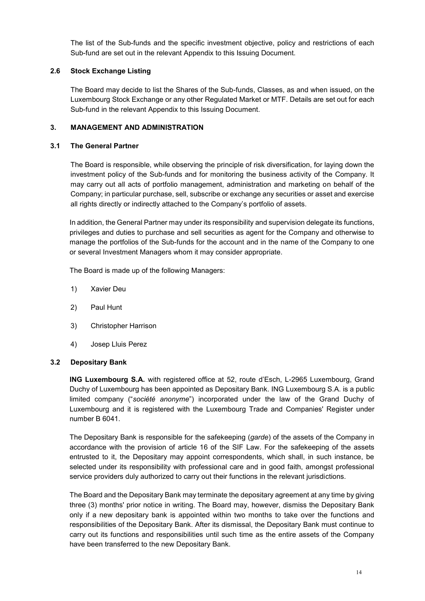The list of the Sub-funds and the specific investment objective, policy and restrictions of each Sub-fund are set out in the relevant Appendix to this Issuing Document.

# **2.6 Stock Exchange Listing**

The Board may decide to list the Shares of the Sub-funds, Classes, as and when issued, on the Luxembourg Stock Exchange or any other Regulated Market or MTF. Details are set out for each Sub-fund in the relevant Appendix to this Issuing Document.

## <span id="page-13-0"></span>**3. MANAGEMENT AND ADMINISTRATION**

# **3.1 The General Partner**

The Board is responsible, while observing the principle of risk diversification, for laying down the investment policy of the Sub-funds and for monitoring the business activity of the Company. It may carry out all acts of portfolio management, administration and marketing on behalf of the Company; in particular purchase, sell, subscribe or exchange any securities or asset and exercise all rights directly or indirectly attached to the Company's portfolio of assets.

In addition, the General Partner may under its responsibility and supervision delegate its functions, privileges and duties to purchase and sell securities as agent for the Company and otherwise to manage the portfolios of the Sub-funds for the account and in the name of the Company to one or several Investment Managers whom it may consider appropriate.

The Board is made up of the following Managers:

- 1) Xavier Deu
- 2) Paul Hunt
- 3) Christopher Harrison
- 4) Josep Lluis Perez

### **3.2 Depositary Bank**

**ING Luxembourg S.A.** with registered office at 52, route d'Esch, L-2965 Luxembourg, Grand Duchy of Luxembourg has been appointed as Depositary Bank. ING Luxembourg S.A. is a public limited company ("*société anonyme*") incorporated under the law of the Grand Duchy of Luxembourg and it is registered with the Luxembourg Trade and Companies' Register under number B 6041.

The Depositary Bank is responsible for the safekeeping (*garde*) of the assets of the Company in accordance with the provision of article 16 of the SIF Law. For the safekeeping of the assets entrusted to it, the Depositary may appoint correspondents, which shall, in such instance, be selected under its responsibility with professional care and in good faith, amongst professional service providers duly authorized to carry out their functions in the relevant jurisdictions.

The Board and the Depositary Bank may terminate the depositary agreement at any time by giving three (3) months' prior notice in writing. The Board may, however, dismiss the Depositary Bank only if a new depositary bank is appointed within two months to take over the functions and responsibilities of the Depositary Bank. After its dismissal, the Depositary Bank must continue to carry out its functions and responsibilities until such time as the entire assets of the Company have been transferred to the new Depositary Bank.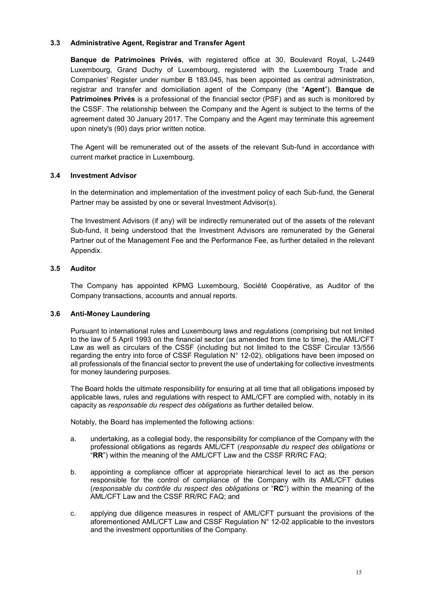### **3.3 Administrative Agent, Registrar and Transfer Agent**

**Banque de Patrimoines Privés**, with registered office at 30, Boulevard Royal, L-2449 Luxembourg, Grand Duchy of Luxembourg, registered with the Luxembourg Trade and Companies' Register under number B 183.045, has been appointed as central administration, registrar and transfer and domiciliation agent of the Company (the "**Agent**"). **Banque de Patrimoines Privés** is a professional of the financial sector (PSF) and as such is monitored by the CSSF. The relationship between the Company and the Agent is subject to the terms of the agreement dated 30 January 2017. The Company and the Agent may terminate this agreement upon ninety's (90) days prior written notice.

The Agent will be remunerated out of the assets of the relevant Sub-fund in accordance with current market practice in Luxembourg.

# **3.4 Investment Advisor**

In the determination and implementation of the investment policy of each Sub-fund, the General Partner may be assisted by one or several Investment Advisor(s).

The Investment Advisors (if any) will be indirectly remunerated out of the assets of the relevant Sub-fund, it being understood that the Investment Advisors are remunerated by the General Partner out of the Management Fee and the Performance Fee, as further detailed in the relevant Appendix.

# **3.5 Auditor**

The Company has appointed KPMG Luxembourg, Société Coopérative, as Auditor of the Company transactions, accounts and annual reports.

### **3.6 Anti-Money Laundering**

Pursuant to international rules and Luxembourg laws and regulations (comprising but not limited to the law of 5 April 1993 on the financial sector (as amended from time to time), the AML/CFT Law as well as circulars of the CSSF (including but not limited to the CSSF Circular 13/556 regarding the entry into force of CSSF Regulation N° 12-02), obligations have been imposed on all professionals of the financial sector to prevent the use of undertaking for collective investments for money laundering purposes.

The Board holds the ultimate responsibility for ensuring at all time that all obligations imposed by applicable laws, rules and regulations with respect to AML/CFT are complied with, notably in its capacity as *responsable du respect des obligations* as further detailed below.

Notably, the Board has implemented the following actions:

- a. undertaking, as a collegial body, the responsibility for compliance of the Company with the professional obligations as regards AML/CFT (*responsable du respect des obligations* or "**RR**") within the meaning of the AML/CFT Law and the CSSF RR/RC FAQ;
- b. appointing a compliance officer at appropriate hierarchical level to act as the person responsible for the control of compliance of the Company with its AML/CFT duties (*responsable du contrôle du respect des obligations* or "**RC**") within the meaning of the AML/CFT Law and the CSSF RR/RC FAQ; and
- c. applying due diligence measures in respect of AML/CFT pursuant the provisions of the aforementioned AML/CFT Law and CSSF Regulation N° 12-02 applicable to the investors and the investment opportunities of the Company.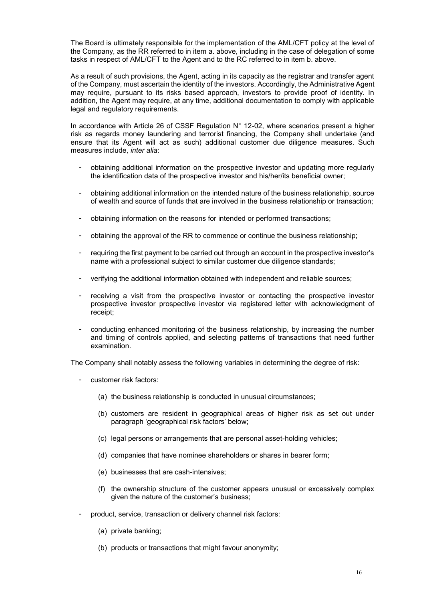The Board is ultimately responsible for the implementation of the AML/CFT policy at the level of the Company, as the RR referred to in item a. above, including in the case of delegation of some tasks in respect of AML/CFT to the Agent and to the RC referred to in item b. above.

As a result of such provisions, the Agent, acting in its capacity as the registrar and transfer agent of the Company, must ascertain the identity of the investors. Accordingly, the Administrative Agent may require, pursuant to its risks based approach, investors to provide proof of identity. In addition, the Agent may require, at any time, additional documentation to comply with applicable legal and regulatory requirements.

In accordance with Article 26 of CSSF Regulation  $N^{\circ}$  12-02, where scenarios present a higher risk as regards money laundering and terrorist financing, the Company shall undertake (and ensure that its Agent will act as such) additional customer due diligence measures. Such measures include, *inter alia*:

- obtaining additional information on the prospective investor and updating more regularly the identification data of the prospective investor and his/her/its beneficial owner;
- obtaining additional information on the intended nature of the business relationship, source of wealth and source of funds that are involved in the business relationship or transaction;
- obtaining information on the reasons for intended or performed transactions;
- obtaining the approval of the RR to commence or continue the business relationship;
- requiring the first payment to be carried out through an account in the prospective investor's name with a professional subject to similar customer due diligence standards;
- verifying the additional information obtained with independent and reliable sources;
- receiving a visit from the prospective investor or contacting the prospective investor prospective investor prospective investor via registered letter with acknowledgment of receipt;
- conducting enhanced monitoring of the business relationship, by increasing the number and timing of controls applied, and selecting patterns of transactions that need further examination.

The Company shall notably assess the following variables in determining the degree of risk:

- customer risk factors:
	- (a) the business relationship is conducted in unusual circumstances;
	- (b) customers are resident in geographical areas of higher risk as set out under paragraph 'geographical risk factors' below;
	- (c) legal persons or arrangements that are personal asset-holding vehicles;
	- (d) companies that have nominee shareholders or shares in bearer form;
	- (e) businesses that are cash-intensives;
	- (f) the ownership structure of the customer appears unusual or excessively complex given the nature of the customer's business;
- product, service, transaction or delivery channel risk factors:
	- (a) private banking;
	- (b) products or transactions that might favour anonymity;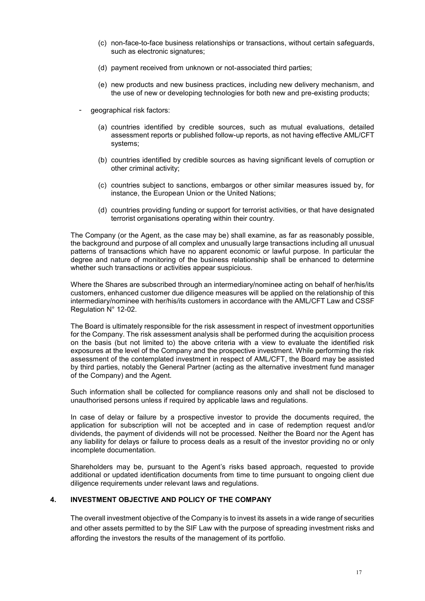- (c) non-face-to-face business relationships or transactions, without certain safeguards, such as electronic signatures;
- (d) payment received from unknown or not-associated third parties;
- (e) new products and new business practices, including new delivery mechanism, and the use of new or developing technologies for both new and pre-existing products;
- qeographical risk factors:
	- (a) countries identified by credible sources, such as mutual evaluations, detailed assessment reports or published follow-up reports, as not having effective AML/CFT systems;
	- (b) countries identified by credible sources as having significant levels of corruption or other criminal activity;
	- (c) countries subject to sanctions, embargos or other similar measures issued by, for instance, the European Union or the United Nations;
	- (d) countries providing funding or support for terrorist activities, or that have designated terrorist organisations operating within their country.

The Company (or the Agent, as the case may be) shall examine, as far as reasonably possible, the background and purpose of all complex and unusually large transactions including all unusual patterns of transactions which have no apparent economic or lawful purpose. In particular the degree and nature of monitoring of the business relationship shall be enhanced to determine whether such transactions or activities appear suspicious.

Where the Shares are subscribed through an intermediary/nominee acting on behalf of her/his/its customers, enhanced customer due diligence measures will be applied on the relationship of this intermediary/nominee with her/his/its customers in accordance with the AML/CFT Law and CSSF Regulation N° 12-02.

The Board is ultimately responsible for the risk assessment in respect of investment opportunities for the Company. The risk assessment analysis shall be performed during the acquisition process on the basis (but not limited to) the above criteria with a view to evaluate the identified risk exposures at the level of the Company and the prospective investment. While performing the risk assessment of the contemplated investment in respect of AML/CFT, the Board may be assisted by third parties, notably the General Partner (acting as the alternative investment fund manager of the Company) and the Agent.

Such information shall be collected for compliance reasons only and shall not be disclosed to unauthorised persons unless if required by applicable laws and regulations.

In case of delay or failure by a prospective investor to provide the documents required, the application for subscription will not be accepted and in case of redemption request and/or dividends, the payment of dividends will not be processed. Neither the Board nor the Agent has any liability for delays or failure to process deals as a result of the investor providing no or only incomplete documentation.

Shareholders may be, pursuant to the Agent's risks based approach, requested to provide additional or updated identification documents from time to time pursuant to ongoing client due diligence requirements under relevant laws and regulations.

#### <span id="page-16-0"></span>**4. INVESTMENT OBJECTIVE AND POLICY OF THE COMPANY**

The overall investment objective of the Company is to invest its assets in a wide range of securities and other assets permitted to by the SIF Law with the purpose of spreading investment risks and affording the investors the results of the management of its portfolio.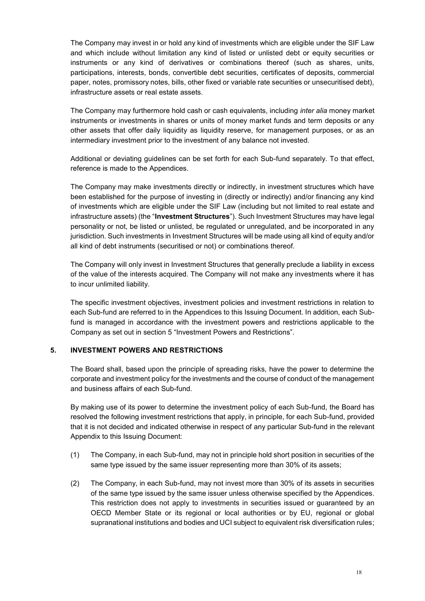The Company may invest in or hold any kind of investments which are eligible under the SIF Law and which include without limitation any kind of listed or unlisted debt or equity securities or instruments or any kind of derivatives or combinations thereof (such as shares, units, participations, interests, bonds, convertible debt securities, certificates of deposits, commercial paper, notes, promissory notes, bills, other fixed or variable rate securities or unsecuritised debt), infrastructure assets or real estate assets.

The Company may furthermore hold cash or cash equivalents, including *inter alia* money market instruments or investments in shares or units of money market funds and term deposits or any other assets that offer daily liquidity as liquidity reserve, for management purposes, or as an intermediary investment prior to the investment of any balance not invested.

Additional or deviating guidelines can be set forth for each Sub-fund separately. To that effect, reference is made to the Appendices.

The Company may make investments directly or indirectly, in investment structures which have been established for the purpose of investing in (directly or indirectly) and/or financing any kind of investments which are eligible under the SIF Law (including but not limited to real estate and infrastructure assets) (the "**Investment Structures**"). Such Investment Structures may have legal personality or not, be listed or unlisted, be regulated or unregulated, and be incorporated in any jurisdiction. Such investments in Investment Structures will be made using all kind of equity and/or all kind of debt instruments (securitised or not) or combinations thereof.

The Company will only invest in Investment Structures that generally preclude a liability in excess of the value of the interests acquired. The Company will not make any investments where it has to incur unlimited liability.

The specific investment objectives, investment policies and investment restrictions in relation to each Sub-fund are referred to in the Appendices to this Issuing Document. In addition, each Subfund is managed in accordance with the investment powers and restrictions applicable to the Company as set out in section 5 "Investment Powers and Restrictions".

### <span id="page-17-0"></span>**5. INVESTMENT POWERS AND RESTRICTIONS**

The Board shall, based upon the principle of spreading risks, have the power to determine the corporate and investment policy for the investments and the course of conduct of the management and business affairs of each Sub-fund.

By making use of its power to determine the investment policy of each Sub-fund, the Board has resolved the following investment restrictions that apply, in principle, for each Sub-fund, provided that it is not decided and indicated otherwise in respect of any particular Sub-fund in the relevant Appendix to this Issuing Document:

- (1) The Company, in each Sub-fund, may not in principle hold short position in securities of the same type issued by the same issuer representing more than 30% of its assets;
- (2) The Company, in each Sub-fund, may not invest more than 30% of its assets in securities of the same type issued by the same issuer unless otherwise specified by the Appendices. This restriction does not apply to investments in securities issued or guaranteed by an OECD Member State or its regional or local authorities or by EU, regional or global supranational institutions and bodies and UCI subject to equivalent risk diversification rules;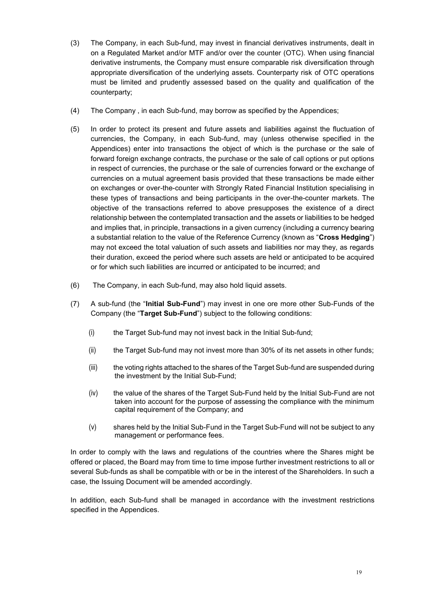- (3) The Company, in each Sub-fund, may invest in financial derivatives instruments, dealt in on a Regulated Market and/or MTF and/or over the counter (OTC). When using financial derivative instruments, the Company must ensure comparable risk diversification through appropriate diversification of the underlying assets. Counterparty risk of OTC operations must be limited and prudently assessed based on the quality and qualification of the counterparty;
- (4) The Company , in each Sub-fund, may borrow as specified by the Appendices;
- (5) In order to protect its present and future assets and liabilities against the fluctuation of currencies, the Company, in each Sub-fund, may (unless otherwise specified in the Appendices) enter into transactions the object of which is the purchase or the sale of forward foreign exchange contracts, the purchase or the sale of call options or put options in respect of currencies, the purchase or the sale of currencies forward or the exchange of currencies on a mutual agreement basis provided that these transactions be made either on exchanges or over-the-counter with Strongly Rated Financial Institution specialising in these types of transactions and being participants in the over-the-counter markets. The objective of the transactions referred to above presupposes the existence of a direct relationship between the contemplated transaction and the assets or liabilities to be hedged and implies that, in principle, transactions in a given currency (including a currency bearing a substantial relation to the value of the Reference Currency (known as "**Cross Hedging**") may not exceed the total valuation of such assets and liabilities nor may they, as regards their duration, exceed the period where such assets are held or anticipated to be acquired or for which such liabilities are incurred or anticipated to be incurred; and
- (6) The Company, in each Sub-fund, may also hold liquid assets.
- (7) A sub-fund (the "**Initial Sub-Fund**") may invest in one ore more other Sub-Funds of the Company (the "**Target Sub-Fund**") subject to the following conditions:
	- (i) the Target Sub-fund may not invest back in the Initial Sub-fund;
	- (ii) the Target Sub-fund may not invest more than 30% of its net assets in other funds;
	- (iii) the voting rights attached to the shares of the Target Sub-fund are suspended during the investment by the Initial Sub-Fund;
	- (iv) the value of the shares of the Target Sub-Fund held by the Initial Sub-Fund are not taken into account for the purpose of assessing the compliance with the minimum capital requirement of the Company; and
	- (v) shares held by the Initial Sub-Fund in the Target Sub-Fund will not be subject to any management or performance fees.

In order to comply with the laws and regulations of the countries where the Shares might be offered or placed, the Board may from time to time impose further investment restrictions to all or several Sub-funds as shall be compatible with or be in the interest of the Shareholders. In such a case, the Issuing Document will be amended accordingly.

In addition, each Sub-fund shall be managed in accordance with the investment restrictions specified in the Appendices.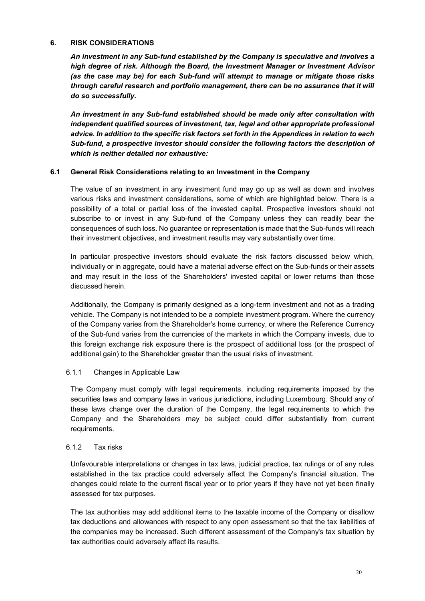#### <span id="page-19-0"></span>**6. RISK CONSIDERATIONS**

*An investment in any Sub-fund established by the Company is speculative and involves a high degree of risk. Although the Board, the Investment Manager or Investment Advisor (as the case may be) for each Sub-fund will attempt to manage or mitigate those risks through careful research and portfolio management, there can be no assurance that it will do so successfully.* 

*An investment in any Sub-fund established should be made only after consultation with independent qualified sources of investment, tax, legal and other appropriate professional advice. In addition to the specific risk factors set forth in the Appendices in relation to each Sub-fund, a prospective investor should consider the following factors the description of which is neither detailed nor exhaustive:*

### **6.1 General Risk Considerations relating to an Investment in the Company**

The value of an investment in any investment fund may go up as well as down and involves various risks and investment considerations, some of which are highlighted below. There is a possibility of a total or partial loss of the invested capital. Prospective investors should not subscribe to or invest in any Sub-fund of the Company unless they can readily bear the consequences of such loss. No guarantee or representation is made that the Sub-funds will reach their investment objectives, and investment results may vary substantially over time.

In particular prospective investors should evaluate the risk factors discussed below which, individually or in aggregate, could have a material adverse effect on the Sub-funds or their assets and may result in the loss of the Shareholders' invested capital or lower returns than those discussed herein.

Additionally, the Company is primarily designed as a long-term investment and not as a trading vehicle. The Company is not intended to be a complete investment program. Where the currency of the Company varies from the Shareholder's home currency, or where the Reference Currency of the Sub-fund varies from the currencies of the markets in which the Company invests, due to this foreign exchange risk exposure there is the prospect of additional loss (or the prospect of additional gain) to the Shareholder greater than the usual risks of investment.

### 6.1.1 Changes in Applicable Law

The Company must comply with legal requirements, including requirements imposed by the securities laws and company laws in various jurisdictions, including Luxembourg. Should any of these laws change over the duration of the Company, the legal requirements to which the Company and the Shareholders may be subject could differ substantially from current requirements.

### 6.1.2 Tax risks

Unfavourable interpretations or changes in tax laws, judicial practice, tax rulings or of any rules established in the tax practice could adversely affect the Company's financial situation. The changes could relate to the current fiscal year or to prior years if they have not yet been finally assessed for tax purposes.

The tax authorities may add additional items to the taxable income of the Company or disallow tax deductions and allowances with respect to any open assessment so that the tax liabilities of the companies may be increased. Such different assessment of the Company's tax situation by tax authorities could adversely affect its results.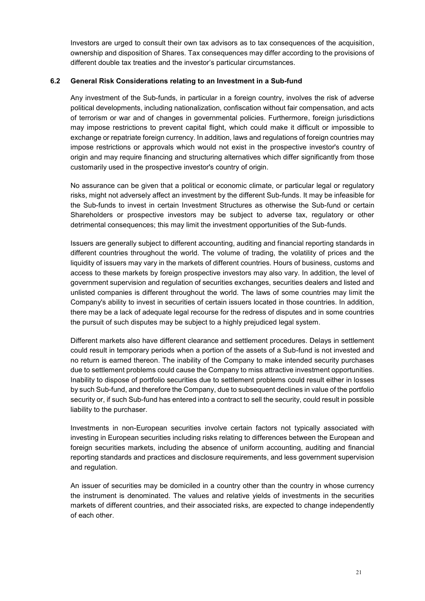Investors are urged to consult their own tax advisors as to tax consequences of the acquisition, ownership and disposition of Shares. Tax consequences may differ according to the provisions of different double tax treaties and the investor's particular circumstances.

## **6.2 General Risk Considerations relating to an Investment in a Sub-fund**

Any investment of the Sub-funds, in particular in a foreign country, involves the risk of adverse political developments, including nationalization, confiscation without fair compensation, and acts of terrorism or war and of changes in governmental policies. Furthermore, foreign jurisdictions may impose restrictions to prevent capital flight, which could make it difficult or impossible to exchange or repatriate foreign currency. In addition, laws and regulations of foreign countries may impose restrictions or approvals which would not exist in the prospective investor's country of origin and may require financing and structuring alternatives which differ significantly from those customarily used in the prospective investor's country of origin.

No assurance can be given that a political or economic climate, or particular legal or regulatory risks, might not adversely affect an investment by the different Sub-funds. It may be infeasible for the Sub-funds to invest in certain Investment Structures as otherwise the Sub-fund or certain Shareholders or prospective investors may be subject to adverse tax, regulatory or other detrimental consequences; this may limit the investment opportunities of the Sub-funds.

Issuers are generally subject to different accounting, auditing and financial reporting standards in different countries throughout the world. The volume of trading, the volatility of prices and the liquidity of issuers may vary in the markets of different countries. Hours of business, customs and access to these markets by foreign prospective investors may also vary. In addition, the level of government supervision and regulation of securities exchanges, securities dealers and listed and unlisted companies is different throughout the world. The laws of some countries may limit the Company's ability to invest in securities of certain issuers located in those countries. In addition, there may be a lack of adequate legal recourse for the redress of disputes and in some countries the pursuit of such disputes may be subject to a highly prejudiced legal system.

Different markets also have different clearance and settlement procedures. Delays in settlement could result in temporary periods when a portion of the assets of a Sub-fund is not invested and no return is earned thereon. The inability of the Company to make intended security purchases due to settlement problems could cause the Company to miss attractive investment opportunities. Inability to dispose of portfolio securities due to settlement problems could result either in losses by such Sub-fund, and therefore the Company, due to subsequent declines in value of the portfolio security or, if such Sub-fund has entered into a contract to sell the security, could result in possible liability to the purchaser.

Investments in non-European securities involve certain factors not typically associated with investing in European securities including risks relating to differences between the European and foreign securities markets, including the absence of uniform accounting, auditing and financial reporting standards and practices and disclosure requirements, and less government supervision and regulation.

An issuer of securities may be domiciled in a country other than the country in whose currency the instrument is denominated. The values and relative yields of investments in the securities markets of different countries, and their associated risks, are expected to change independently of each other.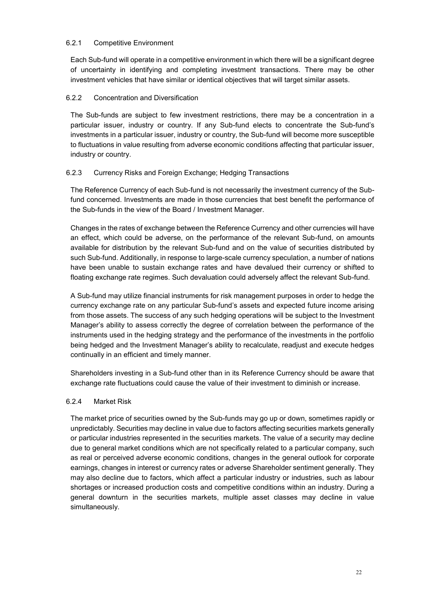### 6.2.1 Competitive Environment

Each Sub-fund will operate in a competitive environment in which there will be a significant degree of uncertainty in identifying and completing investment transactions. There may be other investment vehicles that have similar or identical objectives that will target similar assets.

# 6.2.2 Concentration and Diversification

The Sub-funds are subject to few investment restrictions, there may be a concentration in a particular issuer, industry or country. If any Sub-fund elects to concentrate the Sub-fund's investments in a particular issuer, industry or country, the Sub-fund will become more susceptible to fluctuations in value resulting from adverse economic conditions affecting that particular issuer, industry or country.

# 6.2.3 Currency Risks and Foreign Exchange; Hedging Transactions

The Reference Currency of each Sub-fund is not necessarily the investment currency of the Subfund concerned. Investments are made in those currencies that best benefit the performance of the Sub-funds in the view of the Board / Investment Manager.

Changes in the rates of exchange between the Reference Currency and other currencies will have an effect, which could be adverse, on the performance of the relevant Sub-fund, on amounts available for distribution by the relevant Sub-fund and on the value of securities distributed by such Sub-fund. Additionally, in response to large-scale currency speculation, a number of nations have been unable to sustain exchange rates and have devalued their currency or shifted to floating exchange rate regimes. Such devaluation could adversely affect the relevant Sub-fund.

A Sub-fund may utilize financial instruments for risk management purposes in order to hedge the currency exchange rate on any particular Sub-fund's assets and expected future income arising from those assets. The success of any such hedging operations will be subject to the Investment Manager's ability to assess correctly the degree of correlation between the performance of the instruments used in the hedging strategy and the performance of the investments in the portfolio being hedged and the Investment Manager's ability to recalculate, readjust and execute hedges continually in an efficient and timely manner.

Shareholders investing in a Sub-fund other than in its Reference Currency should be aware that exchange rate fluctuations could cause the value of their investment to diminish or increase.

### 6.2.4 Market Risk

The market price of securities owned by the Sub-funds may go up or down, sometimes rapidly or unpredictably. Securities may decline in value due to factors affecting securities markets generally or particular industries represented in the securities markets. The value of a security may decline due to general market conditions which are not specifically related to a particular company, such as real or perceived adverse economic conditions, changes in the general outlook for corporate earnings, changes in interest or currency rates or adverse Shareholder sentiment generally. They may also decline due to factors, which affect a particular industry or industries, such as labour shortages or increased production costs and competitive conditions within an industry. During a general downturn in the securities markets, multiple asset classes may decline in value simultaneously.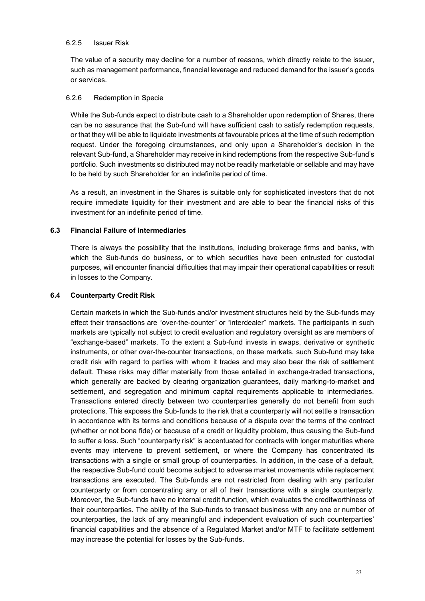#### 6.2.5 Issuer Risk

The value of a security may decline for a number of reasons, which directly relate to the issuer, such as management performance, financial leverage and reduced demand for the issuer's goods or services.

### 6.2.6 Redemption in Specie

While the Sub-funds expect to distribute cash to a Shareholder upon redemption of Shares, there can be no assurance that the Sub-fund will have sufficient cash to satisfy redemption requests, or that they will be able to liquidate investments at favourable prices at the time of such redemption request. Under the foregoing circumstances, and only upon a Shareholder's decision in the relevant Sub-fund, a Shareholder may receive in kind redemptions from the respective Sub-fund's portfolio. Such investments so distributed may not be readily marketable or sellable and may have to be held by such Shareholder for an indefinite period of time.

As a result, an investment in the Shares is suitable only for sophisticated investors that do not require immediate liquidity for their investment and are able to bear the financial risks of this investment for an indefinite period of time.

### **6.3 Financial Failure of Intermediaries**

There is always the possibility that the institutions, including brokerage firms and banks, with which the Sub-funds do business, or to which securities have been entrusted for custodial purposes, will encounter financial difficulties that may impair their operational capabilities or result in losses to the Company.

#### **6.4 Counterparty Credit Risk**

Certain markets in which the Sub-funds and/or investment structures held by the Sub-funds may effect their transactions are "over-the-counter" or "interdealer" markets. The participants in such markets are typically not subject to credit evaluation and regulatory oversight as are members of "exchange-based" markets. To the extent a Sub-fund invests in swaps, derivative or synthetic instruments, or other over-the-counter transactions, on these markets, such Sub-fund may take credit risk with regard to parties with whom it trades and may also bear the risk of settlement default. These risks may differ materially from those entailed in exchange-traded transactions, which generally are backed by clearing organization guarantees, daily marking-to-market and settlement, and segregation and minimum capital requirements applicable to intermediaries. Transactions entered directly between two counterparties generally do not benefit from such protections. This exposes the Sub-funds to the risk that a counterparty will not settle a transaction in accordance with its terms and conditions because of a dispute over the terms of the contract (whether or not bona fide) or because of a credit or liquidity problem, thus causing the Sub-fund to suffer a loss. Such "counterparty risk" is accentuated for contracts with longer maturities where events may intervene to prevent settlement, or where the Company has concentrated its transactions with a single or small group of counterparties. In addition, in the case of a default, the respective Sub-fund could become subject to adverse market movements while replacement transactions are executed. The Sub-funds are not restricted from dealing with any particular counterparty or from concentrating any or all of their transactions with a single counterparty. Moreover, the Sub-funds have no internal credit function, which evaluates the creditworthiness of their counterparties. The ability of the Sub-funds to transact business with any one or number of counterparties, the lack of any meaningful and independent evaluation of such counterparties' financial capabilities and the absence of a Regulated Market and/or MTF to facilitate settlement may increase the potential for losses by the Sub-funds.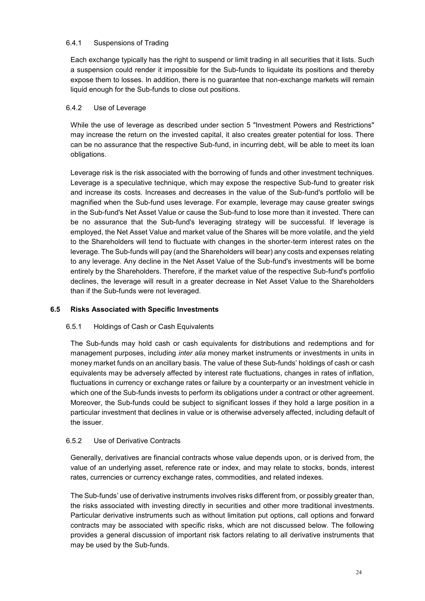# 6.4.1 Suspensions of Trading

Each exchange typically has the right to suspend or limit trading in all securities that it lists. Such a suspension could render it impossible for the Sub-funds to liquidate its positions and thereby expose them to losses. In addition, there is no guarantee that non-exchange markets will remain liquid enough for the Sub-funds to close out positions.

# 6.4.2 Use of Leverage

While the use of leverage as described under section 5 "Investment Powers and Restrictions" may increase the return on the invested capital, it also creates greater potential for loss. There can be no assurance that the respective Sub-fund, in incurring debt, will be able to meet its loan obligations.

Leverage risk is the risk associated with the borrowing of funds and other investment techniques. Leverage is a speculative technique, which may expose the respective Sub-fund to greater risk and increase its costs. Increases and decreases in the value of the Sub-fund's portfolio will be magnified when the Sub-fund uses leverage. For example, leverage may cause greater swings in the Sub-fund's Net Asset Value or cause the Sub-fund to lose more than it invested. There can be no assurance that the Sub-fund's leveraging strategy will be successful. If leverage is employed, the Net Asset Value and market value of the Shares will be more volatile, and the yield to the Shareholders will tend to fluctuate with changes in the shorter-term interest rates on the leverage. The Sub-funds will pay (and the Shareholders will bear) any costs and expenses relating to any leverage. Any decline in the Net Asset Value of the Sub-fund's investments will be borne entirely by the Shareholders. Therefore, if the market value of the respective Sub-fund's portfolio declines, the leverage will result in a greater decrease in Net Asset Value to the Shareholders than if the Sub-funds were not leveraged.

# **6.5 Risks Associated with Specific Investments**

### 6.5.1 Holdings of Cash or Cash Equivalents

The Sub-funds may hold cash or cash equivalents for distributions and redemptions and for management purposes, including *inter alia* money market instruments or investments in units in money market funds on an ancillary basis. The value of these Sub-funds' holdings of cash or cash equivalents may be adversely affected by interest rate fluctuations, changes in rates of inflation, fluctuations in currency or exchange rates or failure by a counterparty or an investment vehicle in which one of the Sub-funds invests to perform its obligations under a contract or other agreement. Moreover, the Sub-funds could be subject to significant losses if they hold a large position in a particular investment that declines in value or is otherwise adversely affected, including default of the issuer.

### 6.5.2 Use of Derivative Contracts

Generally, derivatives are financial contracts whose value depends upon, or is derived from, the value of an underlying asset, reference rate or index, and may relate to stocks, bonds, interest rates, currencies or currency exchange rates, commodities, and related indexes.

The Sub-funds' use of derivative instruments involves risks different from, or possibly greater than, the risks associated with investing directly in securities and other more traditional investments. Particular derivative instruments such as without limitation put options, call options and forward contracts may be associated with specific risks, which are not discussed below. The following provides a general discussion of important risk factors relating to all derivative instruments that may be used by the Sub-funds.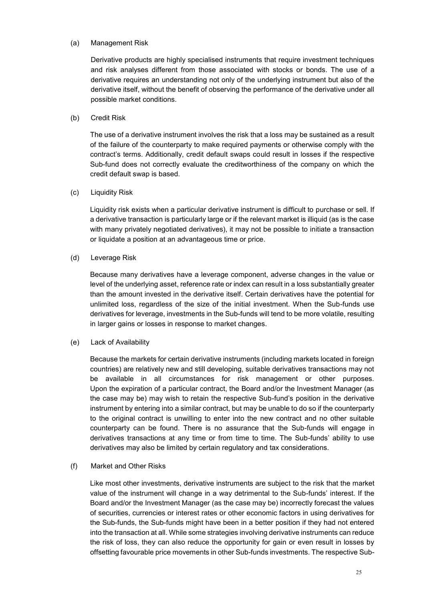#### (a) Management Risk

Derivative products are highly specialised instruments that require investment techniques and risk analyses different from those associated with stocks or bonds. The use of a derivative requires an understanding not only of the underlying instrument but also of the derivative itself, without the benefit of observing the performance of the derivative under all possible market conditions.

### (b) Credit Risk

The use of a derivative instrument involves the risk that a loss may be sustained as a result of the failure of the counterparty to make required payments or otherwise comply with the contract's terms. Additionally, credit default swaps could result in losses if the respective Sub-fund does not correctly evaluate the creditworthiness of the company on which the credit default swap is based.

#### (c) Liquidity Risk

Liquidity risk exists when a particular derivative instrument is difficult to purchase or sell. If a derivative transaction is particularly large or if the relevant market is illiquid (as is the case with many privately negotiated derivatives), it may not be possible to initiate a transaction or liquidate a position at an advantageous time or price.

#### (d) Leverage Risk

Because many derivatives have a leverage component, adverse changes in the value or level of the underlying asset, reference rate or index can result in a loss substantially greater than the amount invested in the derivative itself. Certain derivatives have the potential for unlimited loss, regardless of the size of the initial investment. When the Sub-funds use derivatives for leverage, investments in the Sub-funds will tend to be more volatile, resulting in larger gains or losses in response to market changes.

### (e) Lack of Availability

Because the markets for certain derivative instruments (including markets located in foreign countries) are relatively new and still developing, suitable derivatives transactions may not be available in all circumstances for risk management or other purposes. Upon the expiration of a particular contract, the Board and/or the Investment Manager (as the case may be) may wish to retain the respective Sub-fund's position in the derivative instrument by entering into a similar contract, but may be unable to do so if the counterparty to the original contract is unwilling to enter into the new contract and no other suitable counterparty can be found. There is no assurance that the Sub-funds will engage in derivatives transactions at any time or from time to time. The Sub-funds' ability to use derivatives may also be limited by certain regulatory and tax considerations.

### (f) Market and Other Risks

Like most other investments, derivative instruments are subject to the risk that the market value of the instrument will change in a way detrimental to the Sub-funds' interest. If the Board and/or the Investment Manager (as the case may be) incorrectly forecast the values of securities, currencies or interest rates or other economic factors in using derivatives for the Sub-funds, the Sub-funds might have been in a better position if they had not entered into the transaction at all. While some strategies involving derivative instruments can reduce the risk of loss, they can also reduce the opportunity for gain or even result in losses by offsetting favourable price movements in other Sub-funds investments. The respective Sub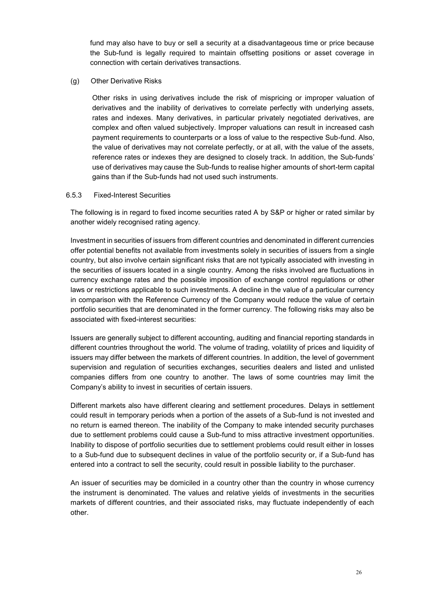fund may also have to buy or sell a security at a disadvantageous time or price because the Sub-fund is legally required to maintain offsetting positions or asset coverage in connection with certain derivatives transactions.

#### (g) Other Derivative Risks

Other risks in using derivatives include the risk of mispricing or improper valuation of derivatives and the inability of derivatives to correlate perfectly with underlying assets, rates and indexes. Many derivatives, in particular privately negotiated derivatives, are complex and often valued subjectively. Improper valuations can result in increased cash payment requirements to counterparts or a loss of value to the respective Sub-fund. Also, the value of derivatives may not correlate perfectly, or at all, with the value of the assets, reference rates or indexes they are designed to closely track. In addition, the Sub-funds' use of derivatives may cause the Sub-funds to realise higher amounts of short-term capital gains than if the Sub-funds had not used such instruments.

#### 6.5.3 Fixed-Interest Securities

The following is in regard to fixed income securities rated A by S&P or higher or rated similar by another widely recognised rating agency.

Investment in securities of issuers from different countries and denominated in different currencies offer potential benefits not available from investments solely in securities of issuers from a single country, but also involve certain significant risks that are not typically associated with investing in the securities of issuers located in a single country. Among the risks involved are fluctuations in currency exchange rates and the possible imposition of exchange control regulations or other laws or restrictions applicable to such investments. A decline in the value of a particular currency in comparison with the Reference Currency of the Company would reduce the value of certain portfolio securities that are denominated in the former currency. The following risks may also be associated with fixed-interest securities:

Issuers are generally subject to different accounting, auditing and financial reporting standards in different countries throughout the world. The volume of trading, volatility of prices and liquidity of issuers may differ between the markets of different countries. In addition, the level of government supervision and regulation of securities exchanges, securities dealers and listed and unlisted companies differs from one country to another. The laws of some countries may limit the Company's ability to invest in securities of certain issuers.

Different markets also have different clearing and settlement procedures. Delays in settlement could result in temporary periods when a portion of the assets of a Sub-fund is not invested and no return is earned thereon. The inability of the Company to make intended security purchases due to settlement problems could cause a Sub-fund to miss attractive investment opportunities. Inability to dispose of portfolio securities due to settlement problems could result either in losses to a Sub-fund due to subsequent declines in value of the portfolio security or, if a Sub-fund has entered into a contract to sell the security, could result in possible liability to the purchaser.

An issuer of securities may be domiciled in a country other than the country in whose currency the instrument is denominated. The values and relative yields of investments in the securities markets of different countries, and their associated risks, may fluctuate independently of each other.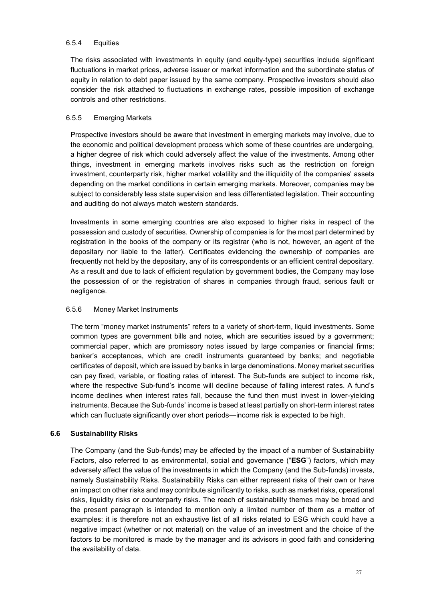### 6.5.4 Equities

The risks associated with investments in equity (and equity-type) securities include significant fluctuations in market prices, adverse issuer or market information and the subordinate status of equity in relation to debt paper issued by the same company. Prospective investors should also consider the risk attached to fluctuations in exchange rates, possible imposition of exchange controls and other restrictions.

#### 6.5.5 Emerging Markets

Prospective investors should be aware that investment in emerging markets may involve, due to the economic and political development process which some of these countries are undergoing, a higher degree of risk which could adversely affect the value of the investments. Among other things, investment in emerging markets involves risks such as the restriction on foreign investment, counterparty risk, higher market volatility and the illiquidity of the companies' assets depending on the market conditions in certain emerging markets. Moreover, companies may be subject to considerably less state supervision and less differentiated legislation. Their accounting and auditing do not always match western standards.

Investments in some emerging countries are also exposed to higher risks in respect of the possession and custody of securities. Ownership of companies is for the most part determined by registration in the books of the company or its registrar (who is not, however, an agent of the depositary nor liable to the latter). Certificates evidencing the ownership of companies are frequently not held by the depositary, any of its correspondents or an efficient central depositary. As a result and due to lack of efficient regulation by government bodies, the Company may lose the possession of or the registration of shares in companies through fraud, serious fault or negligence.

### 6.5.6 Money Market Instruments

The term "money market instruments" refers to a variety of short-term, liquid investments. Some common types are government bills and notes, which are securities issued by a government; commercial paper, which are promissory notes issued by large companies or financial firms; banker's acceptances, which are credit instruments guaranteed by banks; and negotiable certificates of deposit, which are issued by banks in large denominations. Money market securities can pay fixed, variable, or floating rates of interest. The Sub-funds are subject to income risk, where the respective Sub-fund's income will decline because of falling interest rates. A fund's income declines when interest rates fall, because the fund then must invest in lower-yielding instruments. Because the Sub-funds' income is based at least partially on short-term interest rates which can fluctuate significantly over short periods—income risk is expected to be high.

### <span id="page-26-0"></span>**6.6 Sustainability Risks**

The Company (and the Sub-funds) may be affected by the impact of a number of Sustainability Factors, also referred to as environmental, social and governance ("**ESG**") factors, which may adversely affect the value of the investments in which the Company (and the Sub-funds) invests, namely Sustainability Risks. Sustainability Risks can either represent risks of their own or have an impact on other risks and may contribute significantly to risks, such as market risks, operational risks, liquidity risks or counterparty risks. The reach of sustainability themes may be broad and the present paragraph is intended to mention only a limited number of them as a matter of examples: it is therefore not an exhaustive list of all risks related to ESG which could have a negative impact (whether or not material) on the value of an investment and the choice of the factors to be monitored is made by the manager and its advisors in good faith and considering the availability of data.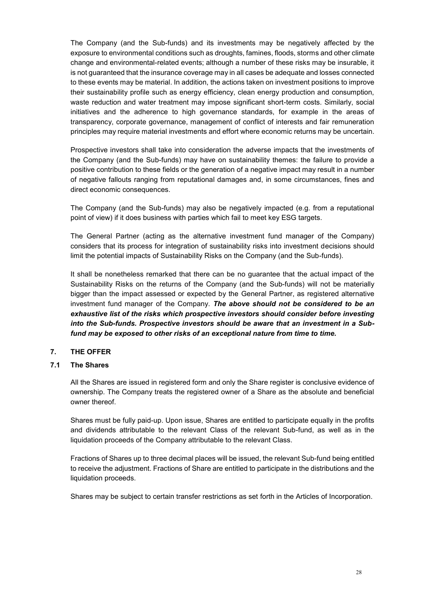The Company (and the Sub-funds) and its investments may be negatively affected by the exposure to environmental conditions such as droughts, famines, floods, storms and other climate change and environmental-related events; although a number of these risks may be insurable, it is not guaranteed that the insurance coverage may in all cases be adequate and losses connected to these events may be material. In addition, the actions taken on investment positions to improve their sustainability profile such as energy efficiency, clean energy production and consumption, waste reduction and water treatment may impose significant short-term costs. Similarly, social initiatives and the adherence to high governance standards, for example in the areas of transparency, corporate governance, management of conflict of interests and fair remuneration principles may require material investments and effort where economic returns may be uncertain.

Prospective investors shall take into consideration the adverse impacts that the investments of the Company (and the Sub-funds) may have on sustainability themes: the failure to provide a positive contribution to these fields or the generation of a negative impact may result in a number of negative fallouts ranging from reputational damages and, in some circumstances, fines and direct economic consequences.

The Company (and the Sub-funds) may also be negatively impacted (e.g. from a reputational point of view) if it does business with parties which fail to meet key ESG targets.

The General Partner (acting as the alternative investment fund manager of the Company) considers that its process for integration of sustainability risks into investment decisions should limit the potential impacts of Sustainability Risks on the Company (and the Sub-funds).

It shall be nonetheless remarked that there can be no guarantee that the actual impact of the Sustainability Risks on the returns of the Company (and the Sub-funds) will not be materially bigger than the impact assessed or expected by the General Partner, as registered alternative investment fund manager of the Company. *The above should not be considered to be an exhaustive list of the risks which prospective investors should consider before investing into the Sub-funds. Prospective investors should be aware that an investment in a Subfund may be exposed to other risks of an exceptional nature from time to time.*

# <span id="page-27-0"></span>**7. THE OFFER**

### **7.1 The Shares**

All the Shares are issued in registered form and only the Share register is conclusive evidence of ownership. The Company treats the registered owner of a Share as the absolute and beneficial owner thereof.

Shares must be fully paid-up. Upon issue, Shares are entitled to participate equally in the profits and dividends attributable to the relevant Class of the relevant Sub-fund, as well as in the liquidation proceeds of the Company attributable to the relevant Class.

Fractions of Shares up to three decimal places will be issued, the relevant Sub-fund being entitled to receive the adjustment. Fractions of Share are entitled to participate in the distributions and the liquidation proceeds.

Shares may be subject to certain transfer restrictions as set forth in the Articles of Incorporation.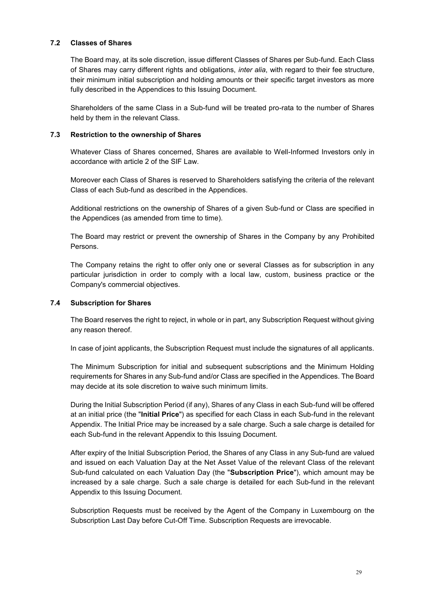### **7.2 Classes of Shares**

The Board may, at its sole discretion, issue different Classes of Shares per Sub-fund. Each Class of Shares may carry different rights and obligations, *inter alia*, with regard to their fee structure, their minimum initial subscription and holding amounts or their specific target investors as more fully described in the Appendices to this Issuing Document.

Shareholders of the same Class in a Sub-fund will be treated pro-rata to the number of Shares held by them in the relevant Class.

## **7.3 Restriction to the ownership of Shares**

Whatever Class of Shares concerned, Shares are available to Well-Informed Investors only in accordance with article 2 of the SIF Law.

Moreover each Class of Shares is reserved to Shareholders satisfying the criteria of the relevant Class of each Sub-fund as described in the Appendices.

Additional restrictions on the ownership of Shares of a given Sub-fund or Class are specified in the Appendices (as amended from time to time).

The Board may restrict or prevent the ownership of Shares in the Company by any Prohibited Persons.

The Company retains the right to offer only one or several Classes as for subscription in any particular jurisdiction in order to comply with a local law, custom, business practice or the Company's commercial objectives.

# <span id="page-28-0"></span>**7.4 Subscription for Shares**

The Board reserves the right to reject, in whole or in part, any Subscription Request without giving any reason thereof.

In case of joint applicants, the Subscription Request must include the signatures of all applicants.

The Minimum Subscription for initial and subsequent subscriptions and the Minimum Holding requirements for Shares in any Sub-fund and/or Class are specified in the Appendices. The Board may decide at its sole discretion to waive such minimum limits.

During the Initial Subscription Period (if any), Shares of any Class in each Sub-fund will be offered at an initial price (the "**Initial Price**") as specified for each Class in each Sub-fund in the relevant Appendix. The Initial Price may be increased by a sale charge. Such a sale charge is detailed for each Sub-fund in the relevant Appendix to this Issuing Document.

After expiry of the Initial Subscription Period, the Shares of any Class in any Sub-fund are valued and issued on each Valuation Day at the Net Asset Value of the relevant Class of the relevant Sub-fund calculated on each Valuation Day (the "**Subscription Price**"), which amount may be increased by a sale charge. Such a sale charge is detailed for each Sub-fund in the relevant Appendix to this Issuing Document.

Subscription Requests must be received by the Agent of the Company in Luxembourg on the Subscription Last Day before Cut-Off Time. Subscription Requests are irrevocable.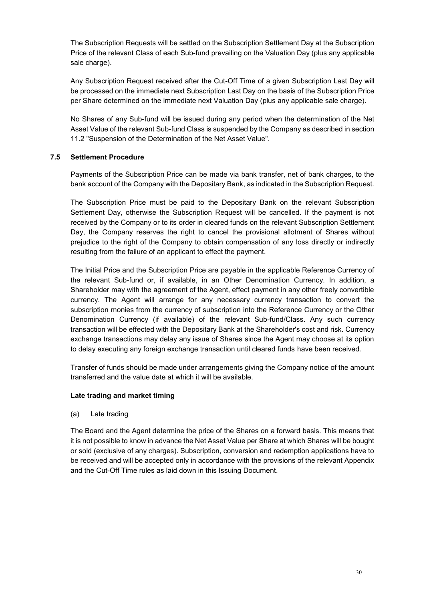The Subscription Requests will be settled on the Subscription Settlement Day at the Subscription Price of the relevant Class of each Sub-fund prevailing on the Valuation Day (plus any applicable sale charge).

Any Subscription Request received after the Cut-Off Time of a given Subscription Last Day will be processed on the immediate next Subscription Last Day on the basis of the Subscription Price per Share determined on the immediate next Valuation Day (plus any applicable sale charge).

No Shares of any Sub-fund will be issued during any period when the determination of the Net Asset Value of the relevant Sub-fund Class is suspended by the Company as described in section [11.2](#page-36-0) "Suspension of the Determination of the Net Asset Value".

# **7.5 Settlement Procedure**

Payments of the Subscription Price can be made via bank transfer, net of bank charges, to the bank account of the Company with the Depositary Bank, as indicated in the Subscription Request.

The Subscription Price must be paid to the Depositary Bank on the relevant Subscription Settlement Day, otherwise the Subscription Request will be cancelled. If the payment is not received by the Company or to its order in cleared funds on the relevant Subscription Settlement Day, the Company reserves the right to cancel the provisional allotment of Shares without prejudice to the right of the Company to obtain compensation of any loss directly or indirectly resulting from the failure of an applicant to effect the payment.

The Initial Price and the Subscription Price are payable in the applicable Reference Currency of the relevant Sub-fund or, if available, in an Other Denomination Currency. In addition, a Shareholder may with the agreement of the Agent, effect payment in any other freely convertible currency. The Agent will arrange for any necessary currency transaction to convert the subscription monies from the currency of subscription into the Reference Currency or the Other Denomination Currency (if available) of the relevant Sub-fund/Class. Any such currency transaction will be effected with the Depositary Bank at the Shareholder's cost and risk. Currency exchange transactions may delay any issue of Shares since the Agent may choose at its option to delay executing any foreign exchange transaction until cleared funds have been received.

Transfer of funds should be made under arrangements giving the Company notice of the amount transferred and the value date at which it will be available.

# **Late trading and market timing**

(a) Late trading

The Board and the Agent determine the price of the Shares on a forward basis. This means that it is not possible to know in advance the Net Asset Value per Share at which Shares will be bought or sold (exclusive of any charges). Subscription, conversion and redemption applications have to be received and will be accepted only in accordance with the provisions of the relevant Appendix and the Cut-Off Time rules as laid down in this Issuing Document.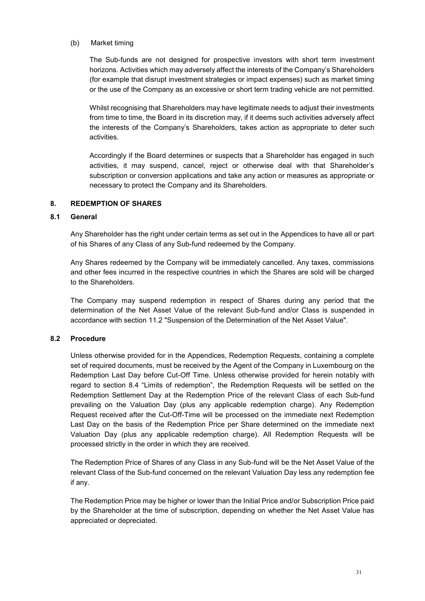#### (b) Market timing

The Sub-funds are not designed for prospective investors with short term investment horizons. Activities which may adversely affect the interests of the Company's Shareholders (for example that disrupt investment strategies or impact expenses) such as market timing or the use of the Company as an excessive or short term trading vehicle are not permitted.

Whilst recognising that Shareholders may have legitimate needs to adjust their investments from time to time, the Board in its discretion may, if it deems such activities adversely affect the interests of the Company's Shareholders, takes action as appropriate to deter such activities.

Accordingly if the Board determines or suspects that a Shareholder has engaged in such activities, it may suspend, cancel, reject or otherwise deal with that Shareholder's subscription or conversion applications and take any action or measures as appropriate or necessary to protect the Company and its Shareholders.

### <span id="page-30-0"></span>**8. REDEMPTION OF SHARES**

# **8.1 General**

Any Shareholder has the right under certain terms as set out in the Appendices to have all or part of his Shares of any Class of any Sub-fund redeemed by the Company.

Any Shares redeemed by the Company will be immediately cancelled. Any taxes, commissions and other fees incurred in the respective countries in which the Shares are sold will be charged to the Shareholders.

The Company may suspend redemption in respect of Shares during any period that the determination of the Net Asset Value of the relevant Sub-fund and/or Class is suspended in accordance with section [11.2](#page-36-0) "Suspension of the Determination of the Net Asset Value".

### **8.2 Procedure**

Unless otherwise provided for in the Appendices, Redemption Requests, containing a complete set of required documents, must be received by the Agent of the Company in Luxembourg on the Redemption Last Day before Cut-Off Time. Unless otherwise provided for herein notably with regard to section 8.4 "Limits of redemption", the Redemption Requests will be settled on the Redemption Settlement Day at the Redemption Price of the relevant Class of each Sub-fund prevailing on the Valuation Day (plus any applicable redemption charge). Any Redemption Request received after the Cut-Off-Time will be processed on the immediate next Redemption Last Day on the basis of the Redemption Price per Share determined on the immediate next Valuation Day (plus any applicable redemption charge). All Redemption Requests will be processed strictly in the order in which they are received.

The Redemption Price of Shares of any Class in any Sub-fund will be the Net Asset Value of the relevant Class of the Sub-fund concerned on the relevant Valuation Day less any redemption fee if any.

The Redemption Price may be higher or lower than the Initial Price and/or Subscription Price paid by the Shareholder at the time of subscription, depending on whether the Net Asset Value has appreciated or depreciated.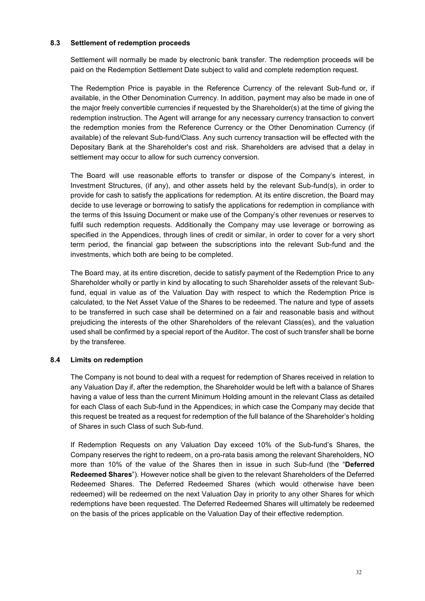### **8.3 Settlement of redemption proceeds**

Settlement will normally be made by electronic bank transfer. The redemption proceeds will be paid on the Redemption Settlement Date subject to valid and complete redemption request.

The Redemption Price is payable in the Reference Currency of the relevant Sub-fund or, if available, in the Other Denomination Currency. In addition, payment may also be made in one of the major freely convertible currencies if requested by the Shareholder(s) at the time of giving the redemption instruction. The Agent will arrange for any necessary currency transaction to convert the redemption monies from the Reference Currency or the Other Denomination Currency (if available) of the relevant Sub-fund/Class. Any such currency transaction will be effected with the Depositary Bank at the Shareholder's cost and risk. Shareholders are advised that a delay in settlement may occur to allow for such currency conversion.

The Board will use reasonable efforts to transfer or dispose of the Company's interest, in Investment Structures, (if any), and other assets held by the relevant Sub-fund(s), in order to provide for cash to satisfy the applications for redemption. At its entire discretion, the Board may decide to use leverage or borrowing to satisfy the applications for redemption in compliance with the terms of this Issuing Document or make use of the Company's other revenues or reserves to fulfil such redemption requests. Additionally the Company may use leverage or borrowing as specified in the Appendices, through lines of credit or similar, in order to cover for a very short term period, the financial gap between the subscriptions into the relevant Sub-fund and the investments, which both are being to be completed.

The Board may, at its entire discretion, decide to satisfy payment of the Redemption Price to any Shareholder wholly or partly in kind by allocating to such Shareholder assets of the relevant Subfund, equal in value as of the Valuation Day with respect to which the Redemption Price is calculated, to the Net Asset Value of the Shares to be redeemed. The nature and type of assets to be transferred in such case shall be determined on a fair and reasonable basis and without prejudicing the interests of the other Shareholders of the relevant Class(es), and the valuation used shall be confirmed by a special report of the Auditor. The cost of such transfer shall be borne by the transferee.

### **8.4 Limits on redemption**

The Company is not bound to deal with a request for redemption of Shares received in relation to any Valuation Day if, after the redemption, the Shareholder would be left with a balance of Shares having a value of less than the current Minimum Holding amount in the relevant Class as detailed for each Class of each Sub-fund in the Appendices; in which case the Company may decide that this request be treated as a request for redemption of the full balance of the Shareholder's holding of Shares in such Class of such Sub-fund.

If Redemption Requests on any Valuation Day exceed 10% of the Sub-fund's Shares, the Company reserves the right to redeem, on a pro-rata basis among the relevant Shareholders, NO more than 10% of the value of the Shares then in issue in such Sub-fund (the "**Deferred Redeemed Shares**"). However notice shall be given to the relevant Shareholders of the Deferred Redeemed Shares. The Deferred Redeemed Shares (which would otherwise have been redeemed) will be redeemed on the next Valuation Day in priority to any other Shares for which redemptions have been requested. The Deferred Redeemed Shares will ultimately be redeemed on the basis of the prices applicable on the Valuation Day of their effective redemption.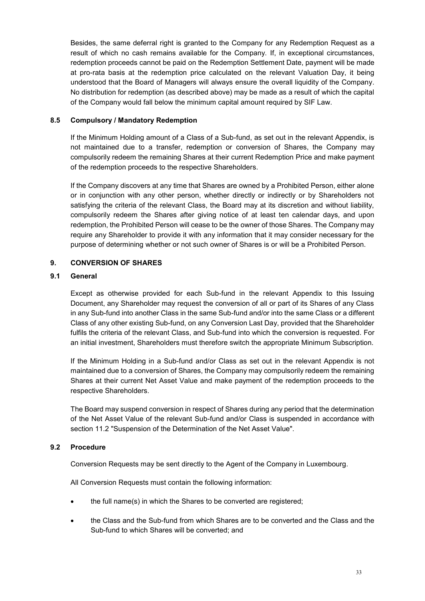Besides, the same deferral right is granted to the Company for any Redemption Request as a result of which no cash remains available for the Company. If, in exceptional circumstances, redemption proceeds cannot be paid on the Redemption Settlement Date, payment will be made at pro-rata basis at the redemption price calculated on the relevant Valuation Day, it being understood that the Board of Managers will always ensure the overall liquidity of the Company. No distribution for redemption (as described above) may be made as a result of which the capital of the Company would fall below the minimum capital amount required by SIF Law.

## **8.5 Compulsory / Mandatory Redemption**

If the Minimum Holding amount of a Class of a Sub-fund, as set out in the relevant Appendix, is not maintained due to a transfer, redemption or conversion of Shares, the Company may compulsorily redeem the remaining Shares at their current Redemption Price and make payment of the redemption proceeds to the respective Shareholders.

If the Company discovers at any time that Shares are owned by a Prohibited Person, either alone or in conjunction with any other person, whether directly or indirectly or by Shareholders not satisfying the criteria of the relevant Class, the Board may at its discretion and without liability, compulsorily redeem the Shares after giving notice of at least ten calendar days, and upon redemption, the Prohibited Person will cease to be the owner of those Shares. The Company may require any Shareholder to provide it with any information that it may consider necessary for the purpose of determining whether or not such owner of Shares is or will be a Prohibited Person.

# <span id="page-32-0"></span>**9. CONVERSION OF SHARES**

### **9.1 General**

Except as otherwise provided for each Sub-fund in the relevant Appendix to this Issuing Document, any Shareholder may request the conversion of all or part of its Shares of any Class in any Sub-fund into another Class in the same Sub-fund and/or into the same Class or a different Class of any other existing Sub-fund, on any Conversion Last Day, provided that the Shareholder fulfils the criteria of the relevant Class, and Sub-fund into which the conversion is requested. For an initial investment, Shareholders must therefore switch the appropriate Minimum Subscription.

If the Minimum Holding in a Sub-fund and/or Class as set out in the relevant Appendix is not maintained due to a conversion of Shares, the Company may compulsorily redeem the remaining Shares at their current Net Asset Value and make payment of the redemption proceeds to the respective Shareholders.

The Board may suspend conversion in respect of Shares during any period that the determination of the Net Asset Value of the relevant Sub-fund and/or Class is suspended in accordance with section [11.2](#page-36-0) "Suspension of the Determination of the Net Asset Value".

### **9.2 Procedure**

Conversion Requests may be sent directly to the Agent of the Company in Luxembourg.

All Conversion Requests must contain the following information:

- the full name(s) in which the Shares to be converted are registered;
- the Class and the Sub-fund from which Shares are to be converted and the Class and the Sub-fund to which Shares will be converted; and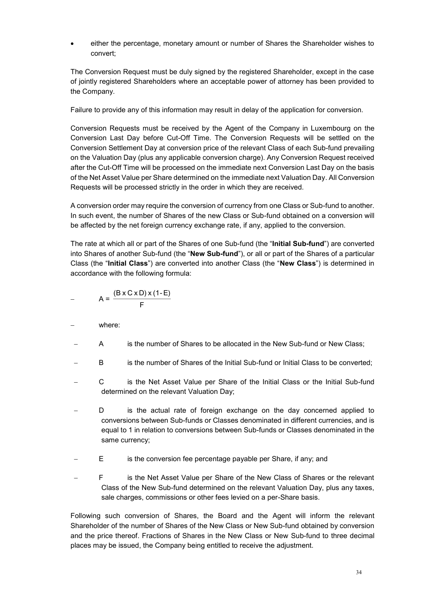either the percentage, monetary amount or number of Shares the Shareholder wishes to convert;

The Conversion Request must be duly signed by the registered Shareholder, except in the case of jointly registered Shareholders where an acceptable power of attorney has been provided to the Company.

Failure to provide any of this information may result in delay of the application for conversion.

Conversion Requests must be received by the Agent of the Company in Luxembourg on the Conversion Last Day before Cut-Off Time. The Conversion Requests will be settled on the Conversion Settlement Day at conversion price of the relevant Class of each Sub-fund prevailing on the Valuation Day (plus any applicable conversion charge). Any Conversion Request received after the Cut-Off Time will be processed on the immediate next Conversion Last Day on the basis of the Net Asset Value per Share determined on the immediate next Valuation Day. All Conversion Requests will be processed strictly in the order in which they are received.

A conversion order may require the conversion of currency from one Class or Sub-fund to another. In such event, the number of Shares of the new Class or Sub-fund obtained on a conversion will be affected by the net foreign currency exchange rate, if any, applied to the conversion.

The rate at which all or part of the Shares of one Sub-fund (the "**Initial Sub-fund**") are converted into Shares of another Sub-fund (the "**New Sub-fund**"), or all or part of the Shares of a particular Class (the "**Initial Class**") are converted into another Class (the "**New Class**") is determined in accordance with the following formula:

$$
- \qquad A = \frac{(B \times C \times D) \times (1-E)}{F}
$$

- where:
- A is the number of Shares to be allocated in the New Sub-fund or New Class;
- B is the number of Shares of the Initial Sub-fund or Initial Class to be converted;
- C is the Net Asset Value per Share of the Initial Class or the Initial Sub-fund determined on the relevant Valuation Day;
- D is the actual rate of foreign exchange on the day concerned applied to conversions between Sub-funds or Classes denominated in different currencies, and is equal to 1 in relation to conversions between Sub-funds or Classes denominated in the same currency;
- E is the conversion fee percentage payable per Share, if any; and
- F is the Net Asset Value per Share of the New Class of Shares or the relevant Class of the New Sub-fund determined on the relevant Valuation Day, plus any taxes, sale charges, commissions or other fees levied on a per-Share basis.

Following such conversion of Shares, the Board and the Agent will inform the relevant Shareholder of the number of Shares of the New Class or New Sub-fund obtained by conversion and the price thereof. Fractions of Shares in the New Class or New Sub-fund to three decimal places may be issued, the Company being entitled to receive the adjustment.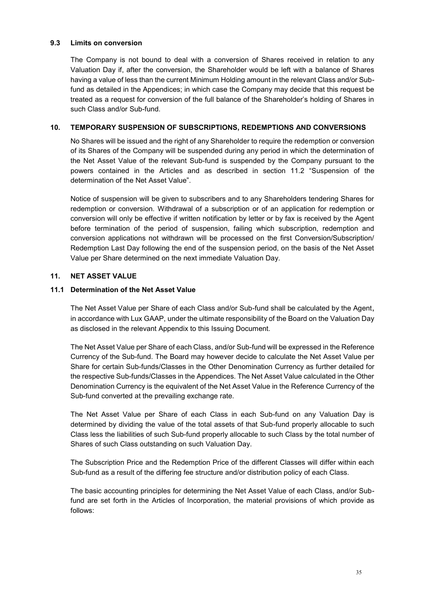### **9.3 Limits on conversion**

The Company is not bound to deal with a conversion of Shares received in relation to any Valuation Day if, after the conversion, the Shareholder would be left with a balance of Shares having a value of less than the current Minimum Holding amount in the relevant Class and/or Subfund as detailed in the Appendices; in which case the Company may decide that this request be treated as a request for conversion of the full balance of the Shareholder's holding of Shares in such Class and/or Sub-fund.

## <span id="page-34-0"></span>**10. TEMPORARY SUSPENSION OF SUBSCRIPTIONS, REDEMPTIONS AND CONVERSIONS**

No Shares will be issued and the right of any Shareholder to require the redemption or conversion of its Shares of the Company will be suspended during any period in which the determination of the Net Asset Value of the relevant Sub-fund is suspended by the Company pursuant to the powers contained in the Articles and as described in section [11.2](#page-36-0) "Suspension of the determination of the Net Asset Value".

Notice of suspension will be given to subscribers and to any Shareholders tendering Shares for redemption or conversion. Withdrawal of a subscription or of an application for redemption or conversion will only be effective if written notification by letter or by fax is received by the Agent before termination of the period of suspension, failing which subscription, redemption and conversion applications not withdrawn will be processed on the first Conversion/Subscription/ Redemption Last Day following the end of the suspension period, on the basis of the Net Asset Value per Share determined on the next immediate Valuation Day.

### <span id="page-34-1"></span>**11. NET ASSET VALUE**

### **11.1 Determination of the Net Asset Value**

The Net Asset Value per Share of each Class and/or Sub-fund shall be calculated by the Agent, in accordance with Lux GAAP, under the ultimate responsibility of the Board on the Valuation Day as disclosed in the relevant Appendix to this Issuing Document.

The Net Asset Value per Share of each Class, and/or Sub-fund will be expressed in the Reference Currency of the Sub-fund. The Board may however decide to calculate the Net Asset Value per Share for certain Sub-funds/Classes in the Other Denomination Currency as further detailed for the respective Sub-funds/Classes in the Appendices. The Net Asset Value calculated in the Other Denomination Currency is the equivalent of the Net Asset Value in the Reference Currency of the Sub-fund converted at the prevailing exchange rate.

The Net Asset Value per Share of each Class in each Sub-fund on any Valuation Day is determined by dividing the value of the total assets of that Sub-fund properly allocable to such Class less the liabilities of such Sub-fund properly allocable to such Class by the total number of Shares of such Class outstanding on such Valuation Day.

The Subscription Price and the Redemption Price of the different Classes will differ within each Sub-fund as a result of the differing fee structure and/or distribution policy of each Class.

The basic accounting principles for determining the Net Asset Value of each Class, and/or Subfund are set forth in the Articles of Incorporation, the material provisions of which provide as follows: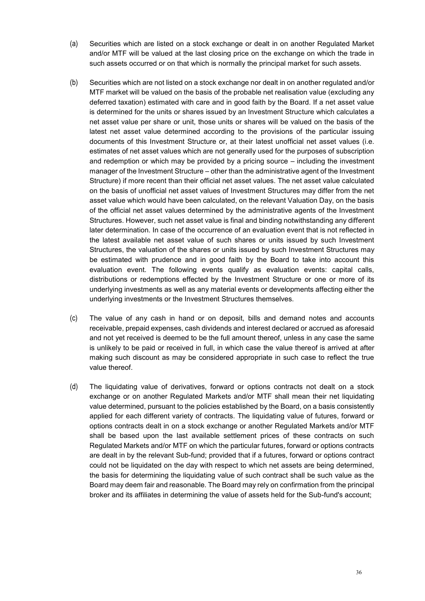- (a) Securities which are listed on a stock exchange or dealt in on another Regulated Market and/or MTF will be valued at the last closing price on the exchange on which the trade in such assets occurred or on that which is normally the principal market for such assets.
- (b) Securities which are not listed on a stock exchange nor dealt in on another regulated and/or MTF market will be valued on the basis of the probable net realisation value (excluding any deferred taxation) estimated with care and in good faith by the Board. If a net asset value is determined for the units or shares issued by an Investment Structure which calculates a net asset value per share or unit, those units or shares will be valued on the basis of the latest net asset value determined according to the provisions of the particular issuing documents of this Investment Structure or, at their latest unofficial net asset values (i.e. estimates of net asset values which are not generally used for the purposes of subscription and redemption or which may be provided by a pricing source – including the investment manager of the Investment Structure – other than the administrative agent of the Investment Structure) if more recent than their official net asset values. The net asset value calculated on the basis of unofficial net asset values of Investment Structures may differ from the net asset value which would have been calculated, on the relevant Valuation Day, on the basis of the official net asset values determined by the administrative agents of the Investment Structures. However, such net asset value is final and binding notwithstanding any different later determination. In case of the occurrence of an evaluation event that is not reflected in the latest available net asset value of such shares or units issued by such Investment Structures, the valuation of the shares or units issued by such Investment Structures may be estimated with prudence and in good faith by the Board to take into account this evaluation event. The following events qualify as evaluation events: capital calls, distributions or redemptions effected by the Investment Structure or one or more of its underlying investments as well as any material events or developments affecting either the underlying investments or the Investment Structures themselves.
- (c) The value of any cash in hand or on deposit, bills and demand notes and accounts receivable, prepaid expenses, cash dividends and interest declared or accrued as aforesaid and not yet received is deemed to be the full amount thereof, unless in any case the same is unlikely to be paid or received in full, in which case the value thereof is arrived at after making such discount as may be considered appropriate in such case to reflect the true value thereof.
- (d) The liquidating value of derivatives, forward or options contracts not dealt on a stock exchange or on another Regulated Markets and/or MTF shall mean their net liquidating value determined, pursuant to the policies established by the Board, on a basis consistently applied for each different variety of contracts. The liquidating value of futures, forward or options contracts dealt in on a stock exchange or another Regulated Markets and/or MTF shall be based upon the last available settlement prices of these contracts on such Regulated Markets and/or MTF on which the particular futures, forward or options contracts are dealt in by the relevant Sub-fund; provided that if a futures, forward or options contract could not be liquidated on the day with respect to which net assets are being determined, the basis for determining the liquidating value of such contract shall be such value as the Board may deem fair and reasonable. The Board may rely on confirmation from the principal broker and its affiliates in determining the value of assets held for the Sub-fund's account;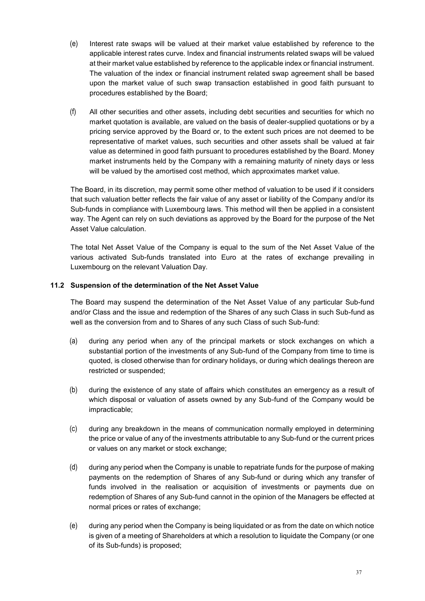- (e) Interest rate swaps will be valued at their market value established by reference to the applicable interest rates curve. Index and financial instruments related swaps will be valued at their market value established by reference to the applicable index or financial instrument. The valuation of the index or financial instrument related swap agreement shall be based upon the market value of such swap transaction established in good faith pursuant to procedures established by the Board;
- (f) All other securities and other assets, including debt securities and securities for which no market quotation is available, are valued on the basis of dealer-supplied quotations or by a pricing service approved by the Board or, to the extent such prices are not deemed to be representative of market values, such securities and other assets shall be valued at fair value as determined in good faith pursuant to procedures established by the Board. Money market instruments held by the Company with a remaining maturity of ninety days or less will be valued by the amortised cost method, which approximates market value.

The Board, in its discretion, may permit some other method of valuation to be used if it considers that such valuation better reflects the fair value of any asset or liability of the Company and/or its Sub-funds in compliance with Luxembourg laws. This method will then be applied in a consistent way. The Agent can rely on such deviations as approved by the Board for the purpose of the Net Asset Value calculation.

The total Net Asset Value of the Company is equal to the sum of the Net Asset Value of the various activated Sub-funds translated into Euro at the rates of exchange prevailing in Luxembourg on the relevant Valuation Day.

# <span id="page-36-0"></span>**11.2 Suspension of the determination of the Net Asset Value**

The Board may suspend the determination of the Net Asset Value of any particular Sub-fund and/or Class and the issue and redemption of the Shares of any such Class in such Sub-fund as well as the conversion from and to Shares of any such Class of such Sub-fund:

- (a) during any period when any of the principal markets or stock exchanges on which a substantial portion of the investments of any Sub-fund of the Company from time to time is quoted, is closed otherwise than for ordinary holidays, or during which dealings thereon are restricted or suspended;
- (b) during the existence of any state of affairs which constitutes an emergency as a result of which disposal or valuation of assets owned by any Sub-fund of the Company would be impracticable;
- (c) during any breakdown in the means of communication normally employed in determining the price or value of any of the investments attributable to any Sub-fund or the current prices or values on any market or stock exchange;
- (d) during any period when the Company is unable to repatriate funds for the purpose of making payments on the redemption of Shares of any Sub-fund or during which any transfer of funds involved in the realisation or acquisition of investments or payments due on redemption of Shares of any Sub-fund cannot in the opinion of the Managers be effected at normal prices or rates of exchange;
- (e) during any period when the Company is being liquidated or as from the date on which notice is given of a meeting of Shareholders at which a resolution to liquidate the Company (or one of its Sub-funds) is proposed;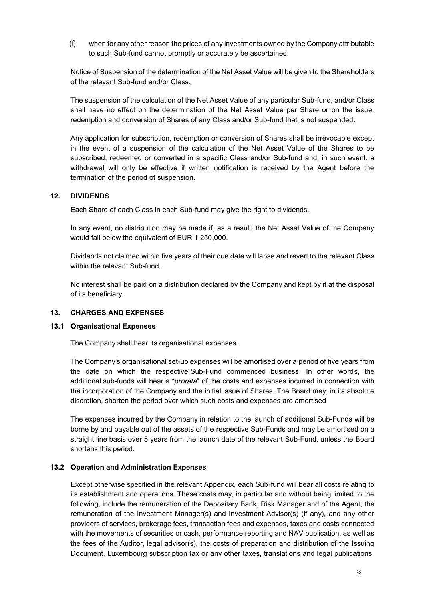(f) when for any other reason the prices of any investments owned by the Company attributable to such Sub-fund cannot promptly or accurately be ascertained.

Notice of Suspension of the determination of the Net Asset Value will be given to the Shareholders of the relevant Sub-fund and/or Class.

The suspension of the calculation of the Net Asset Value of any particular Sub-fund, and/or Class shall have no effect on the determination of the Net Asset Value per Share or on the issue, redemption and conversion of Shares of any Class and/or Sub-fund that is not suspended.

Any application for subscription, redemption or conversion of Shares shall be irrevocable except in the event of a suspension of the calculation of the Net Asset Value of the Shares to be subscribed, redeemed or converted in a specific Class and/or Sub-fund and, in such event, a withdrawal will only be effective if written notification is received by the Agent before the termination of the period of suspension.

### <span id="page-37-0"></span>**12. DIVIDENDS**

Each Share of each Class in each Sub-fund may give the right to dividends.

In any event, no distribution may be made if, as a result, the Net Asset Value of the Company would fall below the equivalent of EUR 1,250,000.

Dividends not claimed within five years of their due date will lapse and revert to the relevant Class within the relevant Sub-fund.

No interest shall be paid on a distribution declared by the Company and kept by it at the disposal of its beneficiary.

#### <span id="page-37-1"></span>**13. CHARGES AND EXPENSES**

#### **13.1 Organisational Expenses**

The Company shall bear its organisational expenses.

The Company's organisational set-up expenses will be amortised over a period of five years from the date on which the respective Sub-Fund commenced business. In other words, the additional sub-funds will bear a "*prorata*" of the costs and expenses incurred in connection with the incorporation of the Company and the initial issue of Shares. The Board may, in its absolute discretion, shorten the period over which such costs and expenses are amortised

The expenses incurred by the Company in relation to the launch of additional Sub-Funds will be borne by and payable out of the assets of the respective Sub-Funds and may be amortised on a straight line basis over 5 years from the launch date of the relevant Sub-Fund, unless the Board shortens this period.

### **13.2 Operation and Administration Expenses**

Except otherwise specified in the relevant Appendix, each Sub-fund will bear all costs relating to its establishment and operations. These costs may, in particular and without being limited to the following, include the remuneration of the Depositary Bank, Risk Manager and of the Agent, the remuneration of the Investment Manager(s) and Investment Advisor(s) (if any), and any other providers of services, brokerage fees, transaction fees and expenses, taxes and costs connected with the movements of securities or cash, performance reporting and NAV publication, as well as the fees of the Auditor, legal advisor(s), the costs of preparation and distribution of the Issuing Document, Luxembourg subscription tax or any other taxes, translations and legal publications,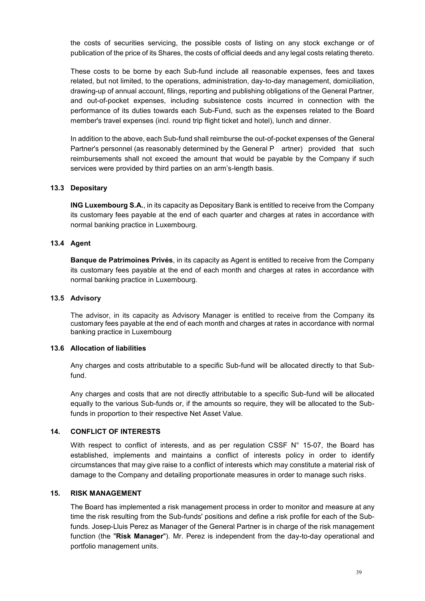the costs of securities servicing, the possible costs of listing on any stock exchange or of publication of the price of its Shares, the costs of official deeds and any legal costs relating thereto.

These costs to be borne by each Sub-fund include all reasonable expenses, fees and taxes related, but not limited, to the operations, administration, day-to-day management, domiciliation, drawing-up of annual account, filings, reporting and publishing obligations of the General Partner, and out-of-pocket expenses, including subsistence costs incurred in connection with the performance of its duties towards each Sub-Fund, such as the expenses related to the Board member's travel expenses (incl. round trip flight ticket and hotel), lunch and dinner.

In addition to the above, each Sub-fund shall reimburse the out-of-pocket expenses of the General Partner's personnel (as reasonably determined by the General P artner) provided that such reimbursements shall not exceed the amount that would be payable by the Company if such services were provided by third parties on an arm's-length basis.

### **13.3 Depositary**

**ING Luxembourg S.A.**, in its capacity as Depositary Bank is entitled to receive from the Company its customary fees payable at the end of each quarter and charges at rates in accordance with normal banking practice in Luxembourg.

#### **13.4 Agent**

**Banque de Patrimoines Privés**, in its capacity as Agent is entitled to receive from the Company its customary fees payable at the end of each month and charges at rates in accordance with normal banking practice in Luxembourg.

#### **13.5 Advisory**

The advisor, in its capacity as Advisory Manager is entitled to receive from the Company its customary fees payable at the end of each month and charges at rates in accordance with normal banking practice in Luxembourg

#### **13.6 Allocation of liabilities**

Any charges and costs attributable to a specific Sub-fund will be allocated directly to that Subfund.

Any charges and costs that are not directly attributable to a specific Sub-fund will be allocated equally to the various Sub-funds or, if the amounts so require, they will be allocated to the Subfunds in proportion to their respective Net Asset Value.

#### <span id="page-38-0"></span>**14. CONFLICT OF INTERESTS**

With respect to conflict of interests, and as per regulation CSSF N° 15-07, the Board has established, implements and maintains a conflict of interests policy in order to identify circumstances that may give raise to a conflict of interests which may constitute a material risk of damage to the Company and detailing proportionate measures in order to manage such risks.

#### <span id="page-38-1"></span>**15. RISK MANAGEMENT**

The Board has implemented a risk management process in order to monitor and measure at any time the risk resulting from the Sub-funds' positions and define a risk profile for each of the Subfunds. Josep-Lluis Perez as Manager of the General Partner is in charge of the risk management function (the "**Risk Manager**"). Mr. Perez is independent from the day-to-day operational and portfolio management units.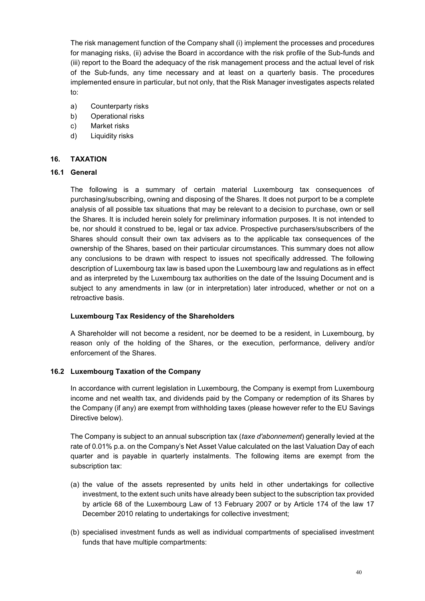The risk management function of the Company shall (i) implement the processes and procedures for managing risks, (ii) advise the Board in accordance with the risk profile of the Sub-funds and (iii) report to the Board the adequacy of the risk management process and the actual level of risk of the Sub-funds, any time necessary and at least on a quarterly basis. The procedures implemented ensure in particular, but not only, that the Risk Manager investigates aspects related to:

- a) Counterparty risks
- b) Operational risks
- c) Market risks
- d) Liquidity risks

# <span id="page-39-0"></span>**16. TAXATION**

# **16.1 General**

The following is a summary of certain material Luxembourg tax consequences of purchasing/subscribing, owning and disposing of the Shares. It does not purport to be a complete analysis of all possible tax situations that may be relevant to a decision to purchase, own or sell the Shares. It is included herein solely for preliminary information purposes. It is not intended to be, nor should it construed to be, legal or tax advice. Prospective purchasers/subscribers of the Shares should consult their own tax advisers as to the applicable tax consequences of the ownership of the Shares, based on their particular circumstances. This summary does not allow any conclusions to be drawn with respect to issues not specifically addressed. The following description of Luxembourg tax law is based upon the Luxembourg law and regulations as in effect and as interpreted by the Luxembourg tax authorities on the date of the Issuing Document and is subject to any amendments in law (or in interpretation) later introduced, whether or not on a retroactive basis.

# **Luxembourg Tax Residency of the Shareholders**

A Shareholder will not become a resident, nor be deemed to be a resident, in Luxembourg, by reason only of the holding of the Shares, or the execution, performance, delivery and/or enforcement of the Shares.

### **16.2 Luxembourg Taxation of the Company**

In accordance with current legislation in Luxembourg, the Company is exempt from Luxembourg income and net wealth tax, and dividends paid by the Company or redemption of its Shares by the Company (if any) are exempt from withholding taxes (please however refer to the EU Savings Directive below).

The Company is subject to an annual subscription tax (*taxe d'abonnement*) generally levied at the rate of 0.01% p.a. on the Company's Net Asset Value calculated on the last Valuation Day of each quarter and is payable in quarterly instalments. The following items are exempt from the subscription tax:

- (a) the value of the assets represented by units held in other undertakings for collective investment, to the extent such units have already been subject to the subscription tax provided by article 68 of the Luxembourg Law of 13 February 2007 or by Article 174 of the law 17 December 2010 relating to undertakings for collective investment;
- (b) specialised investment funds as well as individual compartments of specialised investment funds that have multiple compartments: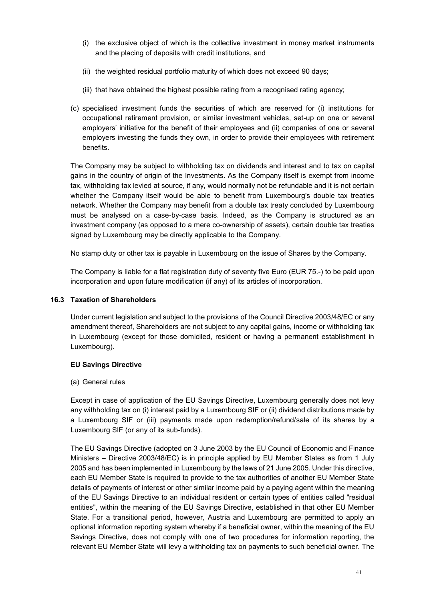- (i) the exclusive object of which is the collective investment in money market instruments and the placing of deposits with credit institutions, and
- (ii) the weighted residual portfolio maturity of which does not exceed 90 days;
- (iii) that have obtained the highest possible rating from a recognised rating agency;
- (c) specialised investment funds the securities of which are reserved for (i) institutions for occupational retirement provision, or similar investment vehicles, set-up on one or several employers' initiative for the benefit of their employees and (ii) companies of one or several employers investing the funds they own, in order to provide their employees with retirement benefits.

The Company may be subject to withholding tax on dividends and interest and to tax on capital gains in the country of origin of the Investments. As the Company itself is exempt from income tax, withholding tax levied at source, if any, would normally not be refundable and it is not certain whether the Company itself would be able to benefit from Luxembourg's double tax treaties network. Whether the Company may benefit from a double tax treaty concluded by Luxembourg must be analysed on a case-by-case basis. Indeed, as the Company is structured as an investment company (as opposed to a mere co-ownership of assets), certain double tax treaties signed by Luxembourg may be directly applicable to the Company.

No stamp duty or other tax is payable in Luxembourg on the issue of Shares by the Company.

The Company is liable for a flat registration duty of seventy five Euro (EUR 75.-) to be paid upon incorporation and upon future modification (if any) of its articles of incorporation.

## **16.3 Taxation of Shareholders**

Under current legislation and subject to the provisions of the Council Directive 2003/48/EC or any amendment thereof, Shareholders are not subject to any capital gains, income or withholding tax in Luxembourg (except for those domiciled, resident or having a permanent establishment in Luxembourg).

### **EU Savings Directive**

### (a) General rules

Except in case of application of the EU Savings Directive, Luxembourg generally does not levy any withholding tax on (i) interest paid by a Luxembourg SIF or (ii) dividend distributions made by a Luxembourg SIF or (iii) payments made upon redemption/refund/sale of its shares by a Luxembourg SIF (or any of its sub-funds).

The EU Savings Directive (adopted on 3 June 2003 by the EU Council of Economic and Finance Ministers – Directive 2003/48/EC) is in principle applied by EU Member States as from 1 July 2005 and has been implemented in Luxembourg by the laws of 21 June 2005. Under this directive, each EU Member State is required to provide to the tax authorities of another EU Member State details of payments of interest or other similar income paid by a paying agent within the meaning of the EU Savings Directive to an individual resident or certain types of entities called "residual entities", within the meaning of the EU Savings Directive, established in that other EU Member State. For a transitional period, however, Austria and Luxembourg are permitted to apply an optional information reporting system whereby if a beneficial owner, within the meaning of the EU Savings Directive, does not comply with one of two procedures for information reporting, the relevant EU Member State will levy a withholding tax on payments to such beneficial owner. The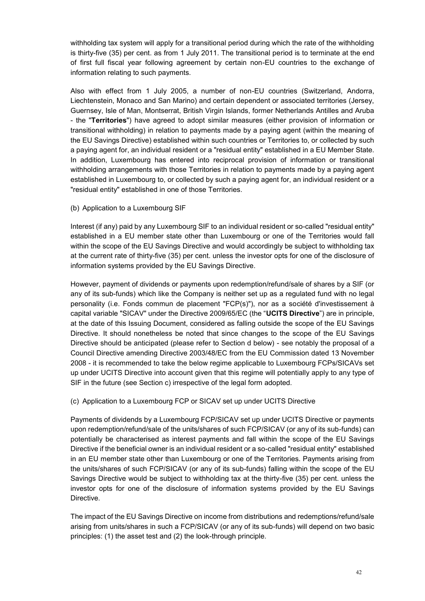withholding tax system will apply for a transitional period during which the rate of the withholding is thirty-five (35) per cent. as from 1 July 2011. The transitional period is to terminate at the end of first full fiscal year following agreement by certain non-EU countries to the exchange of information relating to such payments.

Also with effect from 1 July 2005, a number of non-EU countries (Switzerland, Andorra, Liechtenstein, Monaco and San Marino) and certain dependent or associated territories (Jersey, Guernsey, Isle of Man, Montserrat, British Virgin Islands, former Netherlands Antilles and Aruba - the "**Territories**") have agreed to adopt similar measures (either provision of information or transitional withholding) in relation to payments made by a paying agent (within the meaning of the EU Savings Directive) established within such countries or Territories to, or collected by such a paying agent for, an individual resident or a "residual entity" established in a EU Member State. In addition, Luxembourg has entered into reciprocal provision of information or transitional withholding arrangements with those Territories in relation to payments made by a paying agent established in Luxembourg to, or collected by such a paying agent for, an individual resident or a "residual entity" established in one of those Territories.

(b) Application to a Luxembourg SIF

Interest (if any) paid by any Luxembourg SIF to an individual resident or so-called "residual entity" established in a EU member state other than Luxembourg or one of the Territories would fall within the scope of the EU Savings Directive and would accordingly be subject to withholding tax at the current rate of thirty-five (35) per cent. unless the investor opts for one of the disclosure of information systems provided by the EU Savings Directive.

However, payment of dividends or payments upon redemption/refund/sale of shares by a SIF (or any of its sub-funds) which like the Company is neither set up as a regulated fund with no legal personality (i.e. Fonds commun de placement "FCP(s)"), nor as a société d'investissement à capital variable "SICAV" under the Directive 2009/65/EC (the "**UCITS Directive**") are in principle, at the date of this Issuing Document, considered as falling outside the scope of the EU Savings Directive. It should nonetheless be noted that since changes to the scope of the EU Savings Directive should be anticipated (please refer to Section d below) - see notably the proposal of a Council Directive amending Directive 2003/48/EC from the EU Commission dated 13 November 2008 - it is recommended to take the below regime applicable to Luxembourg FCPs/SICAVs set up under UCITS Directive into account given that this regime will potentially apply to any type of SIF in the future (see Section c) irrespective of the legal form adopted.

(c) Application to a Luxembourg FCP or SICAV set up under UCITS Directive

Payments of dividends by a Luxembourg FCP/SICAV set up under UCITS Directive or payments upon redemption/refund/sale of the units/shares of such FCP/SICAV (or any of its sub-funds) can potentially be characterised as interest payments and fall within the scope of the EU Savings Directive if the beneficial owner is an individual resident or a so-called "residual entity" established in an EU member state other than Luxembourg or one of the Territories. Payments arising from the units/shares of such FCP/SICAV (or any of its sub-funds) falling within the scope of the EU Savings Directive would be subject to withholding tax at the thirty-five (35) per cent. unless the investor opts for one of the disclosure of information systems provided by the EU Savings Directive.

The impact of the EU Savings Directive on income from distributions and redemptions/refund/sale arising from units/shares in such a FCP/SICAV (or any of its sub-funds) will depend on two basic principles: (1) the asset test and (2) the look-through principle.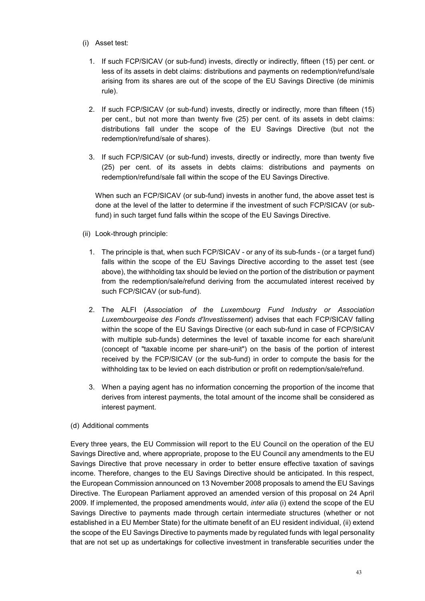- (i) Asset test:
	- 1. If such FCP/SICAV (or sub-fund) invests, directly or indirectly, fifteen (15) per cent. or less of its assets in debt claims: distributions and payments on redemption/refund/sale arising from its shares are out of the scope of the EU Savings Directive (de minimis rule).
	- 2. If such FCP/SICAV (or sub-fund) invests, directly or indirectly, more than fifteen (15) per cent., but not more than twenty five (25) per cent. of its assets in debt claims: distributions fall under the scope of the EU Savings Directive (but not the redemption/refund/sale of shares).
	- 3. If such FCP/SICAV (or sub-fund) invests, directly or indirectly, more than twenty five (25) per cent. of its assets in debts claims: distributions and payments on redemption/refund/sale fall within the scope of the EU Savings Directive.

When such an FCP/SICAV (or sub-fund) invests in another fund, the above asset test is done at the level of the latter to determine if the investment of such FCP/SICAV (or subfund) in such target fund falls within the scope of the EU Savings Directive.

- (ii) Look-through principle:
	- 1. The principle is that, when such FCP/SICAV or any of its sub-funds (or a target fund) falls within the scope of the EU Savings Directive according to the asset test (see above), the withholding tax should be levied on the portion of the distribution or payment from the redemption/sale/refund deriving from the accumulated interest received by such FCP/SICAV (or sub-fund).
	- 2. The ALFI (*Association of the Luxembourg Fund Industry or Association Luxembourgeoise des Fonds d'Investissement*) advises that each FCP/SICAV falling within the scope of the EU Savings Directive (or each sub-fund in case of FCP/SICAV with multiple sub-funds) determines the level of taxable income for each share/unit (concept of "taxable income per share-unit") on the basis of the portion of interest received by the FCP/SICAV (or the sub-fund) in order to compute the basis for the withholding tax to be levied on each distribution or profit on redemption/sale/refund.
	- 3. When a paying agent has no information concerning the proportion of the income that derives from interest payments, the total amount of the income shall be considered as interest payment.

### (d) Additional comments

Every three years, the EU Commission will report to the EU Council on the operation of the EU Savings Directive and, where appropriate, propose to the EU Council any amendments to the EU Savings Directive that prove necessary in order to better ensure effective taxation of savings income. Therefore, changes to the EU Savings Directive should be anticipated. In this respect, the European Commission announced on 13 November 2008 proposals to amend the EU Savings Directive. The European Parliament approved an amended version of this proposal on 24 April 2009. If implemented, the proposed amendments would, *inter alia* (i) extend the scope of the EU Savings Directive to payments made through certain intermediate structures (whether or not established in a EU Member State) for the ultimate benefit of an EU resident individual, (ii) extend the scope of the EU Savings Directive to payments made by regulated funds with legal personality that are not set up as undertakings for collective investment in transferable securities under the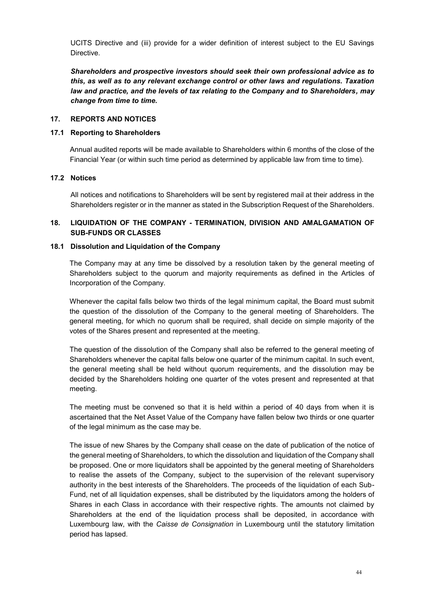UCITS Directive and (iii) provide for a wider definition of interest subject to the EU Savings **Directive** 

*Shareholders and prospective investors should seek their own professional advice as to this, as well as to any relevant exchange control or other laws and regulations. Taxation law and practice, and the levels of tax relating to the Company and to Shareholders, may change from time to time.*

### <span id="page-43-0"></span>**17. REPORTS AND NOTICES**

#### **17.1 Reporting to Shareholders**

Annual audited reports will be made available to Shareholders within 6 months of the close of the Financial Year (or within such time period as determined by applicable law from time to time).

#### **17.2 Notices**

All notices and notifications to Shareholders will be sent by registered mail at their address in the Shareholders register or in the manner as stated in the Subscription Request of the Shareholders.

# <span id="page-43-1"></span>**18. LIQUIDATION OF THE COMPANY - TERMINATION, DIVISION AND AMALGAMATION OF SUB-FUNDS OR CLASSES**

#### **18.1 Dissolution and Liquidation of the Company**

The Company may at any time be dissolved by a resolution taken by the general meeting of Shareholders subject to the quorum and majority requirements as defined in the Articles of Incorporation of the Company.

Whenever the capital falls below two thirds of the legal minimum capital, the Board must submit the question of the dissolution of the Company to the general meeting of Shareholders. The general meeting, for which no quorum shall be required, shall decide on simple majority of the votes of the Shares present and represented at the meeting.

The question of the dissolution of the Company shall also be referred to the general meeting of Shareholders whenever the capital falls below one quarter of the minimum capital. In such event, the general meeting shall be held without quorum requirements, and the dissolution may be decided by the Shareholders holding one quarter of the votes present and represented at that meeting.

The meeting must be convened so that it is held within a period of 40 days from when it is ascertained that the Net Asset Value of the Company have fallen below two thirds or one quarter of the legal minimum as the case may be.

The issue of new Shares by the Company shall cease on the date of publication of the notice of the general meeting of Shareholders, to which the dissolution and liquidation of the Company shall be proposed. One or more liquidators shall be appointed by the general meeting of Shareholders to realise the assets of the Company, subject to the supervision of the relevant supervisory authority in the best interests of the Shareholders. The proceeds of the liquidation of each Sub-Fund, net of all liquidation expenses, shall be distributed by the liquidators among the holders of Shares in each Class in accordance with their respective rights. The amounts not claimed by Shareholders at the end of the liquidation process shall be deposited, in accordance with Luxembourg law, with the *Caisse de Consignation* in Luxembourg until the statutory limitation period has lapsed.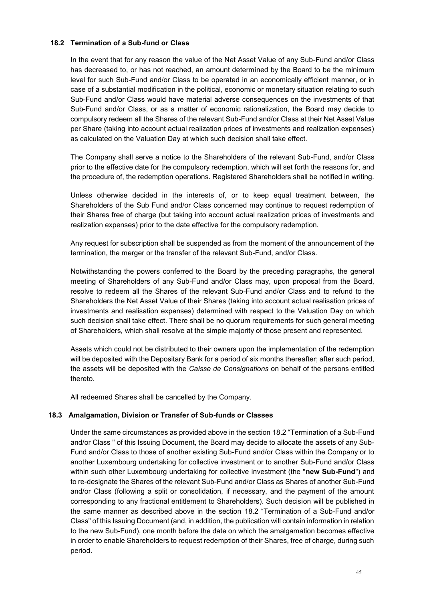### **18.2 Termination of a Sub-fund or Class**

In the event that for any reason the value of the Net Asset Value of any Sub-Fund and/or Class has decreased to, or has not reached, an amount determined by the Board to be the minimum level for such Sub-Fund and/or Class to be operated in an economically efficient manner, or in case of a substantial modification in the political, economic or monetary situation relating to such Sub-Fund and/or Class would have material adverse consequences on the investments of that Sub-Fund and/or Class, or as a matter of economic rationalization, the Board may decide to compulsory redeem all the Shares of the relevant Sub-Fund and/or Class at their Net Asset Value per Share (taking into account actual realization prices of investments and realization expenses) as calculated on the Valuation Day at which such decision shall take effect.

The Company shall serve a notice to the Shareholders of the relevant Sub-Fund, and/or Class prior to the effective date for the compulsory redemption, which will set forth the reasons for, and the procedure of, the redemption operations. Registered Shareholders shall be notified in writing.

Unless otherwise decided in the interests of, or to keep equal treatment between, the Shareholders of the Sub Fund and/or Class concerned may continue to request redemption of their Shares free of charge (but taking into account actual realization prices of investments and realization expenses) prior to the date effective for the compulsory redemption.

Any request for subscription shall be suspended as from the moment of the announcement of the termination, the merger or the transfer of the relevant Sub-Fund, and/or Class.

Notwithstanding the powers conferred to the Board by the preceding paragraphs, the general meeting of Shareholders of any Sub-Fund and/or Class may, upon proposal from the Board, resolve to redeem all the Shares of the relevant Sub-Fund and/or Class and to refund to the Shareholders the Net Asset Value of their Shares (taking into account actual realisation prices of investments and realisation expenses) determined with respect to the Valuation Day on which such decision shall take effect. There shall be no quorum requirements for such general meeting of Shareholders, which shall resolve at the simple majority of those present and represented.

Assets which could not be distributed to their owners upon the implementation of the redemption will be deposited with the Depositary Bank for a period of six months thereafter; after such period, the assets will be deposited with the *Caisse de Consignations* on behalf of the persons entitled thereto.

All redeemed Shares shall be cancelled by the Company.

### **18.3 Amalgamation, Division or Transfer of Sub-funds or Classes**

Under the same circumstances as provided above in the section 18.2 "Termination of a Sub-Fund and/or Class " of this Issuing Document, the Board may decide to allocate the assets of any Sub-Fund and/or Class to those of another existing Sub-Fund and/or Class within the Company or to another Luxembourg undertaking for collective investment or to another Sub-Fund and/or Class within such other Luxembourg undertaking for collective investment (the "**new Sub-Fund**") and to re-designate the Shares of the relevant Sub-Fund and/or Class as Shares of another Sub-Fund and/or Class (following a split or consolidation, if necessary, and the payment of the amount corresponding to any fractional entitlement to Shareholders). Such decision will be published in the same manner as described above in the section 18.2 "Termination of a Sub-Fund and/or Class" of this Issuing Document (and, in addition, the publication will contain information in relation to the new Sub-Fund), one month before the date on which the amalgamation becomes effective in order to enable Shareholders to request redemption of their Shares, free of charge, during such period.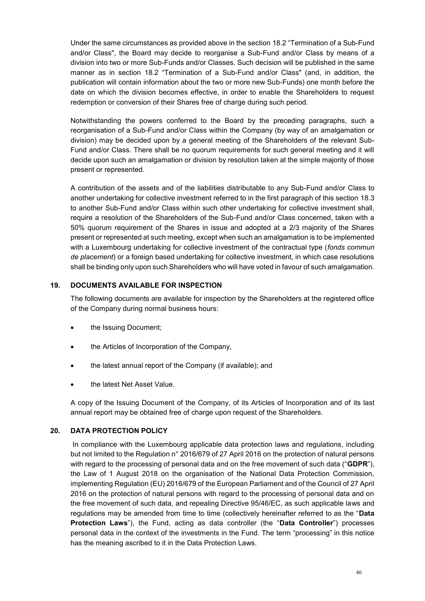Under the same circumstances as provided above in the section 18.2 "Termination of a Sub-Fund and/or Class", the Board may decide to reorganise a Sub-Fund and/or Class by means of a division into two or more Sub-Funds and/or Classes. Such decision will be published in the same manner as in section 18.2 "Termination of a Sub-Fund and/or Class" (and, in addition, the publication will contain information about the two or more new Sub-Funds) one month before the date on which the division becomes effective, in order to enable the Shareholders to request redemption or conversion of their Shares free of charge during such period.

Notwithstanding the powers conferred to the Board by the preceding paragraphs, such a reorganisation of a Sub-Fund and/or Class within the Company (by way of an amalgamation or division) may be decided upon by a general meeting of the Shareholders of the relevant Sub-Fund and/or Class. There shall be no quorum requirements for such general meeting and it will decide upon such an amalgamation or division by resolution taken at the simple majority of those present or represented.

A contribution of the assets and of the liabilities distributable to any Sub-Fund and/or Class to another undertaking for collective investment referred to in the first paragraph of this section 18.3 to another Sub-Fund and/or Class within such other undertaking for collective investment shall, require a resolution of the Shareholders of the Sub-Fund and/or Class concerned, taken with a 50% quorum requirement of the Shares in issue and adopted at a 2/3 majority of the Shares present or represented at such meeting, except when such an amalgamation is to be implemented with a Luxembourg undertaking for collective investment of the contractual type (*fonds commun de placement*) or a foreign based undertaking for collective investment, in which case resolutions shall be binding only upon such Shareholders who will have voted in favour of such amalgamation.

# <span id="page-45-0"></span>**19. DOCUMENTS AVAILABLE FOR INSPECTION**

The following documents are available for inspection by the Shareholders at the registered office of the Company during normal business hours:

- the Issuing Document;
- the Articles of Incorporation of the Company,
- the latest annual report of the Company (if available); and
- the latest Net Asset Value.

A copy of the Issuing Document of the Company, of its Articles of Incorporation and of its last annual report may be obtained free of charge upon request of the Shareholders.

### <span id="page-45-1"></span>**20. DATA PROTECTION POLICY**

In compliance with the Luxembourg applicable data protection laws and regulations, including but not limited to the Regulation n° 2016/679 of 27 April 2016 on the protection of natural persons with regard to the processing of personal data and on the free movement of such data ("**GDPR**"), the Law of 1 August 2018 on the organisation of the National Data Protection Commission, implementing Regulation (EU) 2016/679 of the European Parliament and of the Council of 27 April 2016 on the protection of natural persons with regard to the processing of personal data and on the free movement of such data, and repealing Directive 95/46/EC, as such applicable laws and regulations may be amended from time to time (collectively hereinafter referred to as the "**Data Protection Laws**"), the Fund, acting as data controller (the "**Data Controller**") processes personal data in the context of the investments in the Fund. The term "processing" in this notice has the meaning ascribed to it in the Data Protection Laws.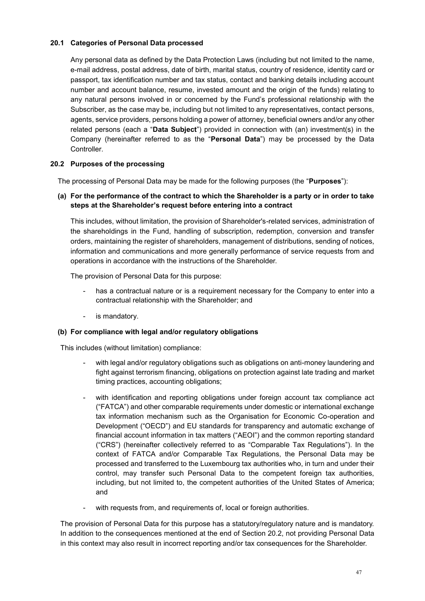# **20.1 Categories of Personal Data processed**

Any personal data as defined by the Data Protection Laws (including but not limited to the name, e-mail address, postal address, date of birth, marital status, country of residence, identity card or passport, tax identification number and tax status, contact and banking details including account number and account balance, resume, invested amount and the origin of the funds) relating to any natural persons involved in or concerned by the Fund's professional relationship with the Subscriber, as the case may be, including but not limited to any representatives, contact persons, agents, service providers, persons holding a power of attorney, beneficial owners and/or any other related persons (each a "**Data Subject**") provided in connection with (an) investment(s) in the Company (hereinafter referred to as the "**Personal Data**") may be processed by the Data Controller.

# **20.2 Purposes of the processing**

The processing of Personal Data may be made for the following purposes (the "**Purposes**"):

### **(a) For the performance of the contract to which the Shareholder is a party or in order to take steps at the Shareholder's request before entering into a contract**

This includes, without limitation, the provision of Shareholder's-related services, administration of the shareholdings in the Fund, handling of subscription, redemption, conversion and transfer orders, maintaining the register of shareholders, management of distributions, sending of notices, information and communications and more generally performance of service requests from and operations in accordance with the instructions of the Shareholder.

The provision of Personal Data for this purpose:

- has a contractual nature or is a requirement necessary for the Company to enter into a contractual relationship with the Shareholder; and
- is mandatory.

### **(b) For compliance with legal and/or regulatory obligations**

This includes (without limitation) compliance:

- with legal and/or regulatory obligations such as obligations on anti-money laundering and fight against terrorism financing, obligations on protection against late trading and market timing practices, accounting obligations;
- with identification and reporting obligations under foreign account tax compliance act ("FATCA") and other comparable requirements under domestic or international exchange tax information mechanism such as the Organisation for Economic Co-operation and Development ("OECD") and EU standards for transparency and automatic exchange of financial account information in tax matters ("AEOI") and the common reporting standard ("CRS") (hereinafter collectively referred to as "Comparable Tax Regulations"). In the context of FATCA and/or Comparable Tax Regulations, the Personal Data may be processed and transferred to the Luxembourg tax authorities who, in turn and under their control, may transfer such Personal Data to the competent foreign tax authorities, including, but not limited to, the competent authorities of the United States of America; and
- with requests from, and requirements of, local or foreign authorities.

The provision of Personal Data for this purpose has a statutory/regulatory nature and is mandatory. In addition to the consequences mentioned at the end of Section 20.2, not providing Personal Data in this context may also result in incorrect reporting and/or tax consequences for the Shareholder.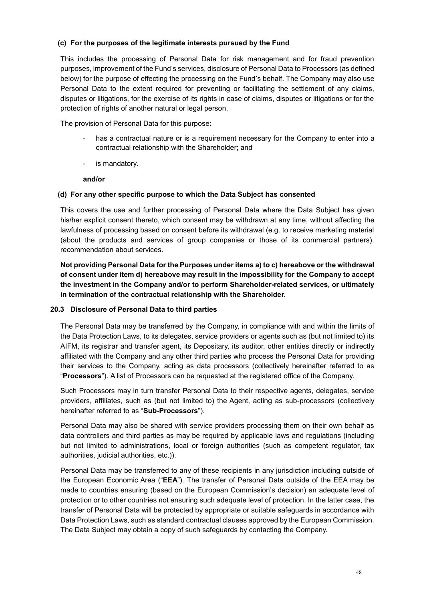### **(c) For the purposes of the legitimate interests pursued by the Fund**

This includes the processing of Personal Data for risk management and for fraud prevention purposes, improvement of the Fund's services, disclosure of Personal Data to Processors (as defined below) for the purpose of effecting the processing on the Fund's behalf. The Company may also use Personal Data to the extent required for preventing or facilitating the settlement of any claims, disputes or litigations, for the exercise of its rights in case of claims, disputes or litigations or for the protection of rights of another natural or legal person.

The provision of Personal Data for this purpose:

- has a contractual nature or is a requirement necessary for the Company to enter into a contractual relationship with the Shareholder; and
- is mandatory.

#### **and/or**

### **(d) For any other specific purpose to which the Data Subject has consented**

This covers the use and further processing of Personal Data where the Data Subject has given his/her explicit consent thereto, which consent may be withdrawn at any time, without affecting the lawfulness of processing based on consent before its withdrawal (e.g. to receive marketing material (about the products and services of group companies or those of its commercial partners), recommendation about services.

**Not providing Personal Data for the Purposes under items a) to c) hereabove or the withdrawal of consent under item d) hereabove may result in the impossibility for the Company to accept the investment in the Company and/or to perform Shareholder-related services, or ultimately in termination of the contractual relationship with the Shareholder.** 

### **20.3 Disclosure of Personal Data to third parties**

The Personal Data may be transferred by the Company, in compliance with and within the limits of the Data Protection Laws, to its delegates, service providers or agents such as (but not limited to) its AIFM, its registrar and transfer agent, its Depositary, its auditor, other entities directly or indirectly affiliated with the Company and any other third parties who process the Personal Data for providing their services to the Company, acting as data processors (collectively hereinafter referred to as "**Processors**"). A list of Processors can be requested at the registered office of the Company.

Such Processors may in turn transfer Personal Data to their respective agents, delegates, service providers, affiliates, such as (but not limited to) the Agent, acting as sub-processors (collectively hereinafter referred to as "**Sub-Processors**").

Personal Data may also be shared with service providers processing them on their own behalf as data controllers and third parties as may be required by applicable laws and regulations (including but not limited to administrations, local or foreign authorities (such as competent regulator, tax authorities, judicial authorities, etc.)).

Personal Data may be transferred to any of these recipients in any jurisdiction including outside of the European Economic Area ("**EEA**"). The transfer of Personal Data outside of the EEA may be made to countries ensuring (based on the European Commission's decision) an adequate level of protection or to other countries not ensuring such adequate level of protection. In the latter case, the transfer of Personal Data will be protected by appropriate or suitable safeguards in accordance with Data Protection Laws, such as standard contractual clauses approved by the European Commission. The Data Subject may obtain a copy of such safeguards by contacting the Company.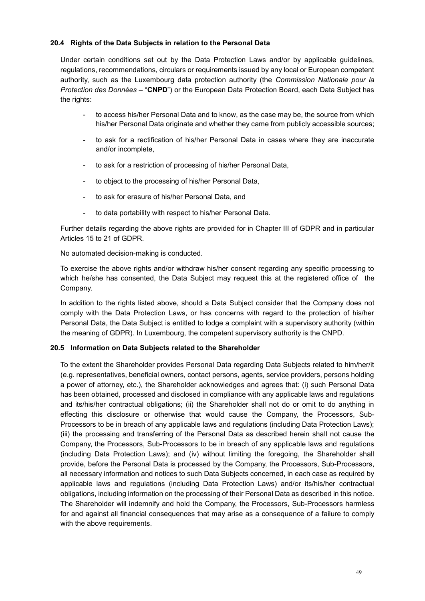## **20.4 Rights of the Data Subjects in relation to the Personal Data**

Under certain conditions set out by the Data Protection Laws and/or by applicable guidelines, regulations, recommendations, circulars or requirements issued by any local or European competent authority, such as the Luxembourg data protection authority (the *Commission Nationale pour la Protection des Données* – "**CNPD**") or the European Data Protection Board, each Data Subject has the rights:

- to access his/her Personal Data and to know, as the case may be, the source from which his/her Personal Data originate and whether they came from publicly accessible sources;
- to ask for a rectification of his/her Personal Data in cases where they are inaccurate and/or incomplete,
- to ask for a restriction of processing of his/her Personal Data,
- to object to the processing of his/her Personal Data,
- to ask for erasure of his/her Personal Data, and
- to data portability with respect to his/her Personal Data.

Further details regarding the above rights are provided for in Chapter III of GDPR and in particular Articles 15 to 21 of GDPR.

No automated decision-making is conducted.

To exercise the above rights and/or withdraw his/her consent regarding any specific processing to which he/she has consented, the Data Subject may request this at the registered office of the Company.

In addition to the rights listed above, should a Data Subject consider that the Company does not comply with the Data Protection Laws, or has concerns with regard to the protection of his/her Personal Data, the Data Subject is entitled to lodge a complaint with a supervisory authority (within the meaning of GDPR). In Luxembourg, the competent supervisory authority is the CNPD.

### **20.5 Information on Data Subjects related to the Shareholder**

To the extent the Shareholder provides Personal Data regarding Data Subjects related to him/her/it (e.g. representatives, beneficial owners, contact persons, agents, service providers, persons holding a power of attorney, etc.), the Shareholder acknowledges and agrees that: (i) such Personal Data has been obtained, processed and disclosed in compliance with any applicable laws and regulations and its/his/her contractual obligations; (ii) the Shareholder shall not do or omit to do anything in effecting this disclosure or otherwise that would cause the Company, the Processors, Sub-Processors to be in breach of any applicable laws and regulations (including Data Protection Laws); (iii) the processing and transferring of the Personal Data as described herein shall not cause the Company, the Processors, Sub-Processors to be in breach of any applicable laws and regulations (including Data Protection Laws); and (iv) without limiting the foregoing, the Shareholder shall provide, before the Personal Data is processed by the Company, the Processors, Sub-Processors, all necessary information and notices to such Data Subjects concerned, in each case as required by applicable laws and regulations (including Data Protection Laws) and/or its/his/her contractual obligations, including information on the processing of their Personal Data as described in this notice. The Shareholder will indemnify and hold the Company, the Processors, Sub-Processors harmless for and against all financial consequences that may arise as a consequence of a failure to comply with the above requirements.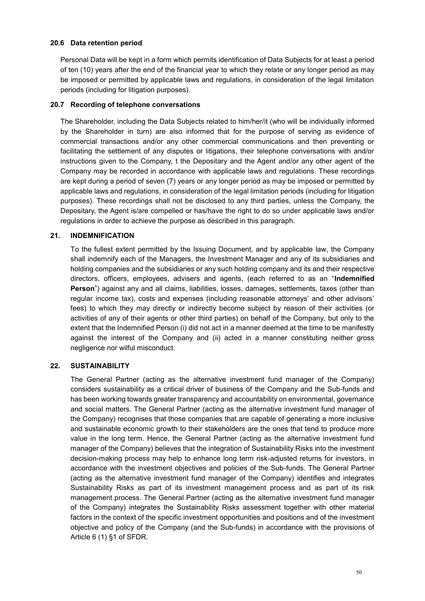### **20.6 Data retention period**

Personal Data will be kept in a form which permits identification of Data Subjects for at least a period of ten (10) years after the end of the financial year to which they relate or any longer period as may be imposed or permitted by applicable laws and regulations, in consideration of the legal limitation periods (including for litigation purposes).

#### **20.7 Recording of telephone conversations**

The Shareholder, including the Data Subjects related to him/her/it (who will be individually informed by the Shareholder in turn) are also informed that for the purpose of serving as evidence of commercial transactions and/or any other commercial communications and then preventing or facilitating the settlement of any disputes or litigations, their telephone conversations with and/or instructions given to the Company, t the Depositary and the Agent and/or any other agent of the Company may be recorded in accordance with applicable laws and regulations. These recordings are kept during a period of seven (7) years or any longer period as may be imposed or permitted by applicable laws and regulations, in consideration of the legal limitation periods (including for litigation purposes). These recordings shall not be disclosed to any third parties, unless the Company, the Depositary, the Agent is/are compelled or has/have the right to do so under applicable laws and/or regulations in order to achieve the purpose as described in this paragraph.

#### <span id="page-49-0"></span>**21. INDEMNIFICATION**

To the fullest extent permitted by the Issuing Document, and by applicable law, the Company shall indemnify each of the Managers, the Investment Manager and any of its subsidiaries and holding companies and the subsidiaries or any such holding company and its and their respective directors, officers, employees, advisers and agents, (each referred to as an "**Indemnified Person**") against any and all claims, liabilities, losses, damages, settlements, taxes (other than regular income tax), costs and expenses (including reasonable attorneys' and other advisors' fees) to which they may directly or indirectly become subject by reason of their activities (or activities of any of their agents or other third parties) on behalf of the Company, but only to the extent that the Indemnified Person (i) did not act in a manner deemed at the time to be manifestly against the interest of the Company and (ii) acted in a manner constituting neither gross negligence nor wilful misconduct.

#### <span id="page-49-1"></span>**22. SUSTAINABILITY**

The General Partner (acting as the alternative investment fund manager of the Company) considers sustainability as a critical driver of business of the Company and the Sub-funds and has been working towards greater transparency and accountability on environmental, governance and social matters. The General Partner (acting as the alternative investment fund manager of the Company) recognises that those companies that are capable of generating a more inclusive and sustainable economic growth to their stakeholders are the ones that tend to produce more value in the long term. Hence, the General Partner (acting as the alternative investment fund manager of the Company) believes that the integration of Sustainability Risks into the investment decision-making process may help to enhance long term risk-adjusted returns for investors, in accordance with the investment objectives and policies of the Sub-funds. The General Partner (acting as the alternative investment fund manager of the Company) identifies and integrates Sustainability Risks as part of its investment management process and as part of its risk management process. The General Partner (acting as the alternative investment fund manager of the Company) integrates the Sustainability Risks assessment together with other material factors in the context of the specific investment opportunities and positions and of the investment objective and policy of the Company (and the Sub-funds) in accordance with the provisions of Article 6 (1) §1 of SFDR.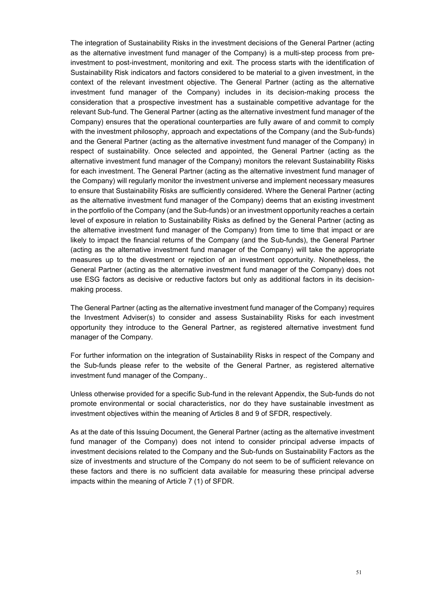The integration of Sustainability Risks in the investment decisions of the General Partner (acting as the alternative investment fund manager of the Company) is a multi-step process from preinvestment to post-investment, monitoring and exit. The process starts with the identification of Sustainability Risk indicators and factors considered to be material to a given investment, in the context of the relevant investment objective. The General Partner (acting as the alternative investment fund manager of the Company) includes in its decision-making process the consideration that a prospective investment has a sustainable competitive advantage for the relevant Sub-fund. The General Partner (acting as the alternative investment fund manager of the Company) ensures that the operational counterparties are fully aware of and commit to comply with the investment philosophy, approach and expectations of the Company (and the Sub-funds) and the General Partner (acting as the alternative investment fund manager of the Company) in respect of sustainability. Once selected and appointed, the General Partner (acting as the alternative investment fund manager of the Company) monitors the relevant Sustainability Risks for each investment. The General Partner (acting as the alternative investment fund manager of the Company) will regularly monitor the investment universe and implement necessary measures to ensure that Sustainability Risks are sufficiently considered. Where the General Partner (acting as the alternative investment fund manager of the Company) deems that an existing investment in the portfolio of the Company (and the Sub-funds) or an investment opportunity reaches a certain level of exposure in relation to Sustainability Risks as defined by the General Partner (acting as the alternative investment fund manager of the Company) from time to time that impact or are likely to impact the financial returns of the Company (and the Sub-funds), the General Partner (acting as the alternative investment fund manager of the Company) will take the appropriate measures up to the divestment or rejection of an investment opportunity. Nonetheless, the General Partner (acting as the alternative investment fund manager of the Company) does not use ESG factors as decisive or reductive factors but only as additional factors in its decisionmaking process.

The General Partner (acting as the alternative investment fund manager of the Company) requires the Investment Adviser(s) to consider and assess Sustainability Risks for each investment opportunity they introduce to the General Partner, as registered alternative investment fund manager of the Company.

For further information on the integration of Sustainability Risks in respect of the Company and the Sub-funds please refer to the website of the General Partner, as registered alternative investment fund manager of the Company..

Unless otherwise provided for a specific Sub-fund in the relevant Appendix, the Sub-funds do not promote environmental or social characteristics, nor do they have sustainable investment as investment objectives within the meaning of Articles 8 and 9 of SFDR, respectively.

As at the date of this Issuing Document, the General Partner (acting as the alternative investment fund manager of the Company) does not intend to consider principal adverse impacts of investment decisions related to the Company and the Sub-funds on Sustainability Factors as the size of investments and structure of the Company do not seem to be of sufficient relevance on these factors and there is no sufficient data available for measuring these principal adverse impacts within the meaning of Article 7 (1) of SFDR.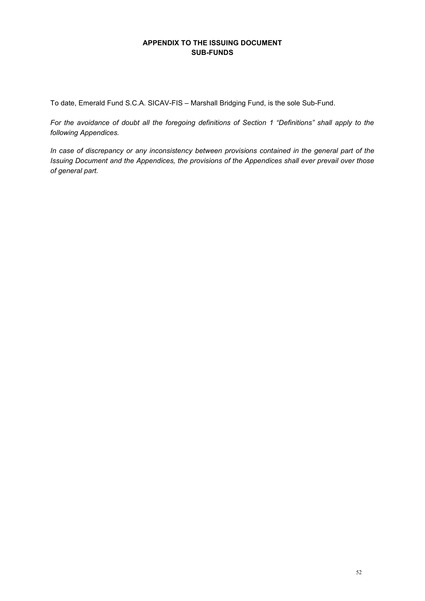# **APPENDIX TO THE ISSUING DOCUMENT SUB-FUNDS**

<span id="page-51-0"></span>To date, Emerald Fund S.C.A. SICAV-FIS – Marshall Bridging Fund, is the sole Sub-Fund.

*For the avoidance of doubt all the foregoing definitions of Section 1 "Definitions" shall apply to the following Appendices.* 

*In case of discrepancy or any inconsistency between provisions contained in the general part of the Issuing Document and the Appendices, the provisions of the Appendices shall ever prevail over those of general part.*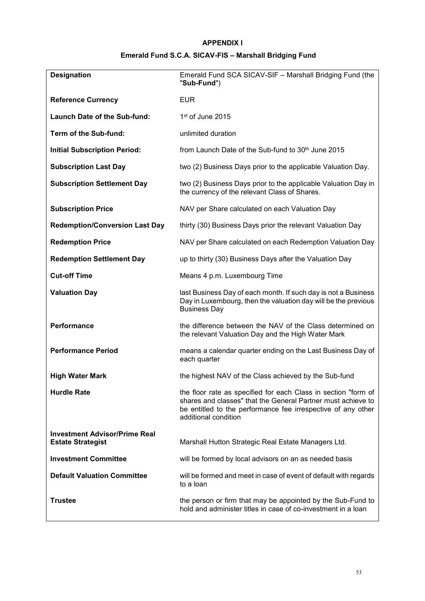# **APPENDIX I**

# **Emerald Fund S.C.A. SICAV-FIS – Marshall Bridging Fund**

<span id="page-52-0"></span>

| <b>Designation</b>                                               | Emerald Fund SCA SICAV-SIF - Marshall Bridging Fund (the<br>"Sub-Fund")                                                                                                                                                |  |  |  |  |
|------------------------------------------------------------------|------------------------------------------------------------------------------------------------------------------------------------------------------------------------------------------------------------------------|--|--|--|--|
| <b>Reference Currency</b>                                        | <b>EUR</b>                                                                                                                                                                                                             |  |  |  |  |
| <b>Launch Date of the Sub-fund:</b>                              | $1st$ of June 2015                                                                                                                                                                                                     |  |  |  |  |
| Term of the Sub-fund:                                            | unlimited duration                                                                                                                                                                                                     |  |  |  |  |
| <b>Initial Subscription Period:</b>                              | from Launch Date of the Sub-fund to 30 <sup>th</sup> June 2015                                                                                                                                                         |  |  |  |  |
| <b>Subscription Last Day</b>                                     | two (2) Business Days prior to the applicable Valuation Day.                                                                                                                                                           |  |  |  |  |
| <b>Subscription Settlement Day</b>                               | two (2) Business Days prior to the applicable Valuation Day in<br>the currency of the relevant Class of Shares.                                                                                                        |  |  |  |  |
| <b>Subscription Price</b>                                        | NAV per Share calculated on each Valuation Day                                                                                                                                                                         |  |  |  |  |
| <b>Redemption/Conversion Last Day</b>                            | thirty (30) Business Days prior the relevant Valuation Day                                                                                                                                                             |  |  |  |  |
| <b>Redemption Price</b>                                          | NAV per Share calculated on each Redemption Valuation Day                                                                                                                                                              |  |  |  |  |
| <b>Redemption Settlement Day</b>                                 | up to thirty (30) Business Days after the Valuation Day                                                                                                                                                                |  |  |  |  |
| <b>Cut-off Time</b>                                              | Means 4 p.m. Luxembourg Time                                                                                                                                                                                           |  |  |  |  |
| <b>Valuation Day</b>                                             | last Business Day of each month. If such day is not a Business<br>Day in Luxembourg, then the valuation day will be the previous<br><b>Business Day</b>                                                                |  |  |  |  |
| Performance                                                      | the difference between the NAV of the Class determined on<br>the relevant Valuation Day and the High Water Mark                                                                                                        |  |  |  |  |
| <b>Performance Period</b>                                        | means a calendar quarter ending on the Last Business Day of<br>each quarter                                                                                                                                            |  |  |  |  |
| <b>High Water Mark</b>                                           | the highest NAV of the Class achieved by the Sub-fund                                                                                                                                                                  |  |  |  |  |
| <b>Hurdle Rate</b>                                               | the floor rate as specified for each Class in section "form of<br>shares and classes" that the General Partner must achieve to<br>be entitled to the performance fee irrespective of any other<br>additional condition |  |  |  |  |
| <b>Investment Advisor/Prime Real</b><br><b>Estate Strategist</b> | Marshall Hutton Strategic Real Estate Managers Ltd.                                                                                                                                                                    |  |  |  |  |
| <b>Investment Committee</b>                                      | will be formed by local advisors on an as needed basis                                                                                                                                                                 |  |  |  |  |
| <b>Default Valuation Committee</b>                               | will be formed and meet in case of event of default with regards<br>to a loan                                                                                                                                          |  |  |  |  |
| <b>Trustee</b>                                                   | the person or firm that may be appointed by the Sub-Fund to<br>hold and administer titles in case of co-investment in a loan                                                                                           |  |  |  |  |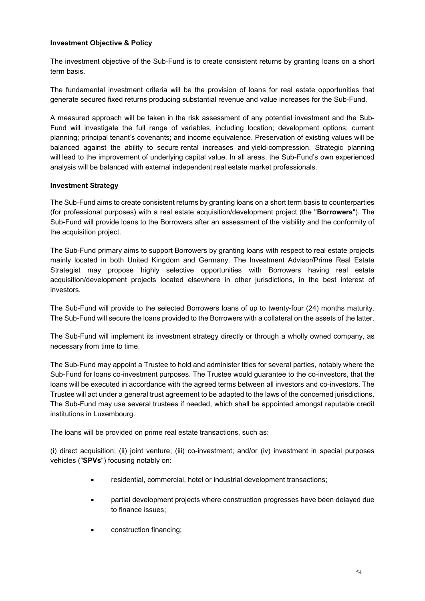### **Investment Objective & Policy**

The investment objective of the Sub-Fund is to create consistent returns by granting loans on a short term basis.

The fundamental investment criteria will be the provision of loans for real estate opportunities that generate secured fixed returns producing substantial revenue and value increases for the Sub-Fund.

A measured approach will be taken in the risk assessment of any potential investment and the Sub-Fund will investigate the full range of variables, including location; development options; current planning; principal tenant's covenants; and income equivalence. Preservation of existing values will be balanced against the ability to secure rental increases and yield-compression. Strategic planning will lead to the improvement of underlying capital value. In all areas, the Sub-Fund's own experienced analysis will be balanced with external independent real estate market professionals.

### **Investment Strategy**

The Sub-Fund aims to create consistent returns by granting loans on a short term basis to counterparties (for professional purposes) with a real estate acquisition/development project (the "**Borrowers**"). The Sub-Fund will provide loans to the Borrowers after an assessment of the viability and the conformity of the acquisition project.

The Sub-Fund primary aims to support Borrowers by granting loans with respect to real estate projects mainly located in both United Kingdom and Germany. The Investment Advisor/Prime Real Estate Strategist may propose highly selective opportunities with Borrowers having real estate acquisition/development projects located elsewhere in other jurisdictions, in the best interest of investors.

The Sub-Fund will provide to the selected Borrowers loans of up to twenty-four (24) months maturity. The Sub-Fund will secure the loans provided to the Borrowers with a collateral on the assets of the latter.

The Sub-Fund will implement its investment strategy directly or through a wholly owned company, as necessary from time to time.

The Sub-Fund may appoint a Trustee to hold and administer titles for several parties, notably where the Sub-Fund for loans co-investment purposes. The Trustee would guarantee to the co-investors, that the loans will be executed in accordance with the agreed terms between all investors and co-investors. The Trustee will act under a general trust agreement to be adapted to the laws of the concerned jurisdictions. The Sub-Fund may use several trustees if needed, which shall be appointed amongst reputable credit institutions in Luxembourg.

The loans will be provided on prime real estate transactions, such as:

(i) direct acquisition; (ii) joint venture; (iii) co-investment; and/or (iv) investment in special purposes vehicles ("**SPVs**") focusing notably on:

- residential, commercial, hotel or industrial development transactions;
- partial development projects where construction progresses have been delayed due to finance issues;
- construction financing;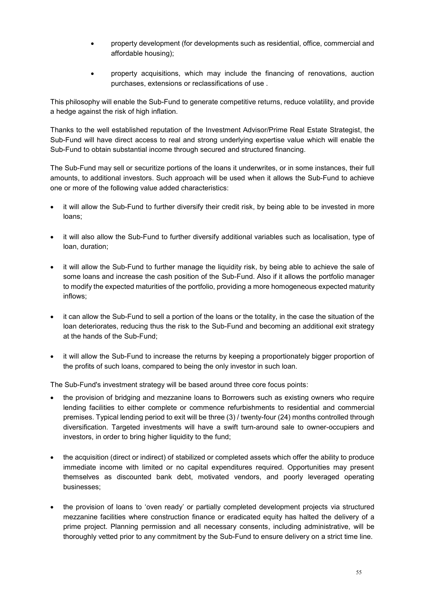- property development (for developments such as residential, office, commercial and affordable housing);
- property acquisitions, which may include the financing of renovations, auction purchases, extensions or reclassifications of use .

This philosophy will enable the Sub-Fund to generate competitive returns, reduce volatility, and provide a hedge against the risk of high inflation.

Thanks to the well established reputation of the Investment Advisor/Prime Real Estate Strategist, the Sub-Fund will have direct access to real and strong underlying expertise value which will enable the Sub-Fund to obtain substantial income through secured and structured financing.

The Sub-Fund may sell or securitize portions of the loans it underwrites, or in some instances, their full amounts, to additional investors. Such approach will be used when it allows the Sub-Fund to achieve one or more of the following value added characteristics:

- it will allow the Sub-Fund to further diversify their credit risk, by being able to be invested in more loans;
- it will also allow the Sub-Fund to further diversify additional variables such as localisation, type of loan, duration;
- it will allow the Sub-Fund to further manage the liquidity risk, by being able to achieve the sale of some loans and increase the cash position of the Sub-Fund. Also if it allows the portfolio manager to modify the expected maturities of the portfolio, providing a more homogeneous expected maturity inflows;
- it can allow the Sub-Fund to sell a portion of the loans or the totality, in the case the situation of the loan deteriorates, reducing thus the risk to the Sub-Fund and becoming an additional exit strategy at the hands of the Sub-Fund;
- it will allow the Sub-Fund to increase the returns by keeping a proportionately bigger proportion of the profits of such loans, compared to being the only investor in such loan.

The Sub-Fund's investment strategy will be based around three core focus points:

- the provision of bridging and mezzanine loans to Borrowers such as existing owners who require lending facilities to either complete or commence refurbishments to residential and commercial premises. Typical lending period to exit will be three (3) / twenty-four (24) months controlled through diversification. Targeted investments will have a swift turn-around sale to owner-occupiers and investors, in order to bring higher liquidity to the fund;
- the acquisition (direct or indirect) of stabilized or completed assets which offer the ability to produce immediate income with limited or no capital expenditures required. Opportunities may present themselves as discounted bank debt, motivated vendors, and poorly leveraged operating businesses;
- the provision of loans to 'oven ready' or partially completed development projects via structured mezzanine facilities where construction finance or eradicated equity has halted the delivery of a prime project. Planning permission and all necessary consents, including administrative, will be thoroughly vetted prior to any commitment by the Sub-Fund to ensure delivery on a strict time line.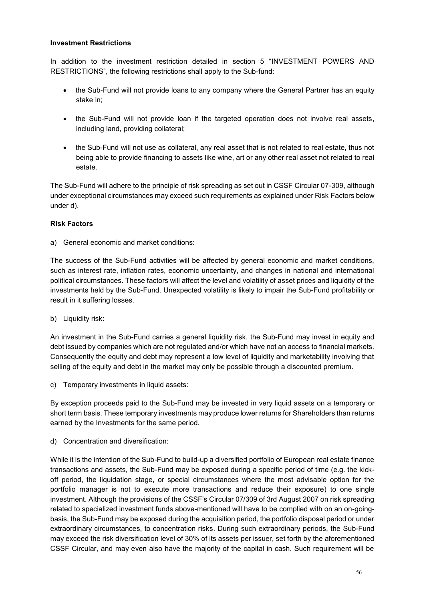#### **Investment Restrictions**

In addition to the investment restriction detailed in section 5 "INVESTMENT POWERS AND RESTRICTIONS", the following restrictions shall apply to the Sub-fund:

- the Sub-Fund will not provide loans to any company where the General Partner has an equity stake in;
- the Sub-Fund will not provide loan if the targeted operation does not involve real assets, including land, providing collateral;
- the Sub-Fund will not use as collateral, any real asset that is not related to real estate, thus not being able to provide financing to assets like wine, art or any other real asset not related to real estate.

The Sub-Fund will adhere to the principle of risk spreading as set out in CSSF Circular 07-309, although under exceptional circumstances may exceed such requirements as explained under Risk Factors below under d).

#### **Risk Factors**

a) General economic and market conditions:

The success of the Sub-Fund activities will be affected by general economic and market conditions, such as interest rate, inflation rates, economic uncertainty, and changes in national and international political circumstances. These factors will affect the level and volatility of asset prices and liquidity of the investments held by the Sub-Fund. Unexpected volatility is likely to impair the Sub-Fund profitability or result in it suffering losses.

b) Liquidity risk:

An investment in the Sub-Fund carries a general liquidity risk. the Sub-Fund may invest in equity and debt issued by companies which are not regulated and/or which have not an access to financial markets. Consequently the equity and debt may represent a low level of liquidity and marketability involving that selling of the equity and debt in the market may only be possible through a discounted premium.

c) Temporary investments in liquid assets:

By exception proceeds paid to the Sub-Fund may be invested in very liquid assets on a temporary or short term basis. These temporary investments may produce lower returns for Shareholders than returns earned by the Investments for the same period.

d) Concentration and diversification:

While it is the intention of the Sub-Fund to build-up a diversified portfolio of European real estate finance transactions and assets, the Sub-Fund may be exposed during a specific period of time (e.g. the kickoff period, the liquidation stage, or special circumstances where the most advisable option for the portfolio manager is not to execute more transactions and reduce their exposure) to one single investment. Although the provisions of the CSSF's Circular 07/309 of 3rd August 2007 on risk spreading related to specialized investment funds above-mentioned will have to be complied with on an on-goingbasis, the Sub-Fund may be exposed during the acquisition period, the portfolio disposal period or under extraordinary circumstances, to concentration risks. During such extraordinary periods, the Sub-Fund may exceed the risk diversification level of 30% of its assets per issuer, set forth by the aforementioned CSSF Circular, and may even also have the majority of the capital in cash. Such requirement will be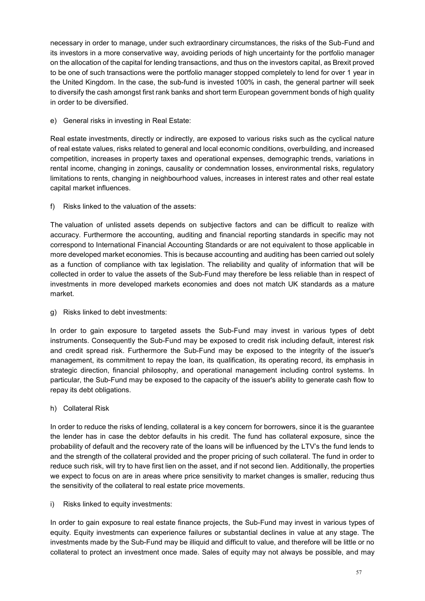necessary in order to manage, under such extraordinary circumstances, the risks of the Sub-Fund and its investors in a more conservative way, avoiding periods of high uncertainty for the portfolio manager on the allocation of the capital for lending transactions, and thus on the investors capital, as Brexit proved to be one of such transactions were the portfolio manager stopped completely to lend for over 1 year in the United Kingdom. In the case, the sub-fund is invested 100% in cash, the general partner will seek to diversify the cash amongst first rank banks and short term European government bonds of high quality in order to be diversified.

e) General risks in investing in Real Estate:

Real estate investments, directly or indirectly, are exposed to various risks such as the cyclical nature of real estate values, risks related to general and local economic conditions, overbuilding, and increased competition, increases in property taxes and operational expenses, demographic trends, variations in rental income, changing in zonings, causality or condemnation losses, environmental risks, regulatory limitations to rents, changing in neighbourhood values, increases in interest rates and other real estate capital market influences.

f) Risks linked to the valuation of the assets:

The valuation of unlisted assets depends on subjective factors and can be difficult to realize with accuracy. Furthermore the accounting, auditing and financial reporting standards in specific may not correspond to International Financial Accounting Standards or are not equivalent to those applicable in more developed market economies. This is because accounting and auditing has been carried out solely as a function of compliance with tax legislation. The reliability and quality of information that will be collected in order to value the assets of the Sub-Fund may therefore be less reliable than in respect of investments in more developed markets economies and does not match UK standards as a mature market.

g) Risks linked to debt investments:

In order to gain exposure to targeted assets the Sub-Fund may invest in various types of debt instruments. Consequently the Sub-Fund may be exposed to credit risk including default, interest risk and credit spread risk. Furthermore the Sub-Fund may be exposed to the integrity of the issuer's management, its commitment to repay the loan, its qualification, its operating record, its emphasis in strategic direction, financial philosophy, and operational management including control systems. In particular, the Sub-Fund may be exposed to the capacity of the issuer's ability to generate cash flow to repay its debt obligations.

h) Collateral Risk

In order to reduce the risks of lending, collateral is a key concern for borrowers, since it is the guarantee the lender has in case the debtor defaults in his credit. The fund has collateral exposure, since the probability of default and the recovery rate of the loans will be influenced by the LTV's the fund lends to and the strength of the collateral provided and the proper pricing of such collateral. The fund in order to reduce such risk, will try to have first lien on the asset, and if not second lien. Additionally, the properties we expect to focus on are in areas where price sensitivity to market changes is smaller, reducing thus the sensitivity of the collateral to real estate price movements.

i) Risks linked to equity investments:

In order to gain exposure to real estate finance projects, the Sub-Fund may invest in various types of equity. Equity investments can experience failures or substantial declines in value at any stage. The investments made by the Sub-Fund may be illiquid and difficult to value, and therefore will be little or no collateral to protect an investment once made. Sales of equity may not always be possible, and may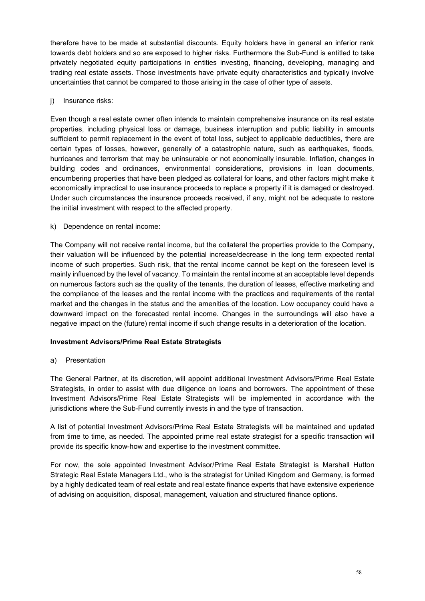therefore have to be made at substantial discounts. Equity holders have in general an inferior rank towards debt holders and so are exposed to higher risks. Furthermore the Sub-Fund is entitled to take privately negotiated equity participations in entities investing, financing, developing, managing and trading real estate assets. Those investments have private equity characteristics and typically involve uncertainties that cannot be compared to those arising in the case of other type of assets.

# j) Insurance risks:

Even though a real estate owner often intends to maintain comprehensive insurance on its real estate properties, including physical loss or damage, business interruption and public liability in amounts sufficient to permit replacement in the event of total loss, subject to applicable deductibles, there are certain types of losses, however, generally of a catastrophic nature, such as earthquakes, floods, hurricanes and terrorism that may be uninsurable or not economically insurable. Inflation, changes in building codes and ordinances, environmental considerations, provisions in loan documents, encumbering properties that have been pledged as collateral for loans, and other factors might make it economically impractical to use insurance proceeds to replace a property if it is damaged or destroyed. Under such circumstances the insurance proceeds received, if any, might not be adequate to restore the initial investment with respect to the affected property.

# k) Dependence on rental income:

The Company will not receive rental income, but the collateral the properties provide to the Company, their valuation will be influenced by the potential increase/decrease in the long term expected rental income of such properties. Such risk, that the rental income cannot be kept on the foreseen level is mainly influenced by the level of vacancy. To maintain the rental income at an acceptable level depends on numerous factors such as the quality of the tenants, the duration of leases, effective marketing and the compliance of the leases and the rental income with the practices and requirements of the rental market and the changes in the status and the amenities of the location. Low occupancy could have a downward impact on the forecasted rental income. Changes in the surroundings will also have a negative impact on the (future) rental income if such change results in a deterioration of the location.

# **Investment Advisors/Prime Real Estate Strategists**

### a) Presentation

The General Partner, at its discretion, will appoint additional Investment Advisors/Prime Real Estate Strategists, in order to assist with due diligence on loans and borrowers. The appointment of these Investment Advisors/Prime Real Estate Strategists will be implemented in accordance with the jurisdictions where the Sub-Fund currently invests in and the type of transaction.

A list of potential Investment Advisors/Prime Real Estate Strategists will be maintained and updated from time to time, as needed. The appointed prime real estate strategist for a specific transaction will provide its specific know-how and expertise to the investment committee.

For now, the sole appointed Investment Advisor/Prime Real Estate Strategist is Marshall Hutton Strategic Real Estate Managers Ltd., who is the strategist for United Kingdom and Germany, is formed by a highly dedicated team of real estate and real estate finance experts that have extensive experience of advising on acquisition, disposal, management, valuation and structured finance options.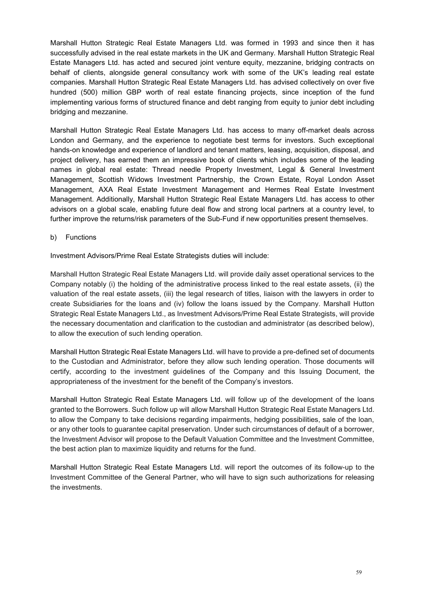Marshall Hutton Strategic Real Estate Managers Ltd. was formed in 1993 and since then it has successfully advised in the real estate markets in the UK and Germany. Marshall Hutton Strategic Real Estate Managers Ltd. has acted and secured joint venture equity, mezzanine, bridging contracts on behalf of clients, alongside general consultancy work with some of the UK's leading real estate companies. Marshall Hutton Strategic Real Estate Managers Ltd. has advised collectively on over five hundred (500) million GBP worth of real estate financing projects, since inception of the fund implementing various forms of structured finance and debt ranging from equity to junior debt including bridging and mezzanine.

Marshall Hutton Strategic Real Estate Managers Ltd. has access to many off-market deals across London and Germany, and the experience to negotiate best terms for investors. Such exceptional hands-on knowledge and experience of landlord and tenant matters, leasing, acquisition, disposal, and project delivery, has earned them an impressive book of clients which includes some of the leading names in global real estate: Thread needle Property Investment, Legal & General Investment Management, Scottish Widows Investment Partnership, the Crown Estate, Royal London Asset Management, AXA Real Estate Investment Management and Hermes Real Estate Investment Management. Additionally, Marshall Hutton Strategic Real Estate Managers Ltd. has access to other advisors on a global scale, enabling future deal flow and strong local partners at a country level, to further improve the returns/risk parameters of the Sub-Fund if new opportunities present themselves.

### b) Functions

Investment Advisors/Prime Real Estate Strategists duties will include:

Marshall Hutton Strategic Real Estate Managers Ltd. will provide daily asset operational services to the Company notably (i) the holding of the administrative process linked to the real estate assets, (ii) the valuation of the real estate assets, (iii) the legal research of titles, liaison with the lawyers in order to create Subsidiaries for the loans and (iv) follow the loans issued by the Company. Marshall Hutton Strategic Real Estate Managers Ltd., as Investment Advisors/Prime Real Estate Strategists, will provide the necessary documentation and clarification to the custodian and administrator (as described below), to allow the execution of such lending operation.

Marshall Hutton Strategic Real Estate Managers Ltd. will have to provide a pre-defined set of documents to the Custodian and Administrator, before they allow such lending operation. Those documents will certify, according to the investment guidelines of the Company and this Issuing Document, the appropriateness of the investment for the benefit of the Company's investors.

Marshall Hutton Strategic Real Estate Managers Ltd. will follow up of the development of the loans granted to the Borrowers. Such follow up will allow Marshall Hutton Strategic Real Estate Managers Ltd. to allow the Company to take decisions regarding impairments, hedging possibilities, sale of the loan, or any other tools to guarantee capital preservation. Under such circumstances of default of a borrower, the Investment Advisor will propose to the Default Valuation Committee and the Investment Committee, the best action plan to maximize liquidity and returns for the fund.

Marshall Hutton Strategic Real Estate Managers Ltd. will report the outcomes of its follow-up to the Investment Committee of the General Partner, who will have to sign such authorizations for releasing the investments.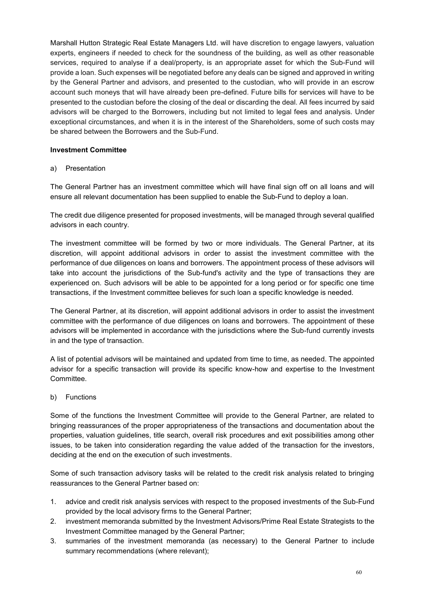Marshall Hutton Strategic Real Estate Managers Ltd. will have discretion to engage lawyers, valuation experts, engineers if needed to check for the soundness of the building, as well as other reasonable services, required to analyse if a deal/property, is an appropriate asset for which the Sub-Fund will provide a loan. Such expenses will be negotiated before any deals can be signed and approved in writing by the General Partner and advisors, and presented to the custodian, who will provide in an escrow account such moneys that will have already been pre-defined. Future bills for services will have to be presented to the custodian before the closing of the deal or discarding the deal. All fees incurred by said advisors will be charged to the Borrowers, including but not limited to legal fees and analysis. Under exceptional circumstances, and when it is in the interest of the Shareholders, some of such costs may be shared between the Borrowers and the Sub-Fund.

### **Investment Committee**

#### a) Presentation

The General Partner has an investment committee which will have final sign off on all loans and will ensure all relevant documentation has been supplied to enable the Sub-Fund to deploy a loan.

The credit due diligence presented for proposed investments, will be managed through several qualified advisors in each country.

The investment committee will be formed by two or more individuals. The General Partner, at its discretion, will appoint additional advisors in order to assist the investment committee with the performance of due diligences on loans and borrowers. The appointment process of these advisors will take into account the jurisdictions of the Sub-fund's activity and the type of transactions they are experienced on. Such advisors will be able to be appointed for a long period or for specific one time transactions, if the Investment committee believes for such loan a specific knowledge is needed.

The General Partner, at its discretion, will appoint additional advisors in order to assist the investment committee with the performance of due diligences on loans and borrowers. The appointment of these advisors will be implemented in accordance with the jurisdictions where the Sub-fund currently invests in and the type of transaction.

A list of potential advisors will be maintained and updated from time to time, as needed. The appointed advisor for a specific transaction will provide its specific know-how and expertise to the Investment Committee.

### b) Functions

Some of the functions the Investment Committee will provide to the General Partner, are related to bringing reassurances of the proper appropriateness of the transactions and documentation about the properties, valuation guidelines, title search, overall risk procedures and exit possibilities among other issues, to be taken into consideration regarding the value added of the transaction for the investors, deciding at the end on the execution of such investments.

Some of such transaction advisory tasks will be related to the credit risk analysis related to bringing reassurances to the General Partner based on:

- 1. advice and credit risk analysis services with respect to the proposed investments of the Sub-Fund provided by the local advisory firms to the General Partner;
- 2. investment memoranda submitted by the Investment Advisors/Prime Real Estate Strategists to the Investment Committee managed by the General Partner;
- 3. summaries of the investment memoranda (as necessary) to the General Partner to include summary recommendations (where relevant);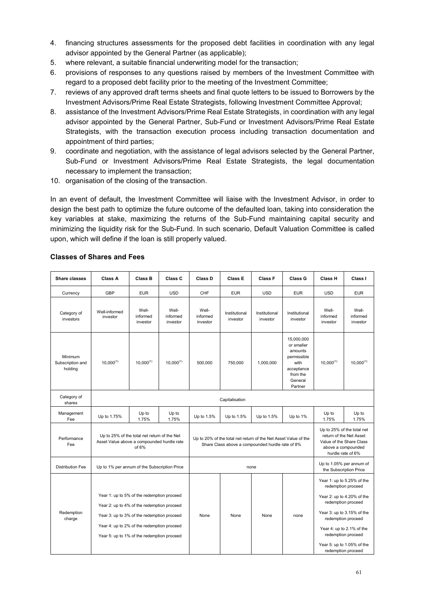- 4. financing structures assessments for the proposed debt facilities in coordination with any legal advisor appointed by the General Partner (as applicable);
- 5. where relevant, a suitable financial underwriting model for the transaction;
- 6. provisions of responses to any questions raised by members of the Investment Committee with regard to a proposed debt facility prior to the meeting of the Investment Committee;
- 7. reviews of any approved draft terms sheets and final quote letters to be issued to Borrowers by the Investment Advisors/Prime Real Estate Strategists, following Investment Committee Approval;
- 8. assistance of the Investment Advisors/Prime Real Estate Strategists, in coordination with any legal advisor appointed by the General Partner, Sub-Fund or Investment Advisors/Prime Real Estate Strategists, with the transaction execution process including transaction documentation and appointment of third parties;
- 9. coordinate and negotiation, with the assistance of legal advisors selected by the General Partner, Sub-Fund or Investment Advisors/Prime Real Estate Strategists, the legal documentation necessary to implement the transaction;
- 10. organisation of the closing of the transaction.

In an event of default, the Investment Committee will liaise with the Investment Advisor, in order to design the best path to optimize the future outcome of the defaulted loan, taking into consideration the key variables at stake, maximizing the returns of the Sub-Fund maintaining capital security and minimizing the liquidity risk for the Sub-Fund. In such scenario, Default Valuation Committee is called upon, which will define if the loan is still properly valued.

| <b>Share classes</b>                   | <b>Class A</b>                                                                                                                                                                                                                     | <b>Class B</b>                | Class C                       | Class D                                                                                                             | <b>Class E</b>            | <b>Class F</b>            | Class G                                                                                                    | <b>Class H</b>                | Class I                                                                                                                                                                                                                           |
|----------------------------------------|------------------------------------------------------------------------------------------------------------------------------------------------------------------------------------------------------------------------------------|-------------------------------|-------------------------------|---------------------------------------------------------------------------------------------------------------------|---------------------------|---------------------------|------------------------------------------------------------------------------------------------------------|-------------------------------|-----------------------------------------------------------------------------------------------------------------------------------------------------------------------------------------------------------------------------------|
| Currency                               | GBP                                                                                                                                                                                                                                | <b>EUR</b>                    | <b>USD</b>                    | CHF                                                                                                                 | <b>EUR</b>                | <b>USD</b>                | <b>EUR</b>                                                                                                 | <b>USD</b>                    | <b>EUR</b>                                                                                                                                                                                                                        |
| Category of<br>investors               | Well-informed<br>investor                                                                                                                                                                                                          | Well-<br>informed<br>investor | Well-<br>informed<br>investor | Well-<br>informed<br>investor                                                                                       | Institutional<br>investor | Institutional<br>investor | Institutional<br>investor                                                                                  | Well-<br>informed<br>investor | Well-<br>informed<br>investor                                                                                                                                                                                                     |
| Minimum<br>Subscription and<br>holding | $10,000^{(1)}$                                                                                                                                                                                                                     | $10,000^{(1)}$                | $10,000^{(1)}$                | 500,000                                                                                                             | 750,000                   | 1,000,000                 | 15,000,000<br>or smaller<br>amounts<br>permissible<br>with<br>acceptance<br>from the<br>General<br>Partner | $10.000^{(1)}$                | $10,000^{(1)}$                                                                                                                                                                                                                    |
| Category of<br>shares                  | Capitalisation                                                                                                                                                                                                                     |                               |                               |                                                                                                                     |                           |                           |                                                                                                            |                               |                                                                                                                                                                                                                                   |
| Management<br>Fee                      | Up to 1.75%                                                                                                                                                                                                                        | Up to<br>1.75%                | Up to<br>1.75%                | Up to 1.5%                                                                                                          | Up to 1.5%                | Up to 1.5%                | Up to 1%                                                                                                   | Up to<br>1.75%                | Up to<br>1.75%                                                                                                                                                                                                                    |
| Performance<br>Fee                     | Up to 25% of the total net return of the Net<br>Asset Value above a compounded hurdle rate<br>of 6%                                                                                                                                |                               |                               | Up to 20% of the total net return of the Net Asset Value of the<br>Share Class above a compounded hurdle rate of 8% |                           |                           |                                                                                                            |                               | Up to 25% of the total net<br>return of the Net Asset<br>Value of the Share Class<br>above a compounded<br>hurdle rate of 6%                                                                                                      |
| <b>Distribution Fee</b>                | Up to 1% per annum of the Subscription Price                                                                                                                                                                                       |                               |                               | none                                                                                                                |                           |                           |                                                                                                            |                               | Up to 1.05% per annum of<br>the Subscription Price                                                                                                                                                                                |
| Redemption<br>charge                   | Year 1: up to 5% of the redemption proceed<br>Year 2: up to 4% of the redemption proceed<br>Year 3: up to 3% of the redemption proceed<br>Year 4: up to 2% of the redemption proceed<br>Year 5: up to 1% of the redemption proceed |                               |                               | None                                                                                                                | None                      | None                      | none                                                                                                       | Year 5: up to 1.05% of the    | Year 1: up to 5.25% of the<br>redemption proceed<br>Year 2: up to 4.20% of the<br>redemption proceed<br>Year 3: up to 3.15% of the<br>redemption proceed<br>Year 4: up to 2.1% of the<br>redemption proceed<br>redemption proceed |

# **Classes of Shares and Fees**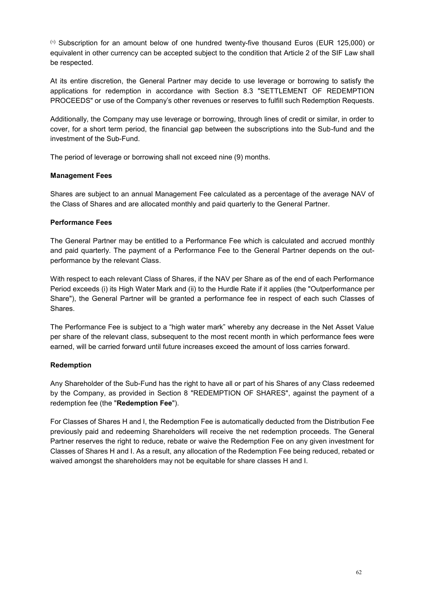(1) Subscription for an amount below of one hundred twenty-five thousand Euros (EUR 125,000) or equivalent in other currency can be accepted subject to the condition that Article 2 of the SIF Law shall be respected.

At its entire discretion, the General Partner may decide to use leverage or borrowing to satisfy the applications for redemption in accordance with Section 8.3 "SETTLEMENT OF REDEMPTION PROCEEDS" or use of the Company's other revenues or reserves to fulfill such Redemption Requests.

Additionally, the Company may use leverage or borrowing, through lines of credit or similar, in order to cover, for a short term period, the financial gap between the subscriptions into the Sub-fund and the investment of the Sub-Fund.

The period of leverage or borrowing shall not exceed nine (9) months.

# **Management Fees**

Shares are subject to an annual Management Fee calculated as a percentage of the average NAV of the Class of Shares and are allocated monthly and paid quarterly to the General Partner.

# **Performance Fees**

The General Partner may be entitled to a Performance Fee which is calculated and accrued monthly and paid quarterly. The payment of a Performance Fee to the General Partner depends on the outperformance by the relevant Class.

With respect to each relevant Class of Shares, if the NAV per Share as of the end of each Performance Period exceeds (i) its High Water Mark and (ii) to the Hurdle Rate if it applies (the "Outperformance per Share"), the General Partner will be granted a performance fee in respect of each such Classes of Shares.

The Performance Fee is subject to a "high water mark" whereby any decrease in the Net Asset Value per share of the relevant class, subsequent to the most recent month in which performance fees were earned, will be carried forward until future increases exceed the amount of loss carries forward.

# **Redemption**

Any Shareholder of the Sub-Fund has the right to have all or part of his Shares of any Class redeemed by the Company, as provided in Section 8 "REDEMPTION OF SHARES", against the payment of a redemption fee (the "**Redemption Fee**").

For Classes of Shares H and I, the Redemption Fee is automatically deducted from the Distribution Fee previously paid and redeeming Shareholders will receive the net redemption proceeds. The General Partner reserves the right to reduce, rebate or waive the Redemption Fee on any given investment for Classes of Shares H and I. As a result, any allocation of the Redemption Fee being reduced, rebated or waived amongst the shareholders may not be equitable for share classes H and I.